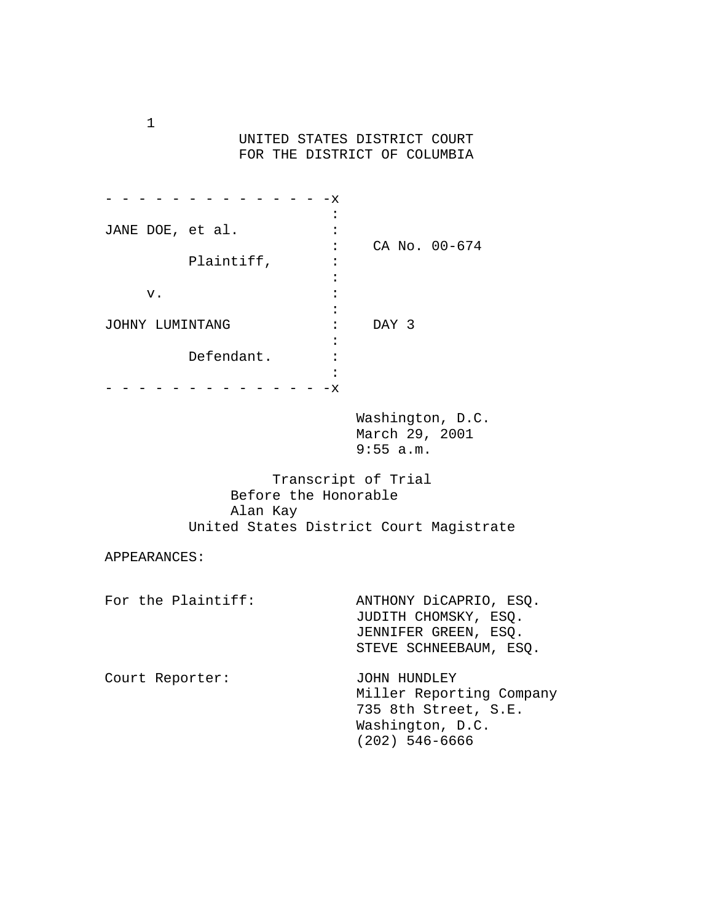UNITED STATES DISTRICT COURT FOR THE DISTRICT OF COLUMBIA

|                  | х         |               |
|------------------|-----------|---------------|
|                  | $\bullet$ |               |
| JANE DOE, et al. |           |               |
|                  |           | CA No. 00-674 |
| Plaintiff,       |           |               |
|                  |           |               |
| v.               |           |               |
|                  |           |               |
| JOHNY LUMINTANG  |           | DAY 3         |
|                  |           |               |
| Defendant.       |           |               |
|                  |           |               |
|                  | х         |               |

 Washington, D.C. March 29, 2001 9:55 a.m.

 Transcript of Trial Before the Honorable Alan Kay United States District Court Magistrate

APPEARANCES:

| For the Plaintiff: | ANTHONY DiCAPRIO, ESQ.<br>JUDITH CHOMSKY, ESO.<br>JENNIFER GREEN, ESQ.<br>STEVE SCHNEEBAUM, ESO.       |
|--------------------|--------------------------------------------------------------------------------------------------------|
| Court Reporter:    | JOHN HUNDLEY<br>Miller Reporting Company<br>735 8th Street, S.E.<br>Washington, D.C.<br>(202) 546-6666 |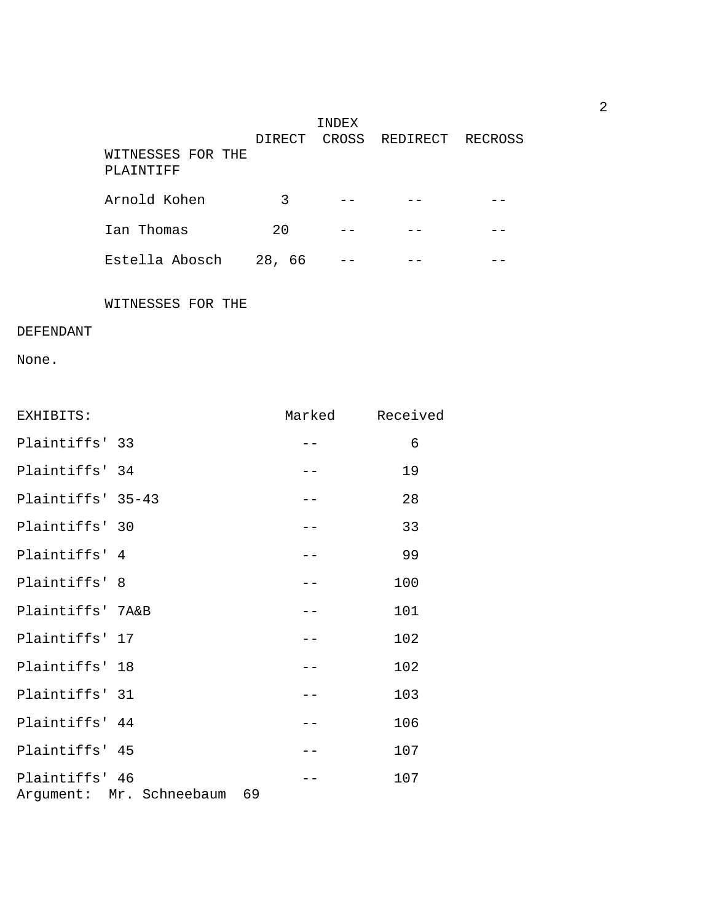|                   |                       | TNDEX |                        |  |
|-------------------|-----------------------|-------|------------------------|--|
|                   | DIRECT                |       | CROSS REDIRECT RECROSS |  |
| WITNESSES FOR THE |                       |       |                        |  |
| PLAINTIFF         |                       |       |                        |  |
|                   |                       |       |                        |  |
| Arnold Kohen      | 3                     |       |                        |  |
| Ian Thomas        | 2.0                   |       |                        |  |
|                   |                       |       |                        |  |
| Estella Abosch    | 28 <sub>1</sub><br>66 |       |                        |  |

WITNESSES FOR THE

## DEFENDANT

None.

| EXHIBITS:                                     | Marked | Received |
|-----------------------------------------------|--------|----------|
| Plaintiffs' 33                                |        | 6        |
| Plaintiffs' 34                                |        | 19       |
| Plaintiffs' 35-43                             | ——     | 28       |
| Plaintiffs' 30                                |        | 33       |
| Plaintiffs' 4                                 | $- -$  | 99       |
| Plaintiffs' 8                                 |        | 100      |
| Plaintiffs' 7A&B                              |        | 101      |
| Plaintiffs' 17                                |        | 102      |
| Plaintiffs' 18                                |        | 102      |
| Plaintiffs' 31                                |        | 103      |
| Plaintiffs' 44                                |        | 106      |
| Plaintiffs' 45                                |        | 107      |
| Plaintiffs' 46<br>Argument: Mr. Schneebaum 69 |        | 107      |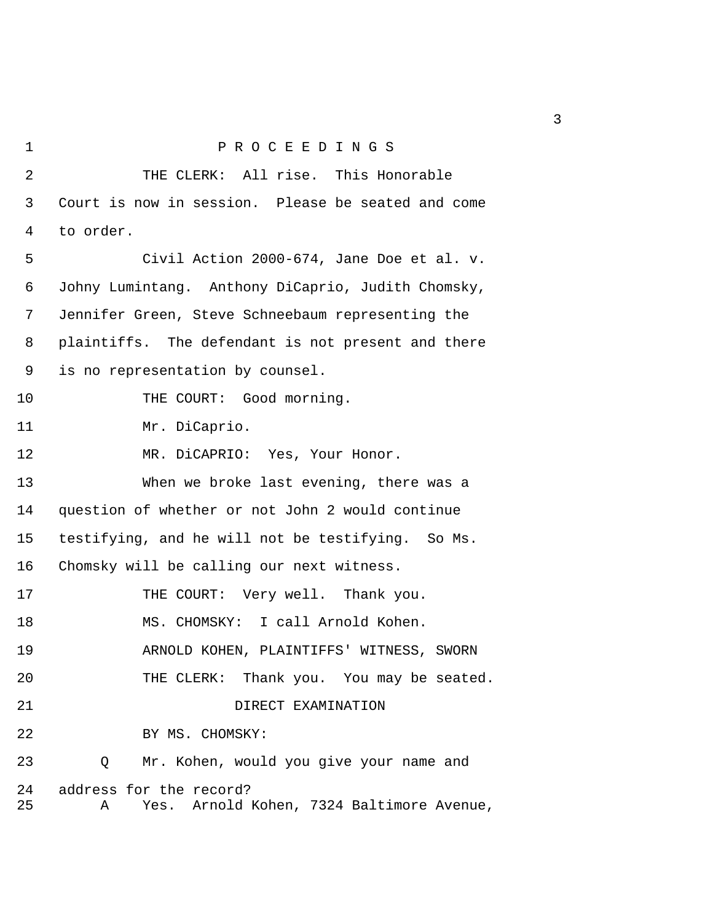```
1 P R O C E E D I N G S 
2 THE CLERK: All rise. This Honorable
 3 Court is now in session. Please be seated and come 
 4 to order. 
 5 Civil Action 2000-674, Jane Doe et al. v. 
 6 Johny Lumintang. Anthony DiCaprio, Judith Chomsky, 
 7 Jennifer Green, Steve Schneebaum representing the 
 8 plaintiffs. The defendant is not present and there 
 9 is no representation by counsel. 
10 THE COURT: Good morning.
11 Mr. DiCaprio. 
12 MR. DiCAPRIO: Yes, Your Honor. 
13 When we broke last evening, there was a 
14 question of whether or not John 2 would continue 
15 testifying, and he will not be testifying. So Ms. 
16 Chomsky will be calling our next witness. 
17 THE COURT: Very well. Thank you.
18 MS. CHOMSKY: I call Arnold Kohen. 
19 ARNOLD KOHEN, PLAINTIFFS' WITNESS, SWORN 
20 THE CLERK: Thank you. You may be seated.
21 DIRECT EXAMINATION
22 BY MS. CHOMSKY: 
23 Q Mr. Kohen, would you give your name and 
24 address for the record? 
25 A Yes. Arnold Kohen, 7324 Baltimore Avenue,
```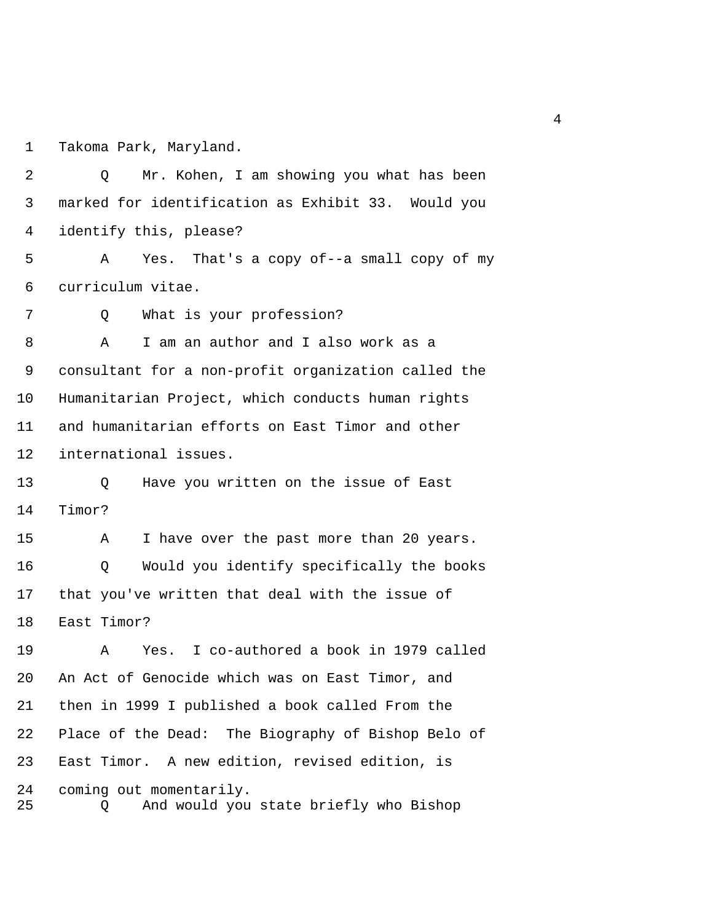1 Takoma Park, Maryland.

 2 Q Mr. Kohen, I am showing you what has been 3 marked for identification as Exhibit 33. Would you 4 identify this, please? 5 A Yes. That's a copy of--a small copy of my 6 curriculum vitae. 7 Q What is your profession? 8 A I am an author and I also work as a 9 consultant for a non-profit organization called the 10 Humanitarian Project, which conducts human rights 11 and humanitarian efforts on East Timor and other 12 international issues. 13 Q Have you written on the issue of East 14 Timor? 15 A I have over the past more than 20 years. 16 Q Would you identify specifically the books 17 that you've written that deal with the issue of 18 East Timor? 19 A Yes. I co-authored a book in 1979 called 20 An Act of Genocide which was on East Timor, and 21 then in 1999 I published a book called From the 22 Place of the Dead: The Biography of Bishop Belo of 23 East Timor. A new edition, revised edition, is 24 coming out momentarily. 25 Q And would you state briefly who Bishop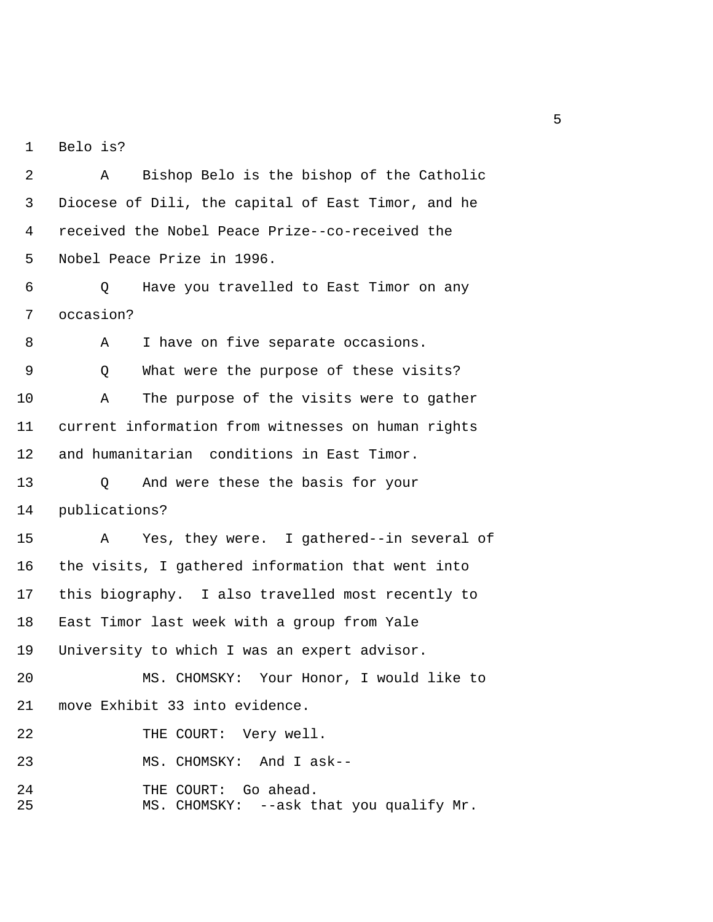1 Belo is?

 2 A Bishop Belo is the bishop of the Catholic 3 Diocese of Dili, the capital of East Timor, and he 4 received the Nobel Peace Prize--co-received the 5 Nobel Peace Prize in 1996.

 6 Q Have you travelled to East Timor on any 7 occasion?

8 A I have on five separate occasions. 9 Q What were the purpose of these visits? 10 A The purpose of the visits were to gather 11 current information from witnesses on human rights 12 and humanitarian conditions in East Timor. 13 Q And were these the basis for your 14 publications? 15 A Yes, they were. I gathered--in several of 16 the visits, I gathered information that went into 17 this biography. I also travelled most recently to 18 East Timor last week with a group from Yale 19 University to which I was an expert advisor. 20 MS. CHOMSKY: Your Honor, I would like to 21 move Exhibit 33 into evidence. 22 THE COURT: Very well. 23 MS. CHOMSKY: And I ask-- 24 THE COURT: Go ahead. 25 MS. CHOMSKY: --ask that you qualify Mr.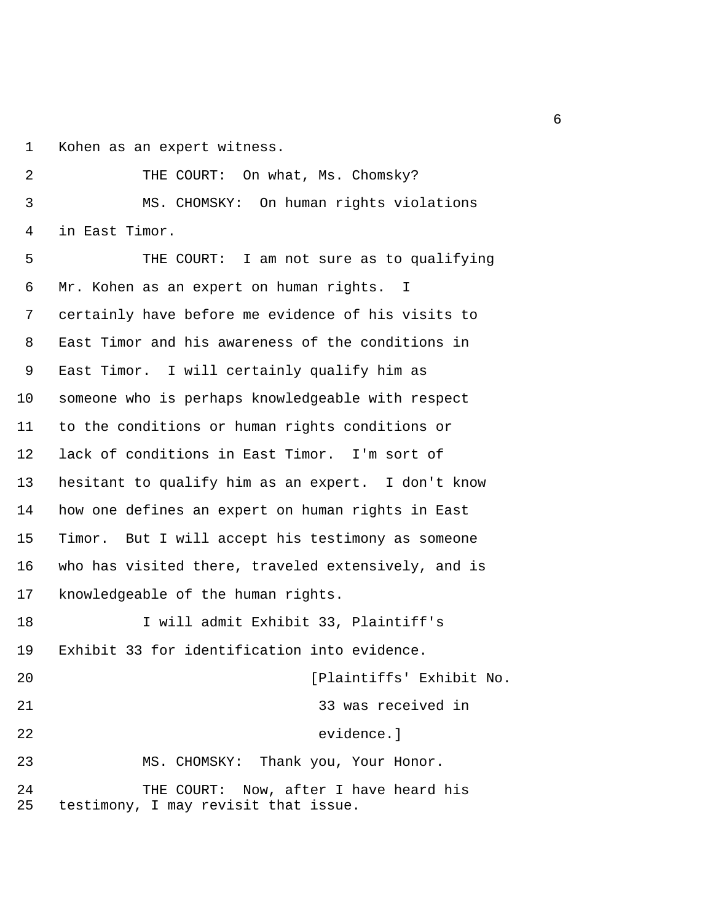1 Kohen as an expert witness.

2 THE COURT: On what, Ms. Chomsky? 3 MS. CHOMSKY: On human rights violations 4 in East Timor.

 5 THE COURT: I am not sure as to qualifying 6 Mr. Kohen as an expert on human rights. I 7 certainly have before me evidence of his visits to 8 East Timor and his awareness of the conditions in 9 East Timor. I will certainly qualify him as 10 someone who is perhaps knowledgeable with respect 11 to the conditions or human rights conditions or 12 lack of conditions in East Timor. I'm sort of 13 hesitant to qualify him as an expert. I don't know 14 how one defines an expert on human rights in East 15 Timor. But I will accept his testimony as someone 16 who has visited there, traveled extensively, and is 17 knowledgeable of the human rights. 18 I will admit Exhibit 33, Plaintiff's

19 Exhibit 33 for identification into evidence. 20 [Plaintiffs' Exhibit No. 21 33 was received in 22 evidence.] 23 MS. CHOMSKY: Thank you, Your Honor. 24 THE COURT: Now, after I have heard his 25 testimony, I may revisit that issue.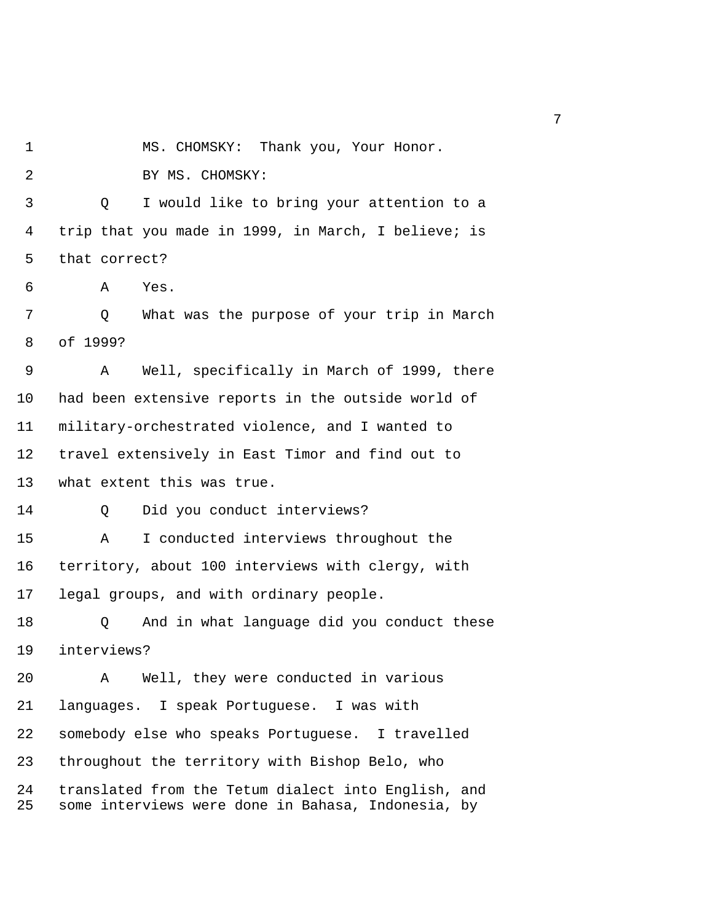1 MS. CHOMSKY: Thank you, Your Honor.

2 BY MS. CHOMSKY:

 3 Q I would like to bring your attention to a 4 trip that you made in 1999, in March, I believe; is 5 that correct?

6 A Yes.

 7 Q What was the purpose of your trip in March 8 of 1999?

 9 A Well, specifically in March of 1999, there 10 had been extensive reports in the outside world of 11 military-orchestrated violence, and I wanted to 12 travel extensively in East Timor and find out to 13 what extent this was true.

14 Q Did you conduct interviews?

15 A I conducted interviews throughout the 16 territory, about 100 interviews with clergy, with 17 legal groups, and with ordinary people.

18 Q And in what language did you conduct these 19 interviews?

20 A Well, they were conducted in various 21 languages. I speak Portuguese. I was with 22 somebody else who speaks Portuguese. I travelled 23 throughout the territory with Bishop Belo, who 24 translated from the Tetum dialect into English, and 25 some interviews were done in Bahasa, Indonesia, by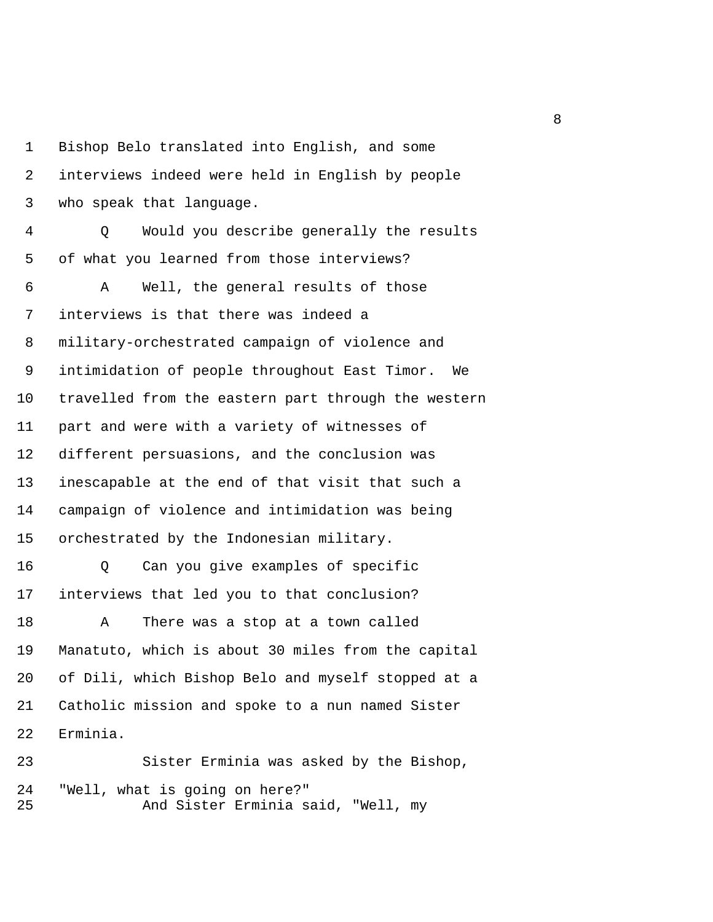1 Bishop Belo translated into English, and some 2 interviews indeed were held in English by people 3 who speak that language. 4 Q Would you describe generally the results 5 of what you learned from those interviews? 6 A Well, the general results of those 7 interviews is that there was indeed a 8 military-orchestrated campaign of violence and 9 intimidation of people throughout East Timor. We 10 travelled from the eastern part through the western 11 part and were with a variety of witnesses of 12 different persuasions, and the conclusion was 13 inescapable at the end of that visit that such a 14 campaign of violence and intimidation was being 15 orchestrated by the Indonesian military. 16 Q Can you give examples of specific 17 interviews that led you to that conclusion? 18 A There was a stop at a town called 19 Manatuto, which is about 30 miles from the capital

20 of Dili, which Bishop Belo and myself stopped at a 21 Catholic mission and spoke to a nun named Sister 22 Erminia.

23 Sister Erminia was asked by the Bishop, 24 "Well, what is going on here?" 25 And Sister Erminia said, "Well, my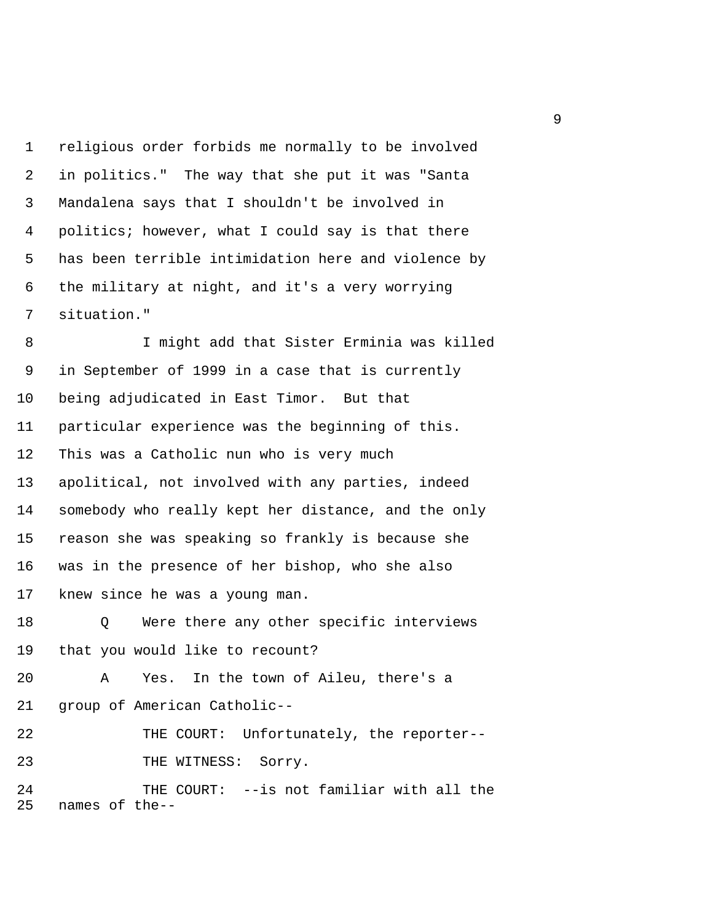1 religious order forbids me normally to be involved 2 in politics." The way that she put it was "Santa 3 Mandalena says that I shouldn't be involved in 4 politics; however, what I could say is that there 5 has been terrible intimidation here and violence by 6 the military at night, and it's a very worrying 7 situation."

 8 I might add that Sister Erminia was killed 9 in September of 1999 in a case that is currently 10 being adjudicated in East Timor. But that 11 particular experience was the beginning of this. 12 This was a Catholic nun who is very much 13 apolitical, not involved with any parties, indeed 14 somebody who really kept her distance, and the only 15 reason she was speaking so frankly is because she 16 was in the presence of her bishop, who she also 17 knew since he was a young man.

18 Q Were there any other specific interviews 19 that you would like to recount?

20 A Yes. In the town of Aileu, there's a 21 group of American Catholic--

22 THE COURT: Unfortunately, the reporter-- 23 THE WITNESS: Sorry.

24 THE COURT: --is not familiar with all the 25 names of the--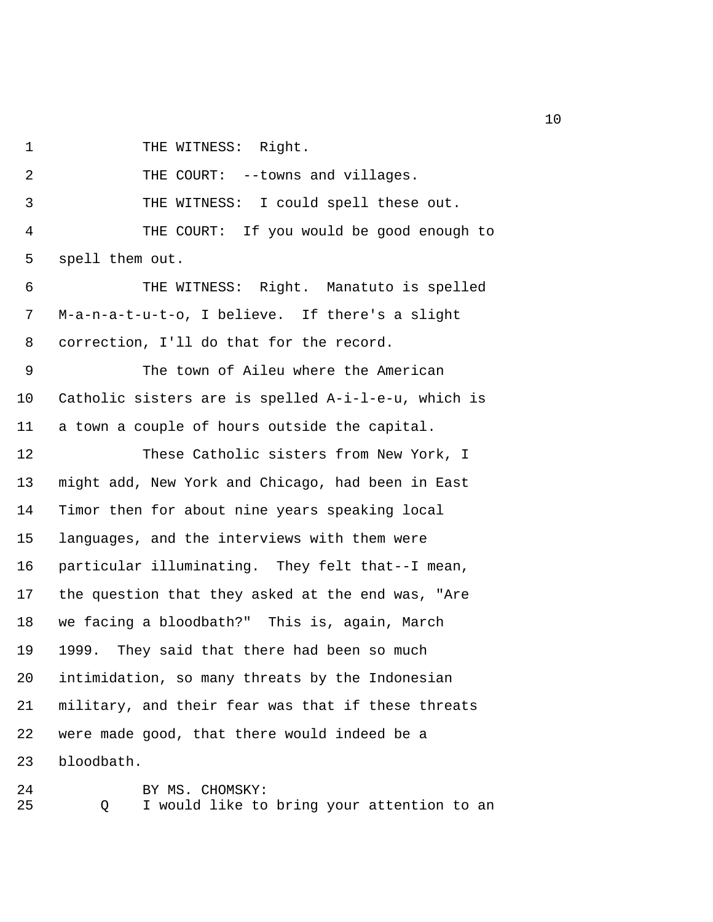1 THE WITNESS: Right.

2 THE COURT: --towns and villages.

3 THE WITNESS: I could spell these out.

 4 THE COURT: If you would be good enough to 5 spell them out.

 6 THE WITNESS: Right. Manatuto is spelled 7 M-a-n-a-t-u-t-o, I believe. If there's a slight 8 correction, I'll do that for the record.

 9 The town of Aileu where the American 10 Catholic sisters are is spelled A-i-l-e-u, which is 11 a town a couple of hours outside the capital.

12 These Catholic sisters from New York, I 13 might add, New York and Chicago, had been in East 14 Timor then for about nine years speaking local 15 languages, and the interviews with them were 16 particular illuminating. They felt that--I mean, 17 the question that they asked at the end was, "Are 18 we facing a bloodbath?" This is, again, March 19 1999. They said that there had been so much 20 intimidation, so many threats by the Indonesian 21 military, and their fear was that if these threats 22 were made good, that there would indeed be a 23 bloodbath.

24 BY MS. CHOMSKY: 25 Q I would like to bring your attention to an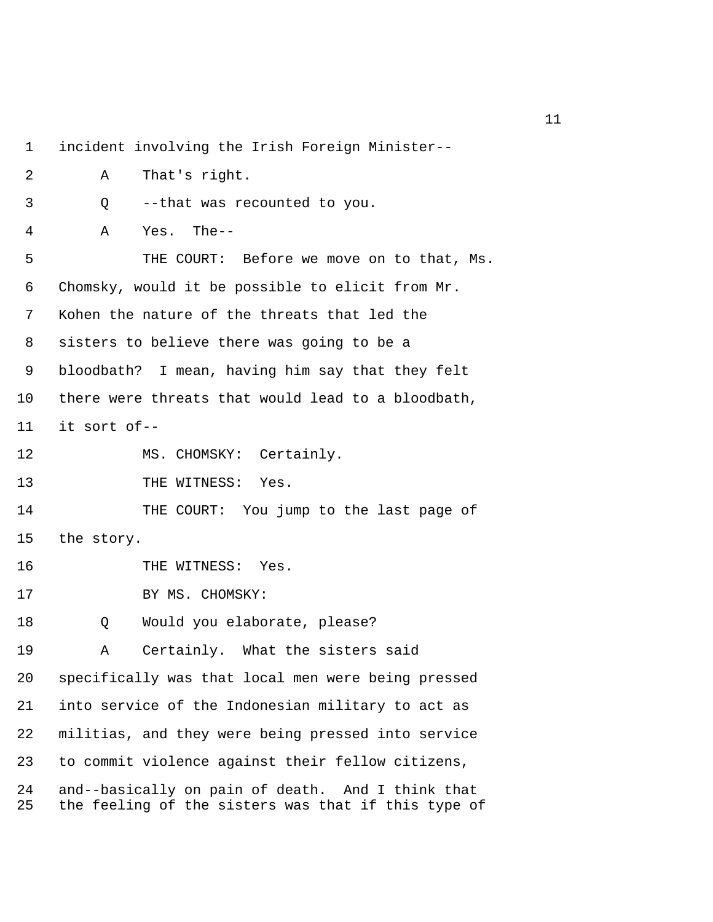1 incident involving the Irish Foreign Minister-- 2 A That's right. 3 Q --that was recounted to you. 4 A Yes. The-- 5 THE COURT: Before we move on to that, Ms. 6 Chomsky, would it be possible to elicit from Mr. 7 Kohen the nature of the threats that led the 8 sisters to believe there was going to be a 9 bloodbath? I mean, having him say that they felt 10 there were threats that would lead to a bloodbath, 11 it sort of-- 12 MS. CHOMSKY: Certainly. 13 THE WITNESS: Yes. 14 THE COURT: You jump to the last page of 15 the story. 16 THE WITNESS: Yes. 17 BY MS. CHOMSKY: 18 0 Would you elaborate, please? 19 A Certainly. What the sisters said 20 specifically was that local men were being pressed 21 into service of the Indonesian military to act as 22 militias, and they were being pressed into service 23 to commit violence against their fellow citizens, 24 and--basically on pain of death. And I think that 25 the feeling of the sisters was that if this type of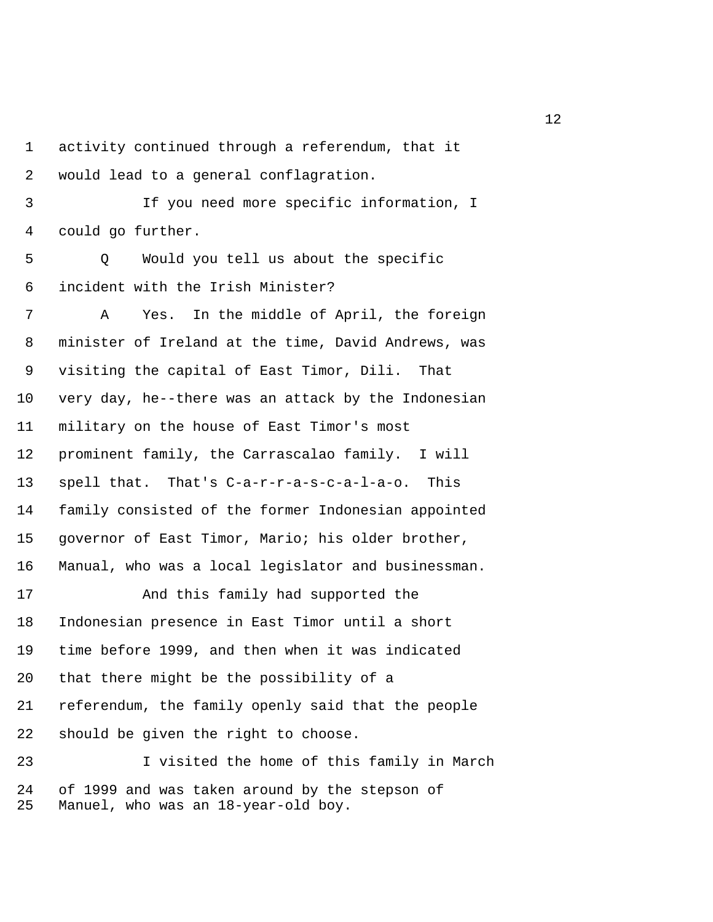1 activity continued through a referendum, that it 2 would lead to a general conflagration.

 3 If you need more specific information, I 4 could go further.

 5 Q Would you tell us about the specific 6 incident with the Irish Minister?

 7 A Yes. In the middle of April, the foreign 8 minister of Ireland at the time, David Andrews, was 9 visiting the capital of East Timor, Dili. That 10 very day, he--there was an attack by the Indonesian 11 military on the house of East Timor's most 12 prominent family, the Carrascalao family. I will 13 spell that. That's C-a-r-r-a-s-c-a-l-a-o. This 14 family consisted of the former Indonesian appointed 15 governor of East Timor, Mario; his older brother, 16 Manual, who was a local legislator and businessman.

17 And this family had supported the 18 Indonesian presence in East Timor until a short 19 time before 1999, and then when it was indicated 20 that there might be the possibility of a 21 referendum, the family openly said that the people 22 should be given the right to choose.

23 I visited the home of this family in March 24 of 1999 and was taken around by the stepson of 25 Manuel, who was an 18-year-old boy.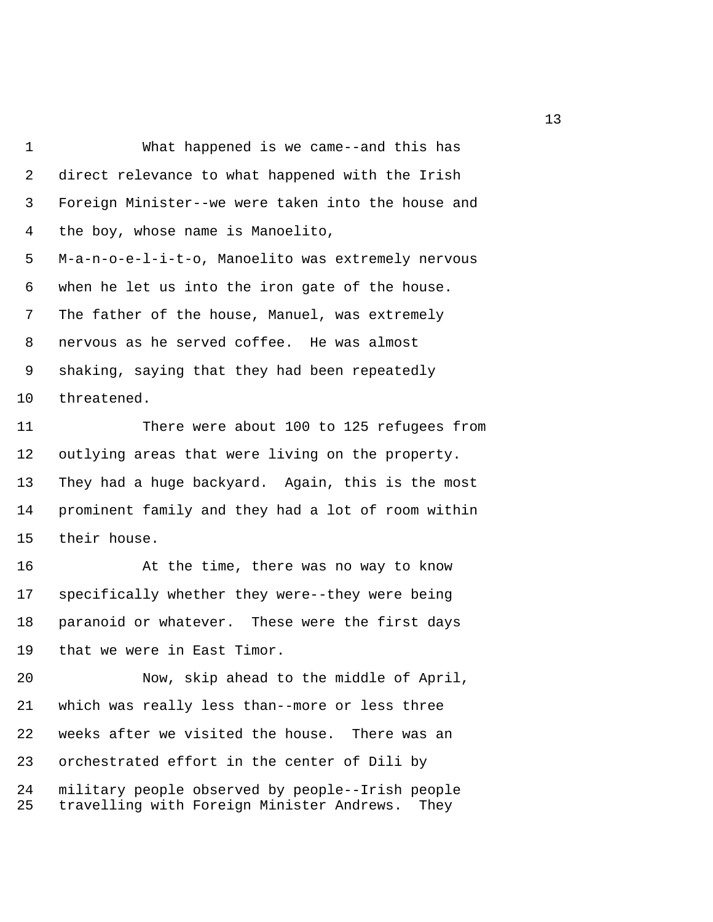1 What happened is we came--and this has 2 direct relevance to what happened with the Irish 3 Foreign Minister--we were taken into the house and 4 the boy, whose name is Manoelito, 5 M-a-n-o-e-l-i-t-o, Manoelito was extremely nervous 6 when he let us into the iron gate of the house. 7 The father of the house, Manuel, was extremely 8 nervous as he served coffee. He was almost 9 shaking, saying that they had been repeatedly 10 threatened.

11 There were about 100 to 125 refugees from 12 outlying areas that were living on the property. 13 They had a huge backyard. Again, this is the most 14 prominent family and they had a lot of room within 15 their house.

16 At the time, there was no way to know 17 specifically whether they were--they were being 18 paranoid or whatever. These were the first days 19 that we were in East Timor.

20 Now, skip ahead to the middle of April, 21 which was really less than--more or less three 22 weeks after we visited the house. There was an 23 orchestrated effort in the center of Dili by 24 military people observed by people--Irish people 25 travelling with Foreign Minister Andrews. They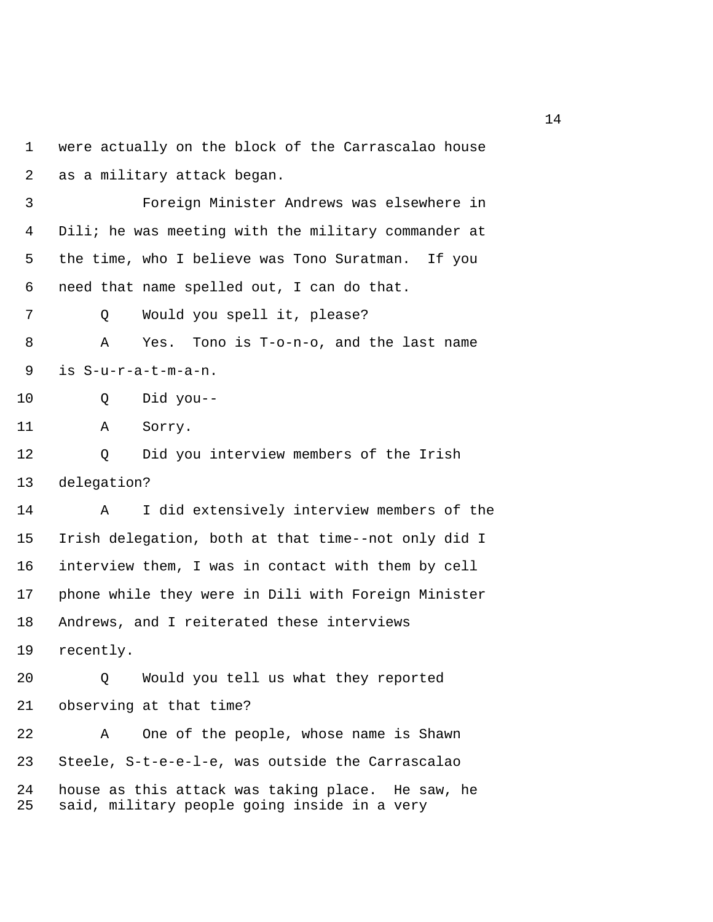```
1 were actually on the block of the Carrascalao house 
 2 as a military attack began. 
 3 Foreign Minister Andrews was elsewhere in 
 4 Dili; he was meeting with the military commander at 
 5 the time, who I believe was Tono Suratman. If you 
 6 need that name spelled out, I can do that. 
 7 Q Would you spell it, please? 
 8 A Yes. Tono is T-o-n-o, and the last name 
 9 is S-u-r-a-t-m-a-n. 
10 Q Did you-- 
11 A Sorry. 
12 Q Did you interview members of the Irish 
13 delegation? 
14 A I did extensively interview members of the 
15 Irish delegation, both at that time--not only did I 
16 interview them, I was in contact with them by cell 
17 phone while they were in Dili with Foreign Minister 
18 Andrews, and I reiterated these interviews 
19 recently. 
20 Q Would you tell us what they reported 
21 observing at that time? 
22 A One of the people, whose name is Shawn 
23 Steele, S-t-e-e-l-e, was outside the Carrascalao 
24 house as this attack was taking place. He saw, he 
25 said, military people going inside in a very
```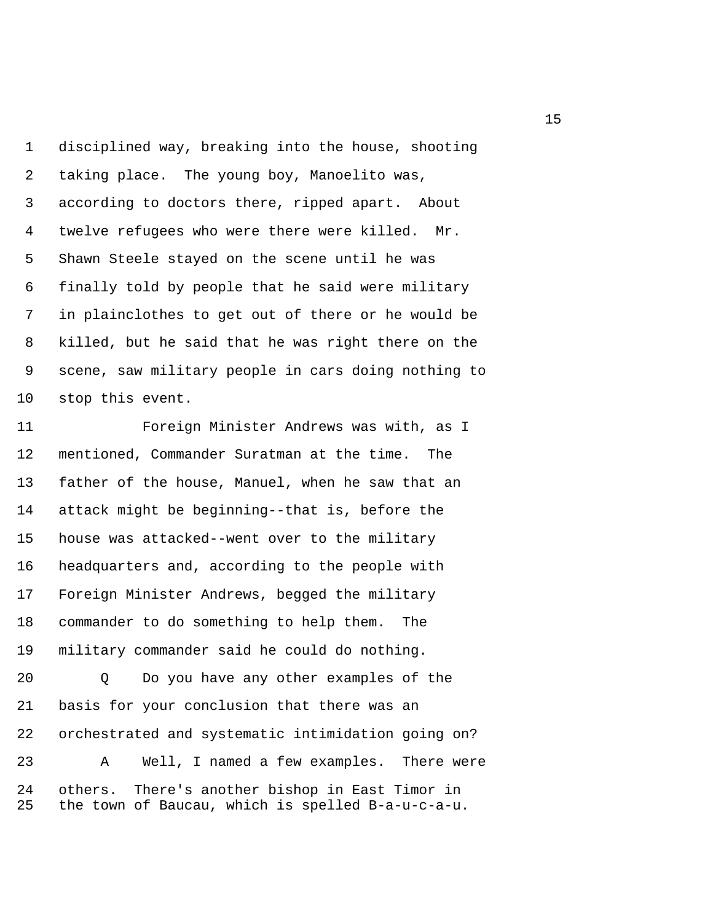1 disciplined way, breaking into the house, shooting 2 taking place. The young boy, Manoelito was, 3 according to doctors there, ripped apart. About 4 twelve refugees who were there were killed. Mr. 5 Shawn Steele stayed on the scene until he was 6 finally told by people that he said were military 7 in plainclothes to get out of there or he would be 8 killed, but he said that he was right there on the 9 scene, saw military people in cars doing nothing to 10 stop this event.

11 Foreign Minister Andrews was with, as I 12 mentioned, Commander Suratman at the time. The 13 father of the house, Manuel, when he saw that an 14 attack might be beginning--that is, before the 15 house was attacked--went over to the military 16 headquarters and, according to the people with 17 Foreign Minister Andrews, begged the military 18 commander to do something to help them. The 19 military commander said he could do nothing.

20 Q Do you have any other examples of the 21 basis for your conclusion that there was an 22 orchestrated and systematic intimidation going on? 23 A Well, I named a few examples. There were

24 others. There's another bishop in East Timor in 25 the town of Baucau, which is spelled B-a-u-c-a-u.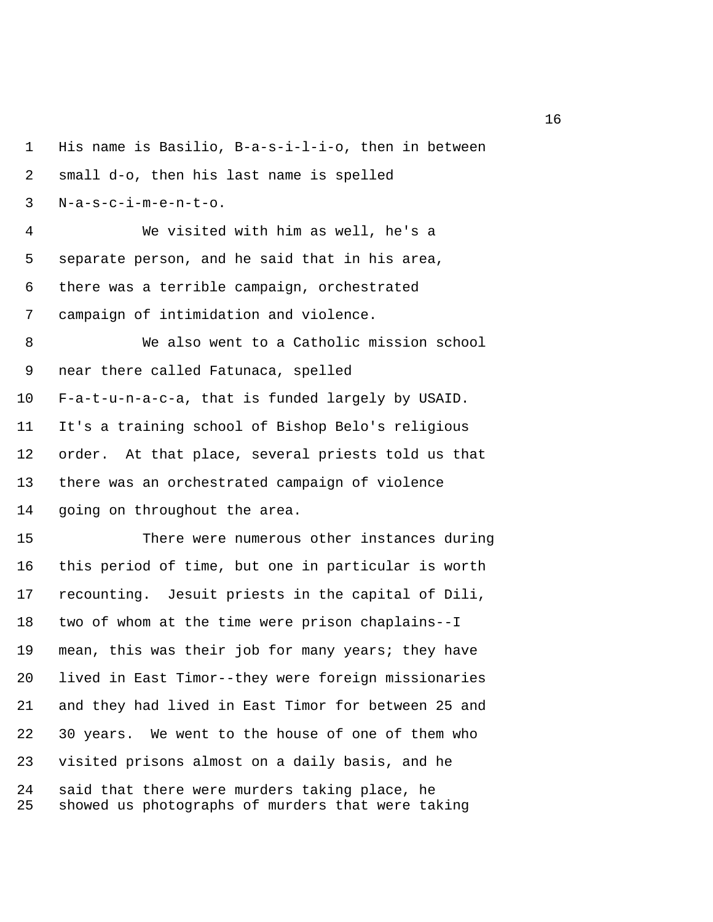1 His name is Basilio, B-a-s-i-l-i-o, then in between 2 small d-o, then his last name is spelled 3 N-a-s-c-i-m-e-n-t-o. 4 We visited with him as well, he's a 5 separate person, and he said that in his area, 6 there was a terrible campaign, orchestrated 7 campaign of intimidation and violence. 8 We also went to a Catholic mission school 9 near there called Fatunaca, spelled 10 F-a-t-u-n-a-c-a, that is funded largely by USAID. 11 It's a training school of Bishop Belo's religious 12 order. At that place, several priests told us that 13 there was an orchestrated campaign of violence 14 going on throughout the area. 15 There were numerous other instances during 16 this period of time, but one in particular is worth 17 recounting. Jesuit priests in the capital of Dili, 18 two of whom at the time were prison chaplains--I 19 mean, this was their job for many years; they have 20 lived in East Timor--they were foreign missionaries 21 and they had lived in East Timor for between 25 and 22 30 years. We went to the house of one of them who 23 visited prisons almost on a daily basis, and he 24 said that there were murders taking place, he 25 showed us photographs of murders that were taking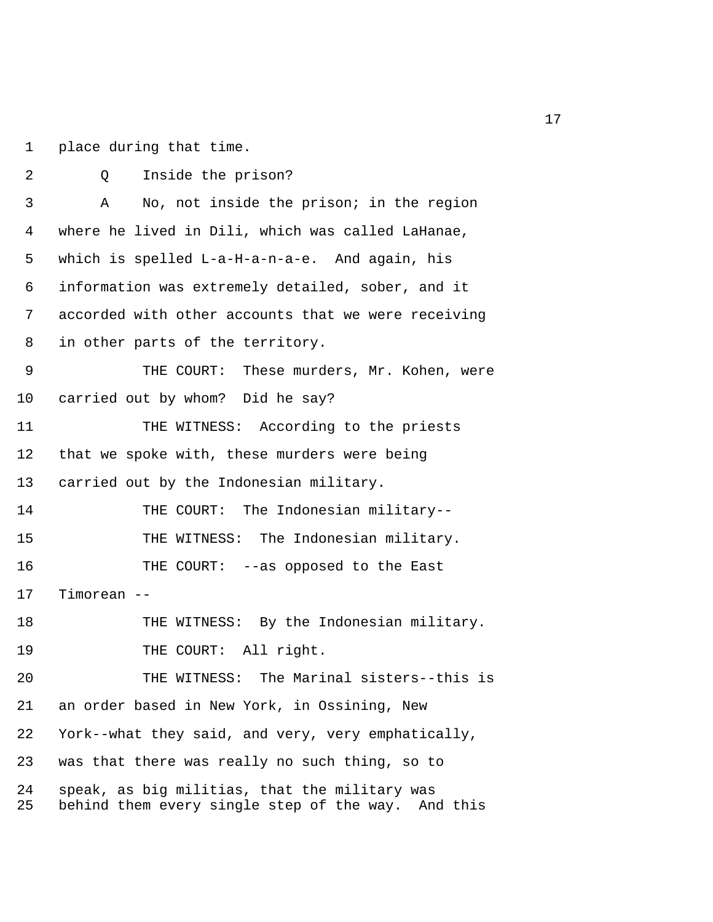1 place during that time.

| 2        | Inside the prison?<br>Q                                                                             |
|----------|-----------------------------------------------------------------------------------------------------|
| 3        | No, not inside the prison; in the region<br>Α                                                       |
| 4        | where he lived in Dili, which was called LaHanae,                                                   |
| 5        | which is spelled L-a-H-a-n-a-e. And again, his                                                      |
| 6        | information was extremely detailed, sober, and it                                                   |
| 7        | accorded with other accounts that we were receiving                                                 |
| 8        | in other parts of the territory.                                                                    |
| 9        | THE COURT: These murders, Mr. Kohen, were                                                           |
| 10       | carried out by whom? Did he say?                                                                    |
| 11       | THE WITNESS: According to the priests                                                               |
| 12       | that we spoke with, these murders were being                                                        |
| 13       | carried out by the Indonesian military.                                                             |
| 14       | THE COURT: The Indonesian military--                                                                |
| 15       | THE WITNESS: The Indonesian military.                                                               |
| 16       | THE COURT: --as opposed to the East                                                                 |
| 17       | Timorean                                                                                            |
| 18       | THE WITNESS: By the Indonesian military.                                                            |
| 19       | THE COURT: All right.                                                                               |
| 20       | The Marinal sisters--this is<br>THE WITNESS:                                                        |
| 21       | an order based in New York, in Ossining, New                                                        |
| 22       | York--what they said, and very, very emphatically,                                                  |
| 23       | was that there was really no such thing, so to                                                      |
| 24<br>25 | speak, as big militias, that the military was<br>behind them every single step of the way. And this |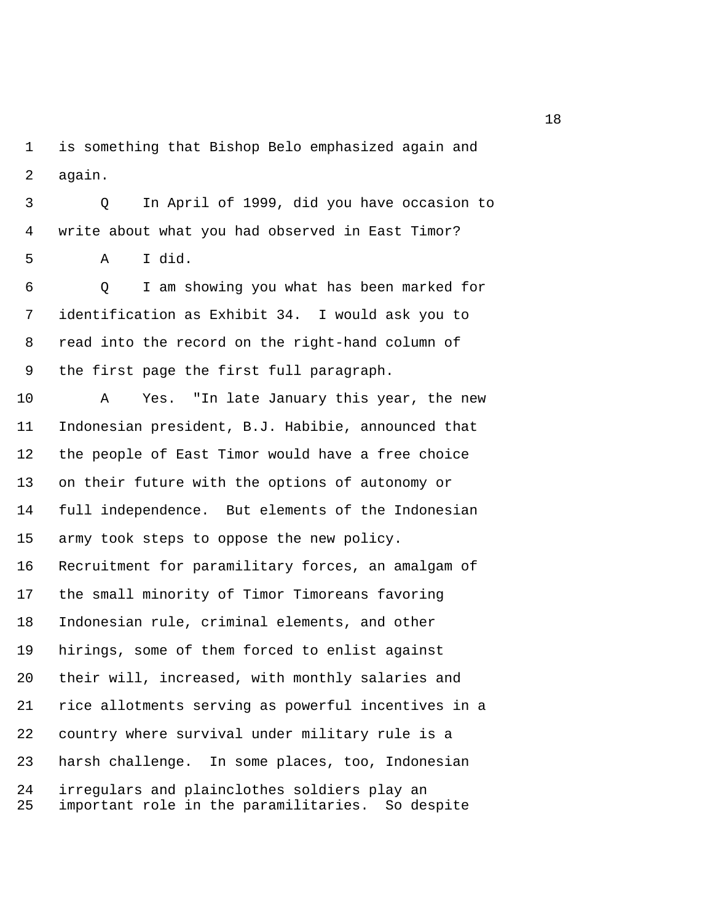1 is something that Bishop Belo emphasized again and 2 again.

 3 Q In April of 1999, did you have occasion to 4 write about what you had observed in East Timor?

5 A I did.

 6 Q I am showing you what has been marked for 7 identification as Exhibit 34. I would ask you to 8 read into the record on the right-hand column of 9 the first page the first full paragraph.

10 A Yes. "In late January this year, the new 11 Indonesian president, B.J. Habibie, announced that 12 the people of East Timor would have a free choice 13 on their future with the options of autonomy or 14 full independence. But elements of the Indonesian 15 army took steps to oppose the new policy. 16 Recruitment for paramilitary forces, an amalgam of 17 the small minority of Timor Timoreans favoring 18 Indonesian rule, criminal elements, and other 19 hirings, some of them forced to enlist against 20 their will, increased, with monthly salaries and 21 rice allotments serving as powerful incentives in a 22 country where survival under military rule is a 23 harsh challenge. In some places, too, Indonesian 24 irregulars and plainclothes soldiers play an 25 important role in the paramilitaries. So despite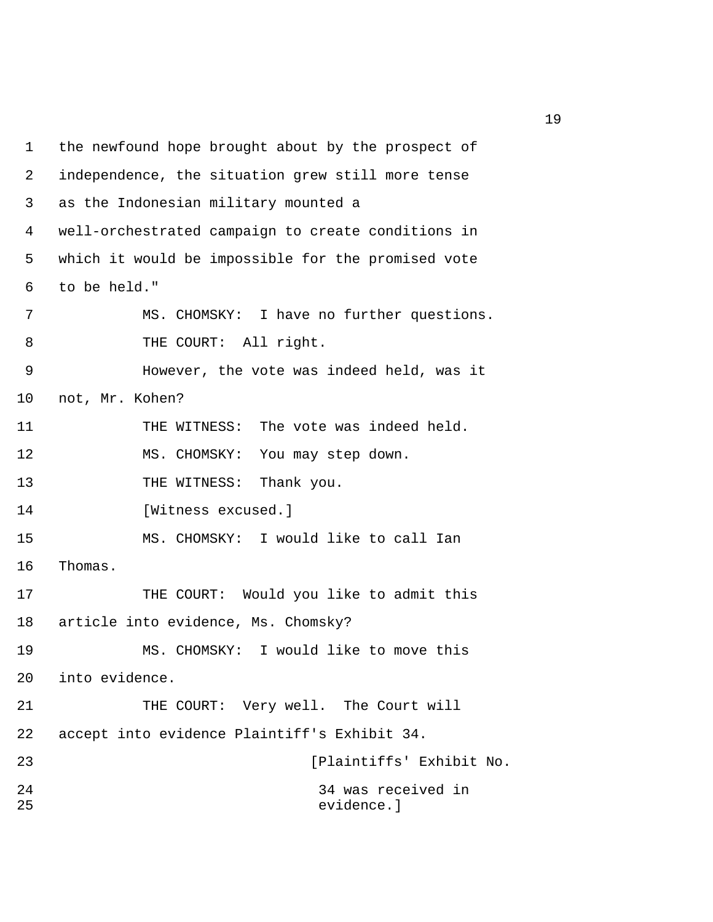1 the newfound hope brought about by the prospect of 2 independence, the situation grew still more tense 3 as the Indonesian military mounted a 4 well-orchestrated campaign to create conditions in 5 which it would be impossible for the promised vote 6 to be held." 7 MS. CHOMSKY: I have no further questions. 8 THE COURT: All right. 9 However, the vote was indeed held, was it 10 not, Mr. Kohen? 11 THE WITNESS: The vote was indeed held. 12 MS. CHOMSKY: You may step down. 13 THE WITNESS: Thank you. 14 [Witness excused.] 15 MS. CHOMSKY: I would like to call Ian 16 Thomas. 17 THE COURT: Would you like to admit this 18 article into evidence, Ms. Chomsky? 19 MS. CHOMSKY: I would like to move this 20 into evidence. 21 THE COURT: Very well. The Court will 22 accept into evidence Plaintiff's Exhibit 34. 23 [Plaintiffs' Exhibit No. 24 34 was received in 25 evidence.]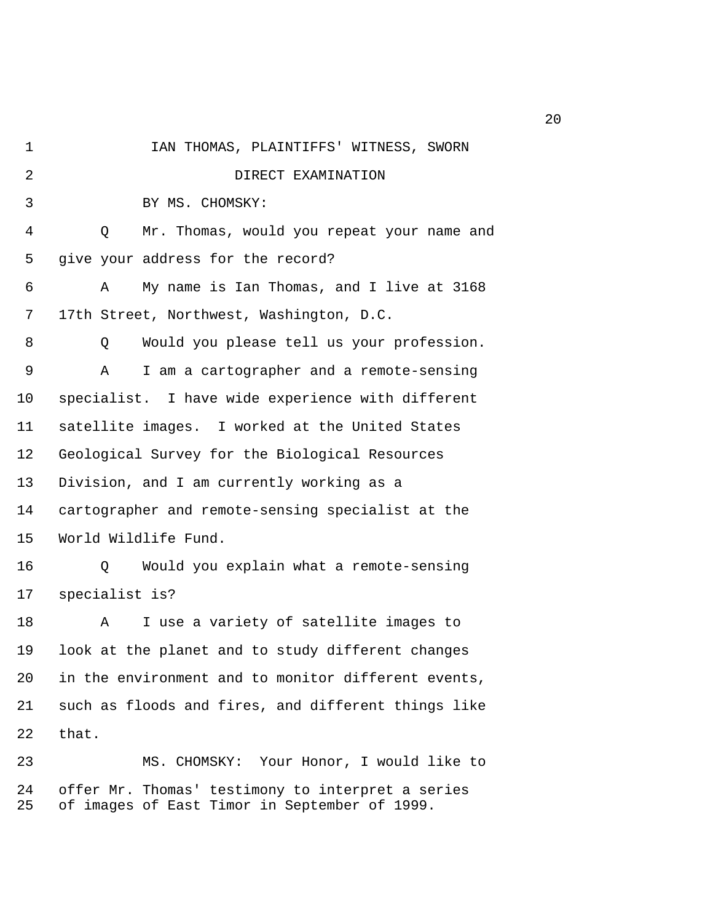1 IAN THOMAS, PLAINTIFFS' WITNESS, SWORN 2 **DIRECT EXAMINATION**  3 BY MS. CHOMSKY: 4 Q Mr. Thomas, would you repeat your name and 5 give your address for the record? 6 A My name is Ian Thomas, and I live at 3168 7 17th Street, Northwest, Washington, D.C. 8 Q Would you please tell us your profession. 9 A I am a cartographer and a remote-sensing 10 specialist. I have wide experience with different 11 satellite images. I worked at the United States 12 Geological Survey for the Biological Resources 13 Division, and I am currently working as a 14 cartographer and remote-sensing specialist at the 15 World Wildlife Fund. 16 Q Would you explain what a remote-sensing 17 specialist is? 18 A I use a variety of satellite images to 19 look at the planet and to study different changes 20 in the environment and to monitor different events, 21 such as floods and fires, and different things like 22 that. 23 MS. CHOMSKY: Your Honor, I would like to 24 offer Mr. Thomas' testimony to interpret a series 25 of images of East Timor in September of 1999.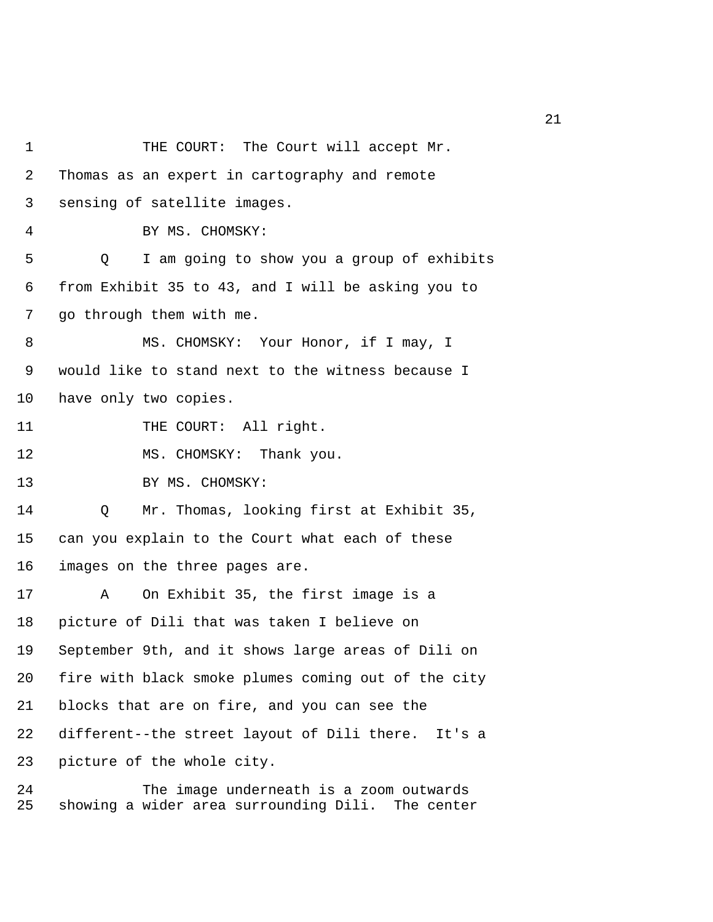1 THE COURT: The Court will accept Mr. 2 Thomas as an expert in cartography and remote 3 sensing of satellite images. 4 BY MS. CHOMSKY: 5 Q I am going to show you a group of exhibits 6 from Exhibit 35 to 43, and I will be asking you to 7 go through them with me. 8 MS. CHOMSKY: Your Honor, if I may, I 9 would like to stand next to the witness because I 10 have only two copies. 11 THE COURT: All right. 12 MS. CHOMSKY: Thank you. 13 BY MS. CHOMSKY: 14 Q Mr. Thomas, looking first at Exhibit 35, 15 can you explain to the Court what each of these 16 images on the three pages are. 17 A On Exhibit 35, the first image is a 18 picture of Dili that was taken I believe on 19 September 9th, and it shows large areas of Dili on 20 fire with black smoke plumes coming out of the city 21 blocks that are on fire, and you can see the 22 different--the street layout of Dili there. It's a 23 picture of the whole city.

24 The image underneath is a zoom outwards 25 showing a wider area surrounding Dili. The center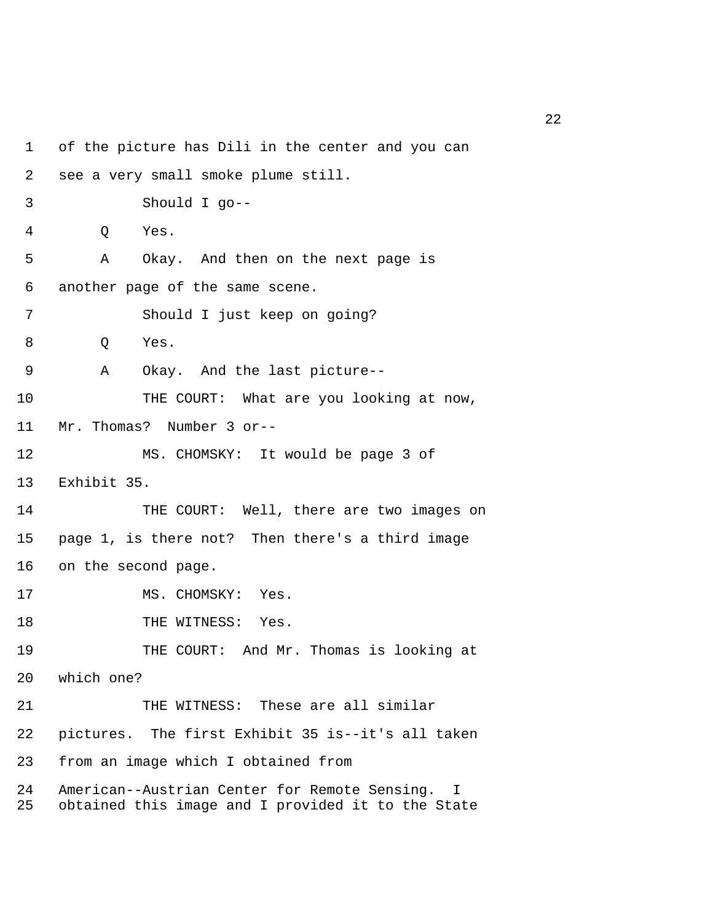1 of the picture has Dili in the center and you can 2 see a very small smoke plume still. 3 Should I go-- 4 Q Yes. 5 A Okay. And then on the next page is 6 another page of the same scene. 7 Should I just keep on going? 8 Q Yes. 9 A Okay. And the last picture-- 10 THE COURT: What are you looking at now, 11 Mr. Thomas? Number 3 or-- 12 MS. CHOMSKY: It would be page 3 of 13 Exhibit 35. 14 THE COURT: Well, there are two images on 15 page 1, is there not? Then there's a third image 16 on the second page. 17 MS. CHOMSKY: Yes. 18 THE WITNESS: Yes. 19 THE COURT: And Mr. Thomas is looking at 20 which one? 21 THE WITNESS: These are all similar 22 pictures. The first Exhibit 35 is--it's all taken 23 from an image which I obtained from 24 American--Austrian Center for Remote Sensing. I 25 obtained this image and I provided it to the State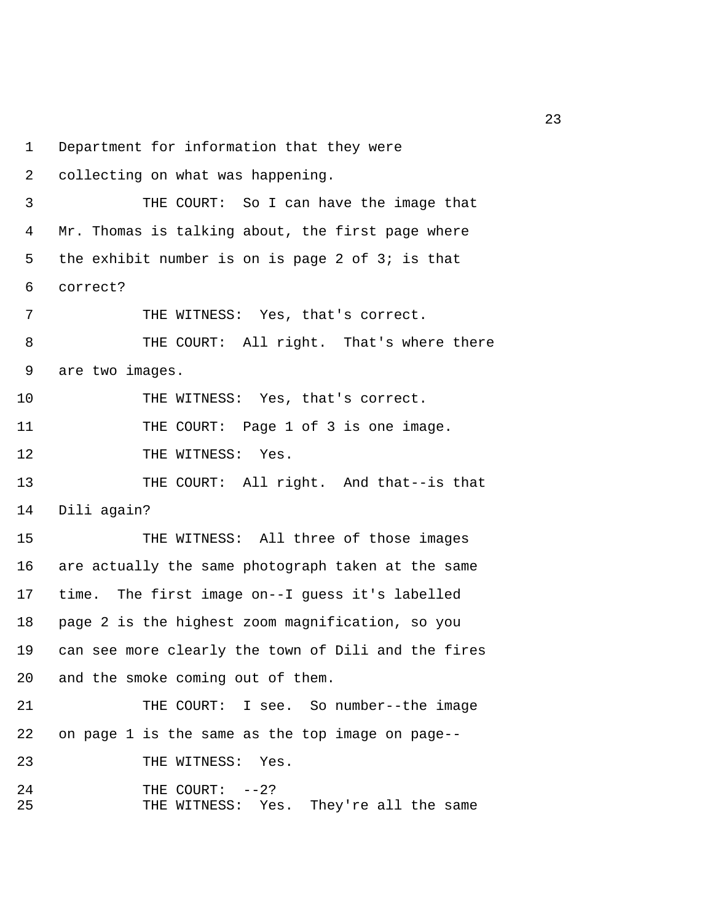1 Department for information that they were 2 collecting on what was happening. 3 THE COURT: So I can have the image that 4 Mr. Thomas is talking about, the first page where 5 the exhibit number is on is page 2 of 3; is that 6 correct? 7 THE WITNESS: Yes, that's correct. 8 THE COURT: All right. That's where there 9 are two images. 10 THE WITNESS: Yes, that's correct. 11 THE COURT: Page 1 of 3 is one image. 12 THE WITNESS: Yes. 13 THE COURT: All right. And that--is that 14 Dili again? 15 THE WITNESS: All three of those images 16 are actually the same photograph taken at the same 17 time. The first image on--I guess it's labelled 18 page 2 is the highest zoom magnification, so you 19 can see more clearly the town of Dili and the fires 20 and the smoke coming out of them. 21 THE COURT: I see. So number--the image 22 on page 1 is the same as the top image on page-- 23 THE WITNESS: Yes. 24 THE COURT: --2? 25 THE WITNESS: Yes. They're all the same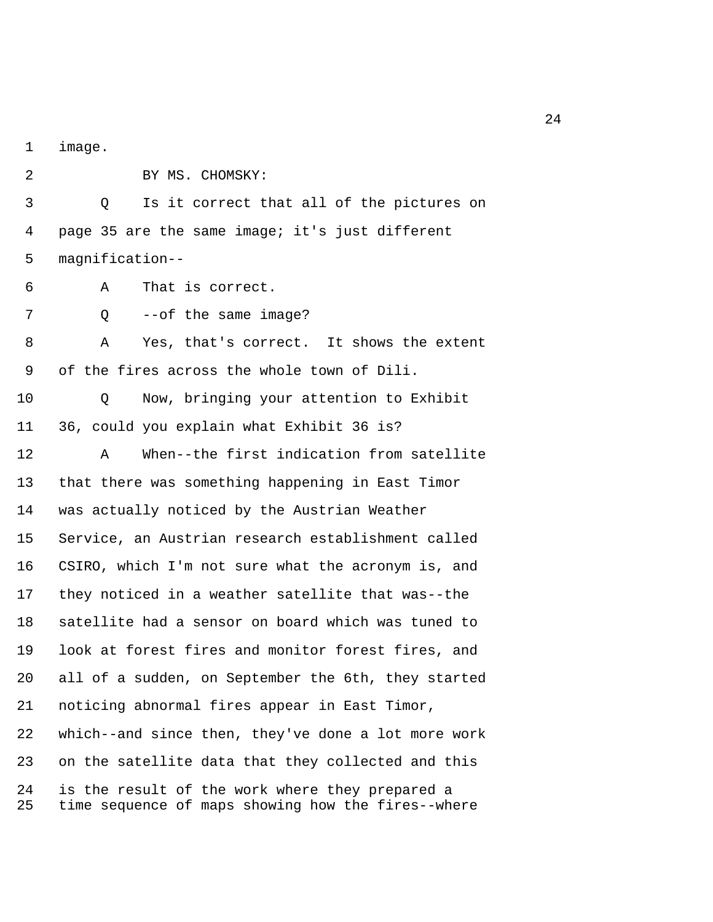1 image.

2 BY MS. CHOMSKY:

 3 Q Is it correct that all of the pictures on 4 page 35 are the same image; it's just different 5 magnification--

6 A That is correct.

7 Q --of the same image?

 8 A Yes, that's correct. It shows the extent 9 of the fires across the whole town of Dili.

10 Q Now, bringing your attention to Exhibit 11 36, could you explain what Exhibit 36 is?

12 A When--the first indication from satellite 13 that there was something happening in East Timor 14 was actually noticed by the Austrian Weather 15 Service, an Austrian research establishment called 16 CSIRO, which I'm not sure what the acronym is, and 17 they noticed in a weather satellite that was--the 18 satellite had a sensor on board which was tuned to 19 look at forest fires and monitor forest fires, and 20 all of a sudden, on September the 6th, they started 21 noticing abnormal fires appear in East Timor, 22 which--and since then, they've done a lot more work 23 on the satellite data that they collected and this 24 is the result of the work where they prepared a 25 time sequence of maps showing how the fires--where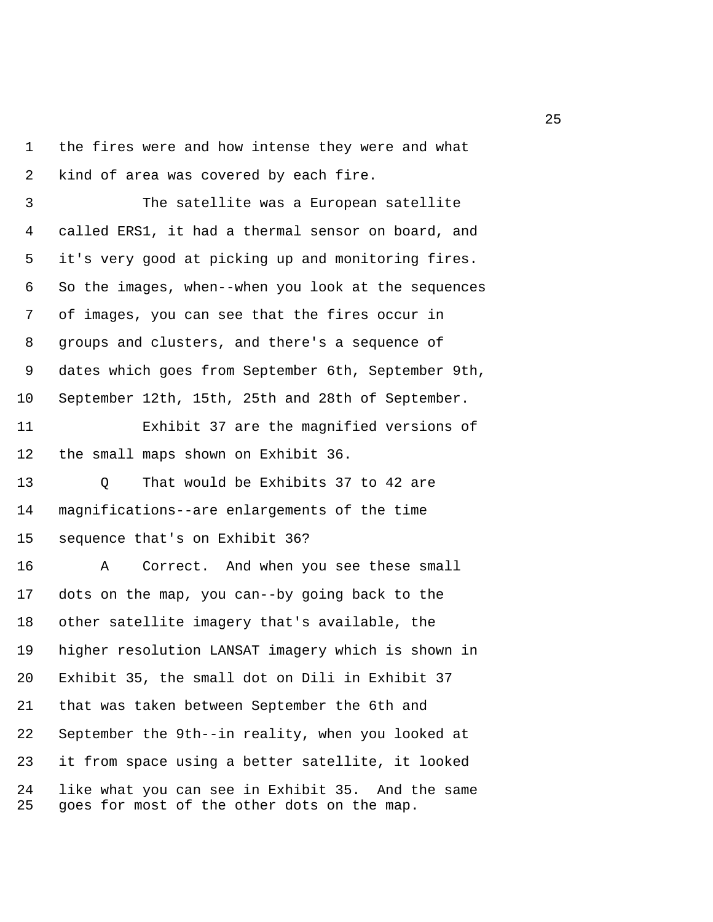1 the fires were and how intense they were and what 2 kind of area was covered by each fire.

 3 The satellite was a European satellite 4 called ERS1, it had a thermal sensor on board, and 5 it's very good at picking up and monitoring fires. 6 So the images, when--when you look at the sequences 7 of images, you can see that the fires occur in 8 groups and clusters, and there's a sequence of 9 dates which goes from September 6th, September 9th, 10 September 12th, 15th, 25th and 28th of September.

11 Exhibit 37 are the magnified versions of 12 the small maps shown on Exhibit 36.

13 O That would be Exhibits 37 to 42 are 14 magnifications--are enlargements of the time 15 sequence that's on Exhibit 36?

16 A Correct. And when you see these small 17 dots on the map, you can--by going back to the 18 other satellite imagery that's available, the 19 higher resolution LANSAT imagery which is shown in 20 Exhibit 35, the small dot on Dili in Exhibit 37 21 that was taken between September the 6th and 22 September the 9th--in reality, when you looked at 23 it from space using a better satellite, it looked 24 like what you can see in Exhibit 35. And the same 25 goes for most of the other dots on the map.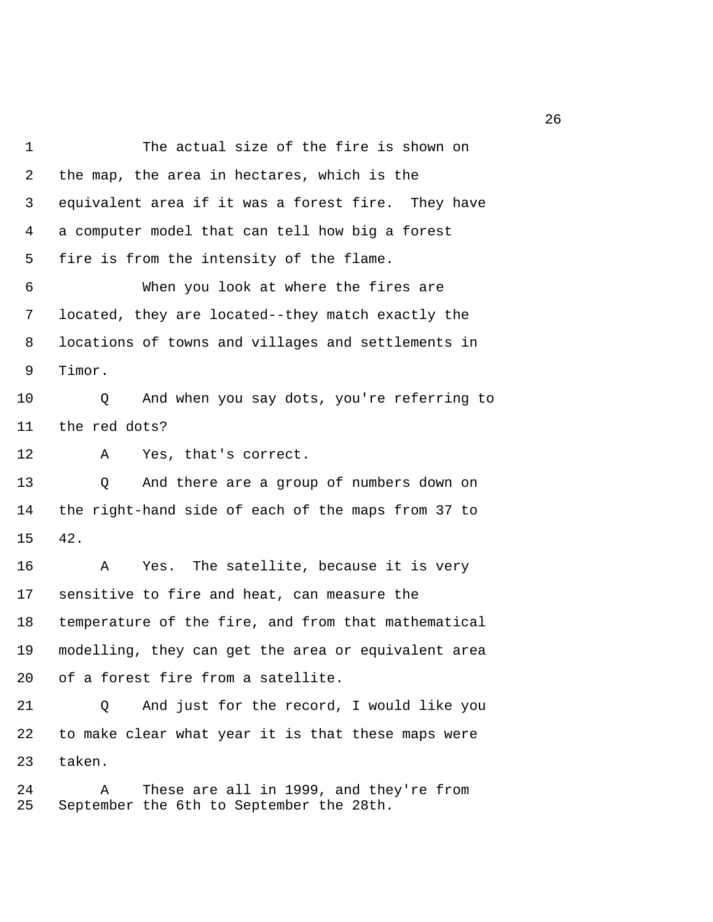1 The actual size of the fire is shown on 2 the map, the area in hectares, which is the 3 equivalent area if it was a forest fire. They have 4 a computer model that can tell how big a forest 5 fire is from the intensity of the flame. 6 When you look at where the fires are 7 located, they are located--they match exactly the 8 locations of towns and villages and settlements in 9 Timor. 10 Q And when you say dots, you're referring to 11 the red dots? 12 A Yes, that's correct. 13 Q And there are a group of numbers down on 14 the right-hand side of each of the maps from 37 to 15 42. 16 A Yes. The satellite, because it is very 17 sensitive to fire and heat, can measure the 18 temperature of the fire, and from that mathematical 19 modelling, they can get the area or equivalent area 20 of a forest fire from a satellite. 21 Q And just for the record, I would like you 22 to make clear what year it is that these maps were 23 taken. 24 A These are all in 1999, and they're from 25 September the 6th to September the 28th.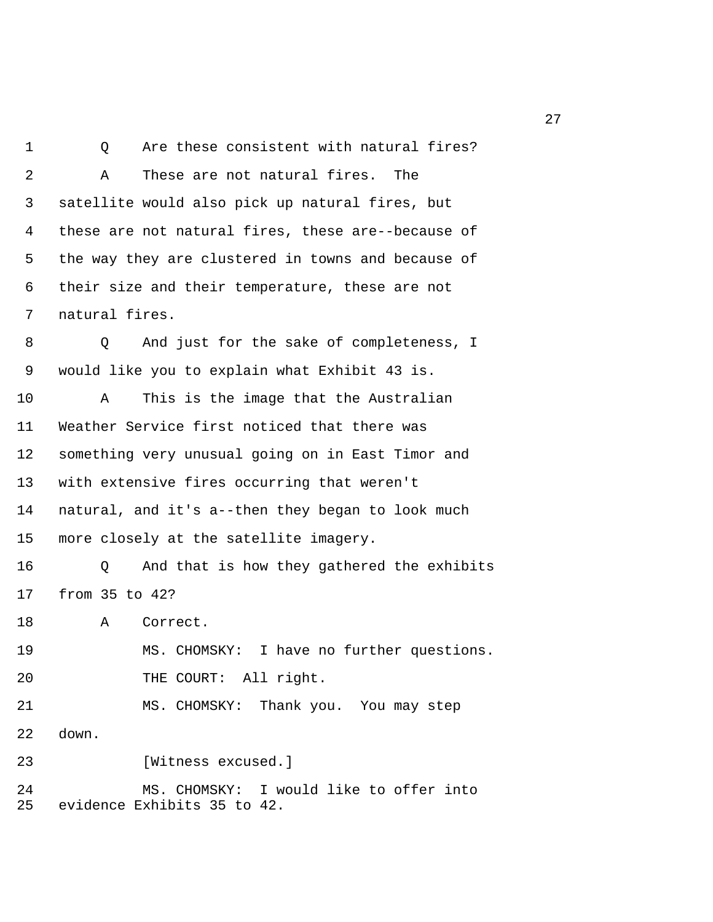1 0 Are these consistent with natural fires? 2 A These are not natural fires. The 3 satellite would also pick up natural fires, but 4 these are not natural fires, these are--because of 5 the way they are clustered in towns and because of 6 their size and their temperature, these are not 7 natural fires. 8 Q And just for the sake of completeness, I 9 would like you to explain what Exhibit 43 is. 10 A This is the image that the Australian 11 Weather Service first noticed that there was 12 something very unusual going on in East Timor and 13 with extensive fires occurring that weren't 14 natural, and it's a--then they began to look much 15 more closely at the satellite imagery. 16 Q And that is how they gathered the exhibits 17 from 35 to 42? 18 A Correct. 19 MS. CHOMSKY: I have no further questions. 20 THE COURT: All right. 21 MS. CHOMSKY: Thank you. You may step 22 down. 23 [Witness excused.] 24 MS. CHOMSKY: I would like to offer into 25 evidence Exhibits 35 to 42.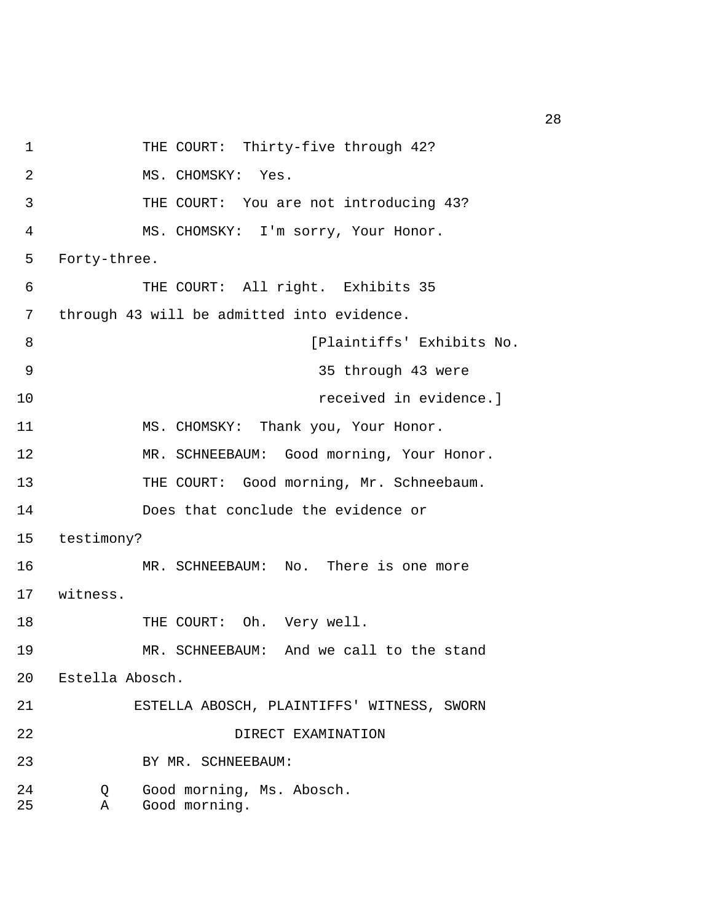1 THE COURT: Thirty-five through 42? 2 MS. CHOMSKY: Yes. 3 THE COURT: You are not introducing 43? 4 MS. CHOMSKY: I'm sorry, Your Honor. 5 Forty-three. 6 THE COURT: All right. Exhibits 35 7 through 43 will be admitted into evidence. 8 [Plaintiffs' Exhibits No. 9 35 through 43 were 10 received in evidence.] 11 MS. CHOMSKY: Thank you, Your Honor. 12 MR. SCHNEEBAUM: Good morning, Your Honor. 13 THE COURT: Good morning, Mr. Schneebaum. 14 Does that conclude the evidence or 15 testimony? 16 MR. SCHNEEBAUM: No. There is one more 17 witness. 18 THE COURT: Oh. Very well. 19 MR. SCHNEEBAUM: And we call to the stand 20 Estella Abosch. 21 ESTELLA ABOSCH, PLAINTIFFS' WITNESS, SWORN 22 DIRECT EXAMINATION 23 BY MR. SCHNEEBAUM: 24 Q Good morning, Ms. Abosch. 25 A Good morning.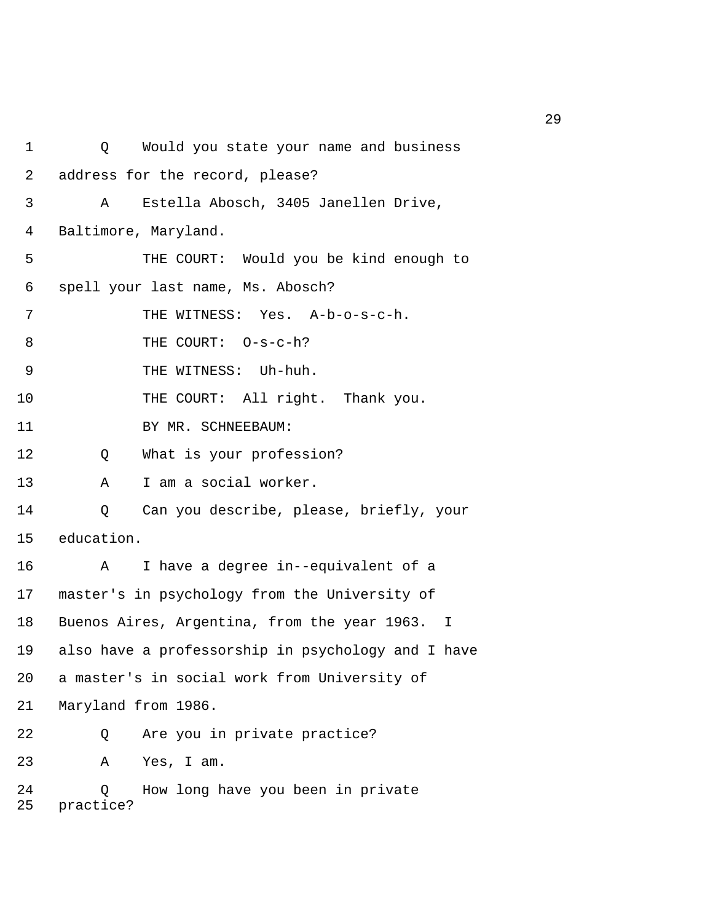| 1        | Would you state your name and business<br>Q         |
|----------|-----------------------------------------------------|
| 2        | address for the record, please?                     |
| 3        | Estella Abosch, 3405 Janellen Drive,<br>Α           |
| 4        | Baltimore, Maryland.                                |
| 5        | THE COURT: Would you be kind enough to              |
| 6        | spell your last name, Ms. Abosch?                   |
| 7        | THE WITNESS: Yes. A-b-o-s-c-h.                      |
| 8        | THE COURT: 0-s-c-h?                                 |
| 9        | THE WITNESS: Uh-huh.                                |
| 10       | THE COURT: All right. Thank you.                    |
| 11       | BY MR. SCHNEEBAUM:                                  |
| 12       | What is your profession?<br>Q                       |
| 13       | I am a social worker.<br>Α                          |
| 14       | Can you describe, please, briefly, your<br>Q        |
| 15       | education.                                          |
| 16       | I have a degree in--equivalent of a<br>Α            |
| 17       | master's in psychology from the University of       |
| 18       | Buenos Aires, Argentina, from the year 1963. I      |
| 19       | also have a professorship in psychology and I have  |
| 20       | a master's in social work from University of        |
| 21       | Maryland from 1986.                                 |
| 22       | Are you in private practice?<br>Q                   |
| 23       | Yes, I am.<br>Α                                     |
| 24<br>25 | How long have you been in private<br>0<br>practice? |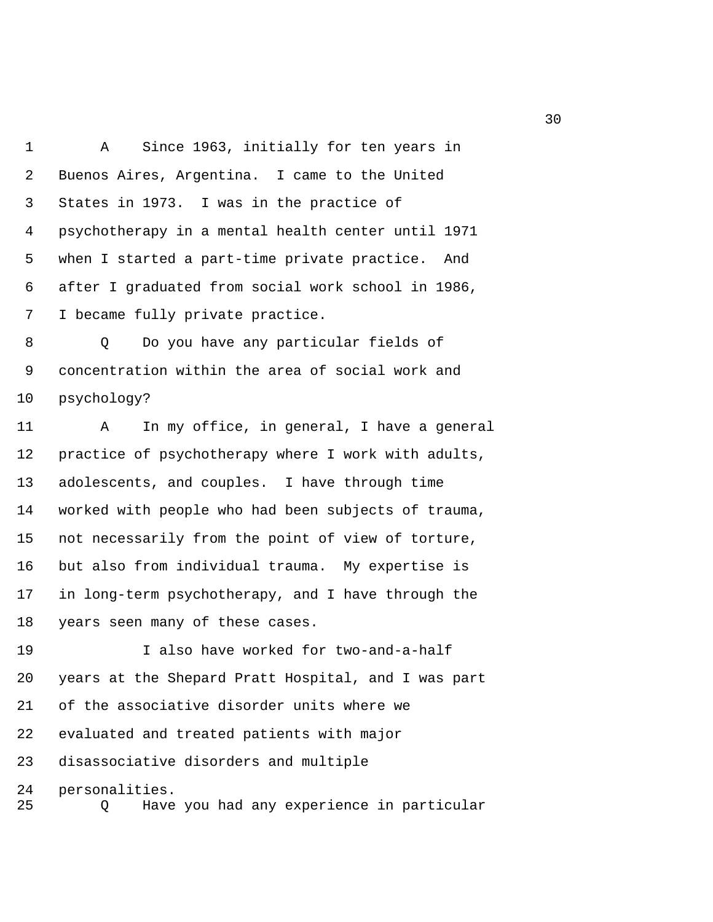1 A Since 1963, initially for ten years in 2 Buenos Aires, Argentina. I came to the United 3 States in 1973. I was in the practice of 4 psychotherapy in a mental health center until 1971 5 when I started a part-time private practice. And 6 after I graduated from social work school in 1986, 7 I became fully private practice.

 8 Q Do you have any particular fields of 9 concentration within the area of social work and 10 psychology?

11 A In my office, in general, I have a general 12 practice of psychotherapy where I work with adults, 13 adolescents, and couples. I have through time 14 worked with people who had been subjects of trauma, 15 not necessarily from the point of view of torture, 16 but also from individual trauma. My expertise is 17 in long-term psychotherapy, and I have through the 18 years seen many of these cases.

19 I also have worked for two-and-a-half 20 years at the Shepard Pratt Hospital, and I was part 21 of the associative disorder units where we 22 evaluated and treated patients with major 23 disassociative disorders and multiple 24 personalities. 25 Q Have you had any experience in particular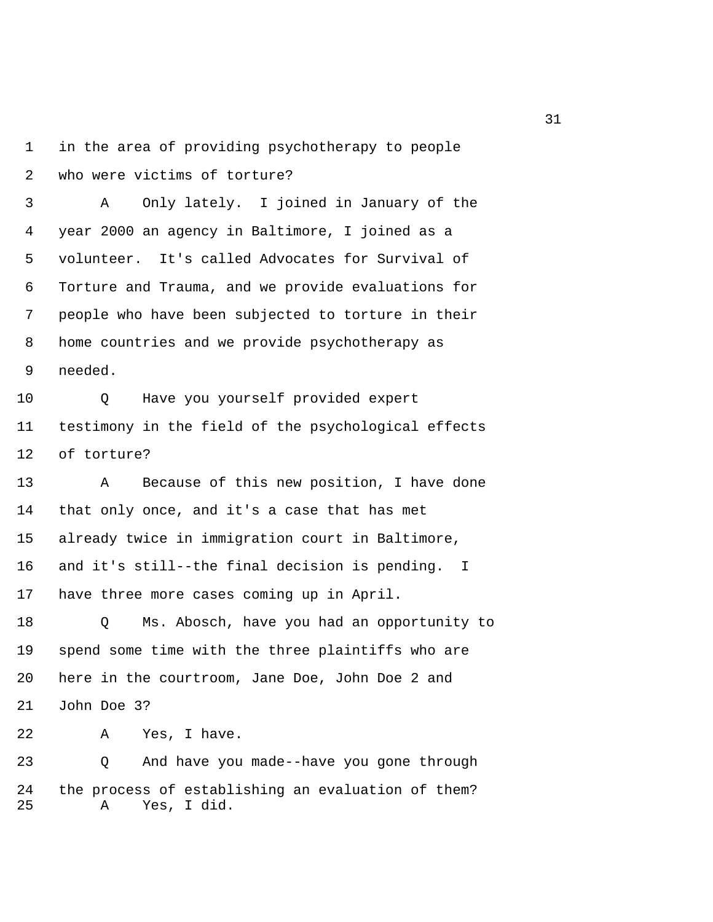1 in the area of providing psychotherapy to people 2 who were victims of torture?

 3 A Only lately. I joined in January of the 4 year 2000 an agency in Baltimore, I joined as a 5 volunteer. It's called Advocates for Survival of 6 Torture and Trauma, and we provide evaluations for 7 people who have been subjected to torture in their 8 home countries and we provide psychotherapy as 9 needed.

10 Q Have you yourself provided expert 11 testimony in the field of the psychological effects 12 of torture?

13 A Because of this new position, I have done 14 that only once, and it's a case that has met 15 already twice in immigration court in Baltimore, 16 and it's still--the final decision is pending. I 17 have three more cases coming up in April.

18 Q Ms. Abosch, have you had an opportunity to 19 spend some time with the three plaintiffs who are 20 here in the courtroom, Jane Doe, John Doe 2 and 21 John Doe 3?

22 A Yes, I have.

23 Q And have you made--have you gone through 24 the process of establishing an evaluation of them? 25 A Yes, I did.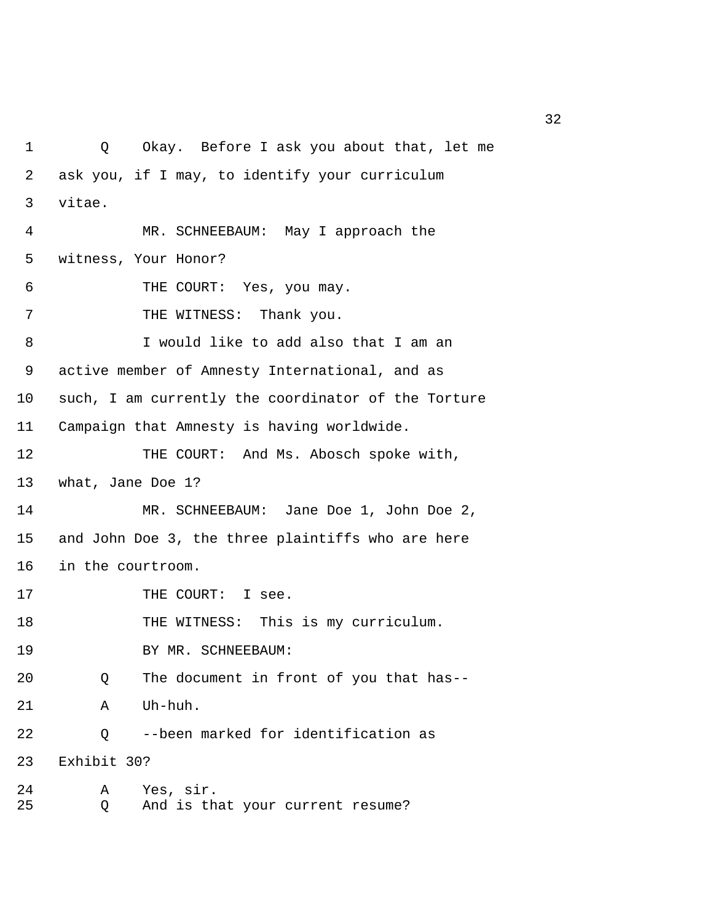1 Q Okay. Before I ask you about that, let me 2 ask you, if I may, to identify your curriculum 3 vitae. 4 MR. SCHNEEBAUM: May I approach the 5 witness, Your Honor? 6 THE COURT: Yes, you may. 7 THE WITNESS: Thank you. 8 I would like to add also that I am an 9 active member of Amnesty International, and as 10 such, I am currently the coordinator of the Torture 11 Campaign that Amnesty is having worldwide. 12 THE COURT: And Ms. Abosch spoke with, 13 what, Jane Doe 1? 14 MR. SCHNEEBAUM: Jane Doe 1, John Doe 2, 15 and John Doe 3, the three plaintiffs who are here 16 in the courtroom. 17 THE COURT: I see. 18 THE WITNESS: This is my curriculum. 19 BY MR. SCHNEEBAUM: 20 Q The document in front of you that has-- 21 A Uh-huh. 22 Q --been marked for identification as 23 Exhibit 30? 24 A Yes, sir. 25 Q And is that your current resume?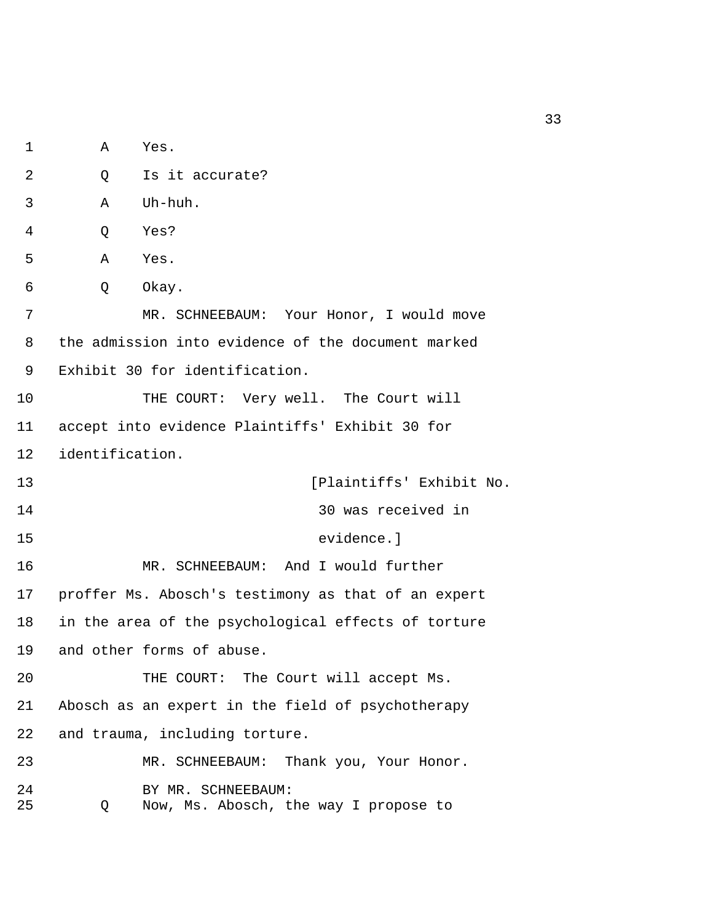1 A Yes. 2 0 Is it accurate? 3 A Uh-huh. 4 Q Yes? 5 A Yes. 6 Q Okay. 7 MR. SCHNEEBAUM: Your Honor, I would move 8 the admission into evidence of the document marked 9 Exhibit 30 for identification. 10 THE COURT: Very well. The Court will 11 accept into evidence Plaintiffs' Exhibit 30 for 12 identification. 13 **13 Exhibit No.** [Plaintiffs' Exhibit No. 14 30 was received in 15 evidence.] 16 MR. SCHNEEBAUM: And I would further 17 proffer Ms. Abosch's testimony as that of an expert 18 in the area of the psychological effects of torture 19 and other forms of abuse. 20 THE COURT: The Court will accept Ms. 21 Abosch as an expert in the field of psychotherapy 22 and trauma, including torture. 23 MR. SCHNEEBAUM: Thank you, Your Honor. 24 BY MR. SCHNEEBAUM: 25 Q Now, Ms. Abosch, the way I propose to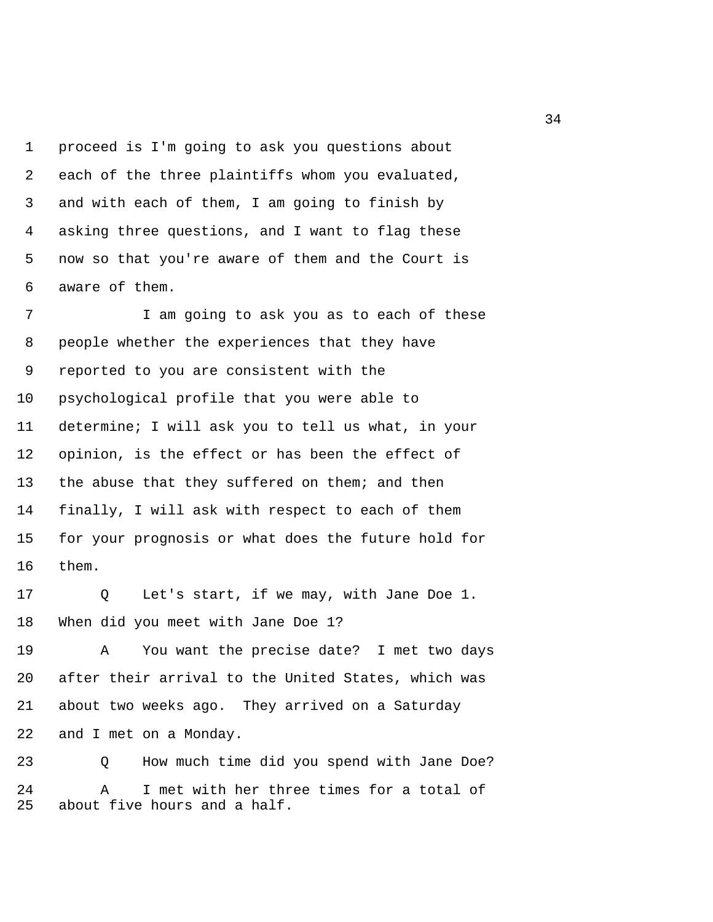1 proceed is I'm going to ask you questions about 2 each of the three plaintiffs whom you evaluated, 3 and with each of them, I am going to finish by 4 asking three questions, and I want to flag these 5 now so that you're aware of them and the Court is 6 aware of them.

 7 I am going to ask you as to each of these 8 people whether the experiences that they have 9 reported to you are consistent with the 10 psychological profile that you were able to 11 determine; I will ask you to tell us what, in your 12 opinion, is the effect or has been the effect of 13 the abuse that they suffered on them; and then 14 finally, I will ask with respect to each of them 15 for your prognosis or what does the future hold for 16 them.

17 Q Let's start, if we may, with Jane Doe 1. 18 When did you meet with Jane Doe 1?

19 A You want the precise date? I met two days 20 after their arrival to the United States, which was 21 about two weeks ago. They arrived on a Saturday 22 and I met on a Monday.

23 Q How much time did you spend with Jane Doe? 24 A I met with her three times for a total of 25 about five hours and a half.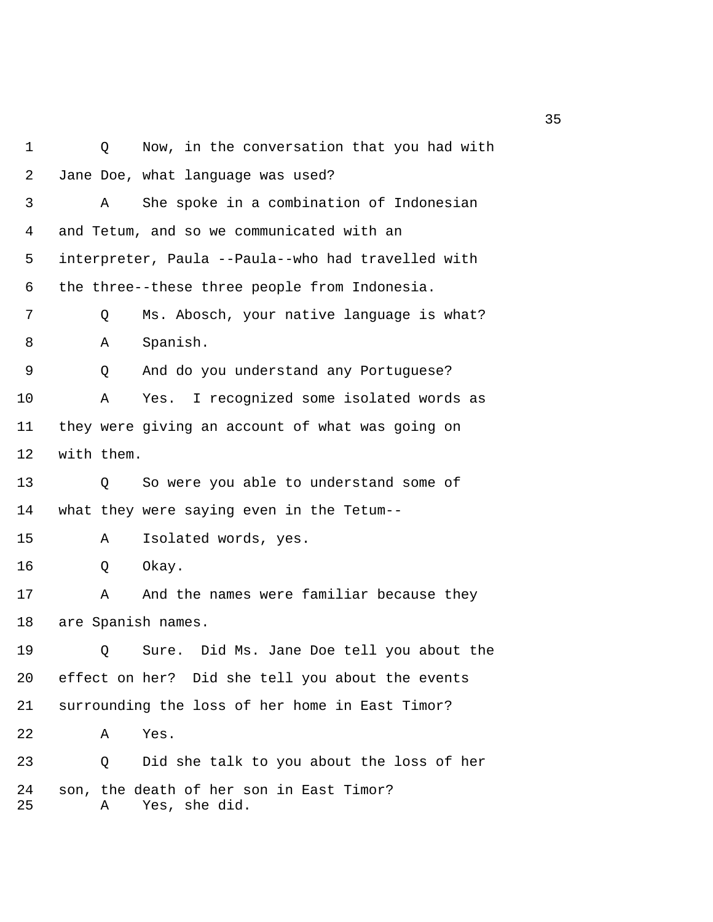1 Q Now, in the conversation that you had with 2 Jane Doe, what language was used? 3 A She spoke in a combination of Indonesian 4 and Tetum, and so we communicated with an 5 interpreter, Paula --Paula--who had travelled with 6 the three--these three people from Indonesia. 7 Q Ms. Abosch, your native language is what? 8 A Spanish. 9 Q And do you understand any Portuguese? 10 A Yes. I recognized some isolated words as 11 they were giving an account of what was going on 12 with them. 13 Q So were you able to understand some of 14 what they were saying even in the Tetum-- 15 A Isolated words, yes. 16 Q Okay. 17 A And the names were familiar because they 18 are Spanish names. 19 Q Sure. Did Ms. Jane Doe tell you about the 20 effect on her? Did she tell you about the events 21 surrounding the loss of her home in East Timor? 22 A Yes. 23 Q Did she talk to you about the loss of her 24 son, the death of her son in East Timor? 25 A Yes, she did.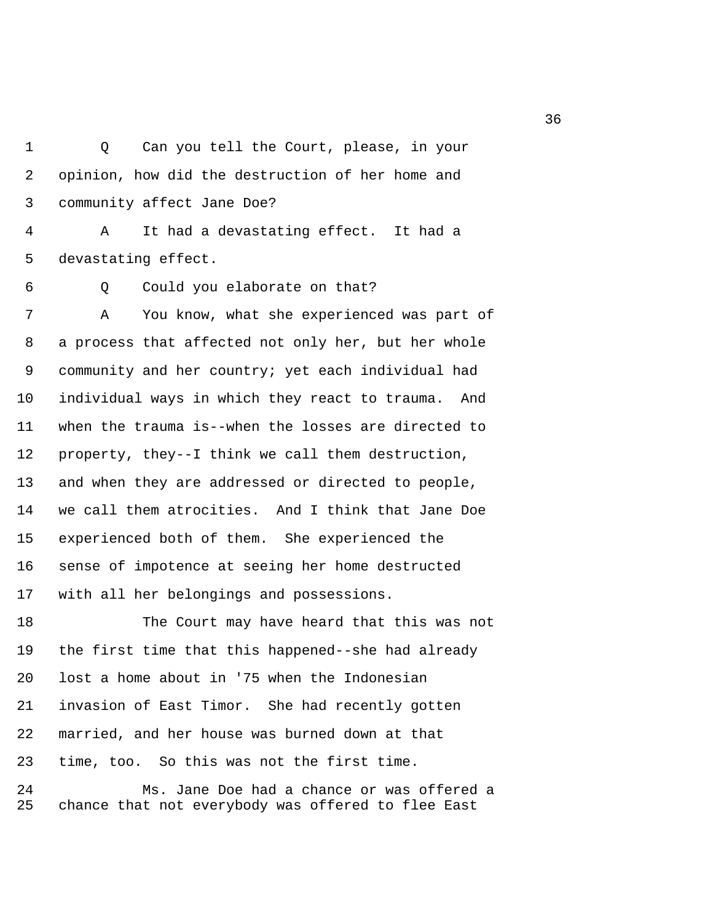1 Q Can you tell the Court, please, in your 2 opinion, how did the destruction of her home and 3 community affect Jane Doe?

 4 A It had a devastating effect. It had a 5 devastating effect.

6 Q Could you elaborate on that?

 7 A You know, what she experienced was part of 8 a process that affected not only her, but her whole 9 community and her country; yet each individual had 10 individual ways in which they react to trauma. And 11 when the trauma is--when the losses are directed to 12 property, they--I think we call them destruction, 13 and when they are addressed or directed to people, 14 we call them atrocities. And I think that Jane Doe 15 experienced both of them. She experienced the 16 sense of impotence at seeing her home destructed 17 with all her belongings and possessions.

18 The Court may have heard that this was not 19 the first time that this happened--she had already 20 lost a home about in '75 when the Indonesian 21 invasion of East Timor. She had recently gotten 22 married, and her house was burned down at that 23 time, too. So this was not the first time.

24 Ms. Jane Doe had a chance or was offered a 25 chance that not everybody was offered to flee East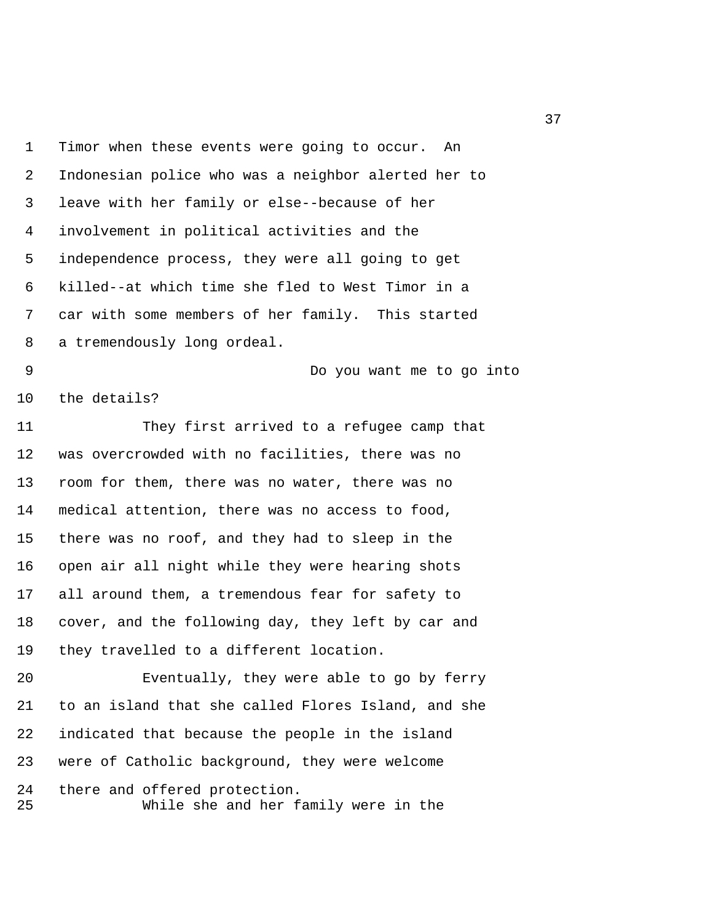1 Timor when these events were going to occur. An 2 Indonesian police who was a neighbor alerted her to 3 leave with her family or else--because of her 4 involvement in political activities and the 5 independence process, they were all going to get 6 killed--at which time she fled to West Timor in a 7 car with some members of her family. This started 8 a tremendously long ordeal. 9 Do you want me to go into 10 the details? 11 They first arrived to a refugee camp that 12 was overcrowded with no facilities, there was no 13 room for them, there was no water, there was no 14 medical attention, there was no access to food, 15 there was no roof, and they had to sleep in the 16 open air all night while they were hearing shots 17 all around them, a tremendous fear for safety to 18 cover, and the following day, they left by car and 19 they travelled to a different location. 20 Eventually, they were able to go by ferry 21 to an island that she called Flores Island, and she 22 indicated that because the people in the island 23 were of Catholic background, they were welcome

24 there and offered protection. 25 While she and her family were in the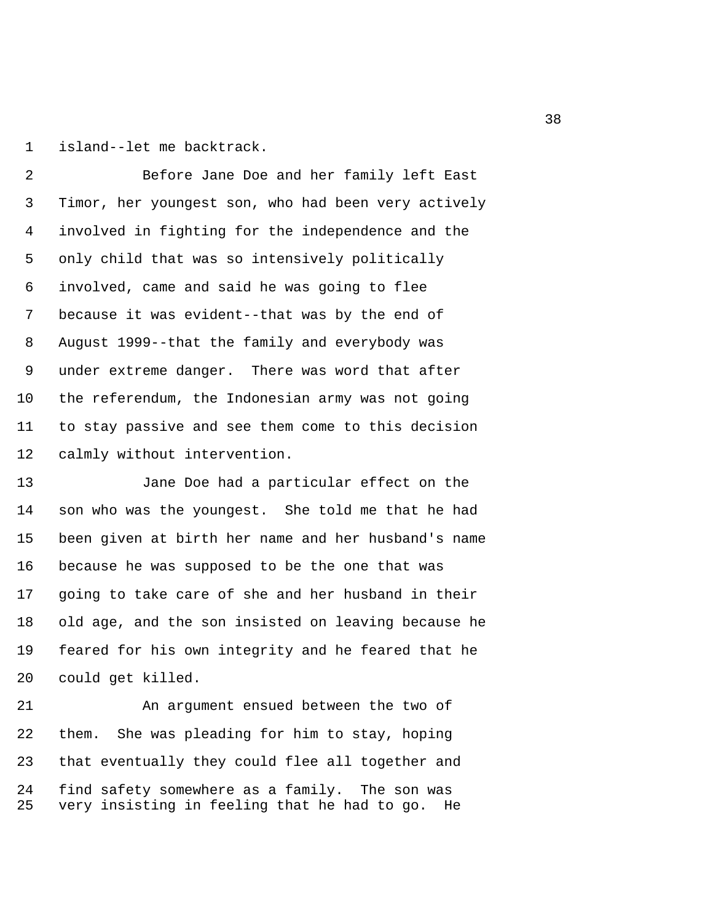1 island--let me backtrack.

 2 Before Jane Doe and her family left East 3 Timor, her youngest son, who had been very actively 4 involved in fighting for the independence and the 5 only child that was so intensively politically 6 involved, came and said he was going to flee 7 because it was evident--that was by the end of 8 August 1999--that the family and everybody was 9 under extreme danger. There was word that after 10 the referendum, the Indonesian army was not going 11 to stay passive and see them come to this decision 12 calmly without intervention.

13 Jane Doe had a particular effect on the 14 son who was the youngest. She told me that he had 15 been given at birth her name and her husband's name 16 because he was supposed to be the one that was 17 going to take care of she and her husband in their 18 old age, and the son insisted on leaving because he 19 feared for his own integrity and he feared that he 20 could get killed.

21 An argument ensued between the two of 22 them. She was pleading for him to stay, hoping 23 that eventually they could flee all together and 24 find safety somewhere as a family. The son was 25 very insisting in feeling that he had to go. He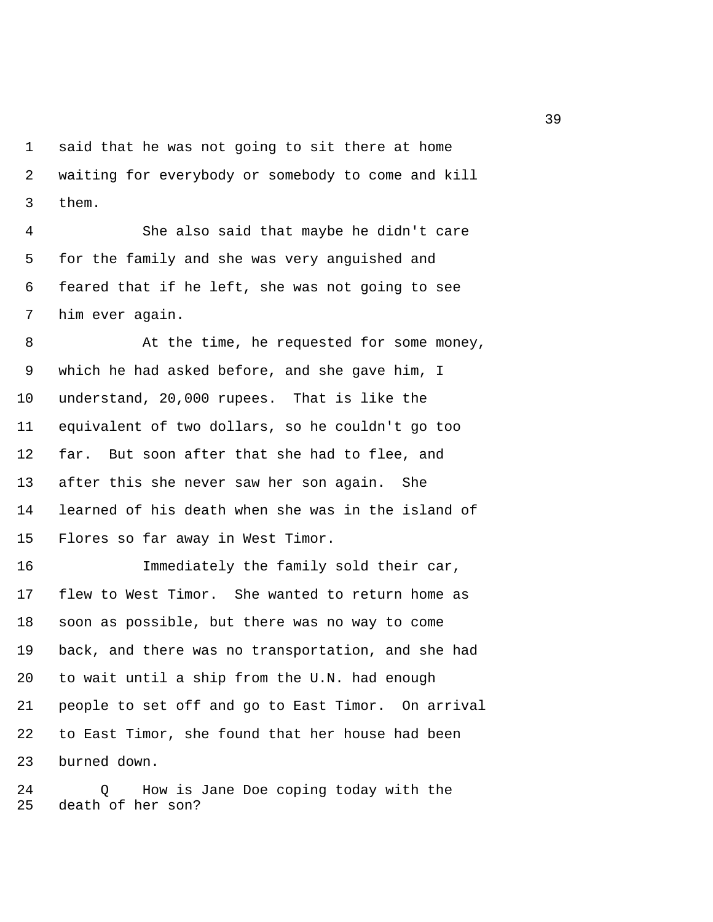1 said that he was not going to sit there at home 2 waiting for everybody or somebody to come and kill 3 them.

 4 She also said that maybe he didn't care 5 for the family and she was very anguished and 6 feared that if he left, she was not going to see 7 him ever again.

8 At the time, he requested for some money, 9 which he had asked before, and she gave him, I 10 understand, 20,000 rupees. That is like the 11 equivalent of two dollars, so he couldn't go too 12 far. But soon after that she had to flee, and 13 after this she never saw her son again. She 14 learned of his death when she was in the island of 15 Flores so far away in West Timor.

16 Immediately the family sold their car, 17 flew to West Timor. She wanted to return home as 18 soon as possible, but there was no way to come 19 back, and there was no transportation, and she had 20 to wait until a ship from the U.N. had enough 21 people to set off and go to East Timor. On arrival 22 to East Timor, she found that her house had been 23 burned down.

24 Q How is Jane Doe coping today with the 25 death of her son?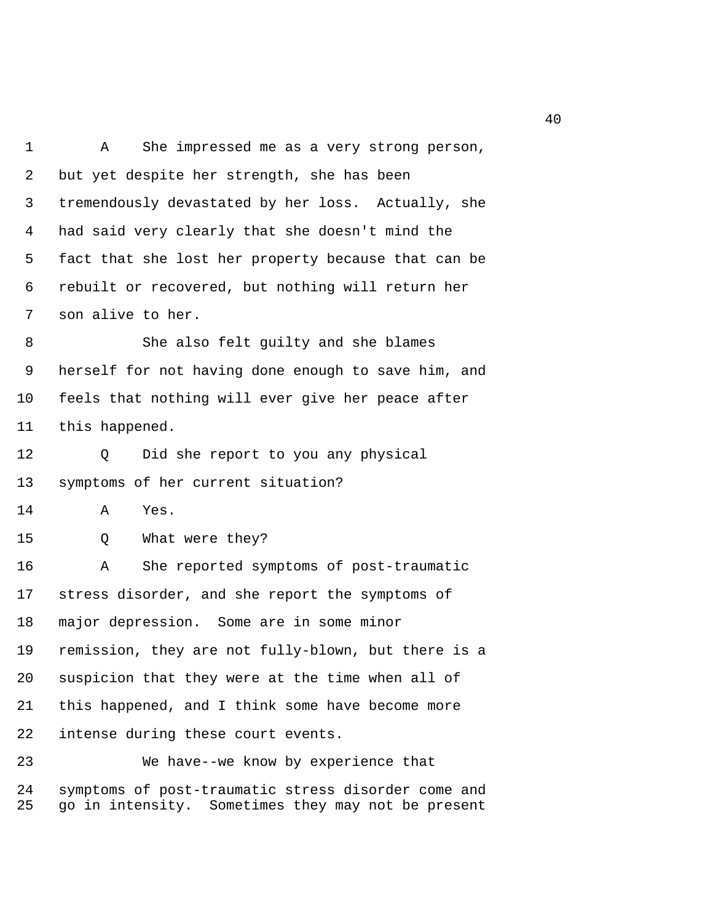1 A She impressed me as a very strong person, 2 but yet despite her strength, she has been 3 tremendously devastated by her loss. Actually, she 4 had said very clearly that she doesn't mind the 5 fact that she lost her property because that can be 6 rebuilt or recovered, but nothing will return her 7 son alive to her. 8 She also felt guilty and she blames 9 herself for not having done enough to save him, and 10 feels that nothing will ever give her peace after 11 this happened. 12 Q Did she report to you any physical 13 symptoms of her current situation? 14 A Yes. 15 Q What were they? 16 A She reported symptoms of post-traumatic 17 stress disorder, and she report the symptoms of 18 major depression. Some are in some minor 19 remission, they are not fully-blown, but there is a 20 suspicion that they were at the time when all of 21 this happened, and I think some have become more 22 intense during these court events. 23 We have--we know by experience that 24 symptoms of post-traumatic stress disorder come and

25 go in intensity. Sometimes they may not be present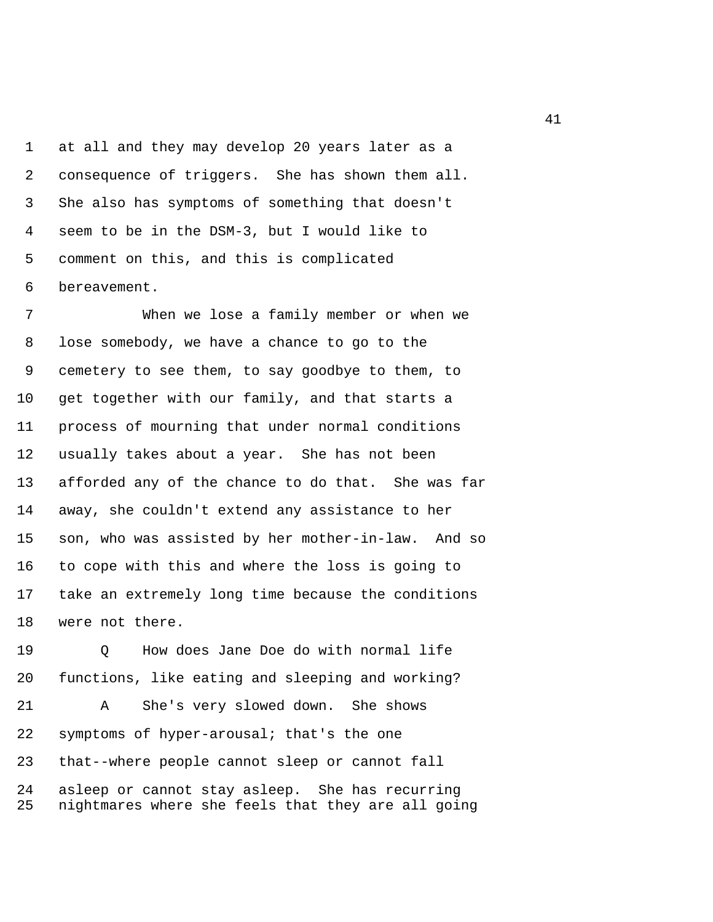1 at all and they may develop 20 years later as a 2 consequence of triggers. She has shown them all. 3 She also has symptoms of something that doesn't 4 seem to be in the DSM-3, but I would like to 5 comment on this, and this is complicated 6 bereavement.

 7 When we lose a family member or when we 8 lose somebody, we have a chance to go to the 9 cemetery to see them, to say goodbye to them, to 10 get together with our family, and that starts a 11 process of mourning that under normal conditions 12 usually takes about a year. She has not been 13 afforded any of the chance to do that. She was far 14 away, she couldn't extend any assistance to her 15 son, who was assisted by her mother-in-law. And so 16 to cope with this and where the loss is going to 17 take an extremely long time because the conditions 18 were not there.

19 Q How does Jane Doe do with normal life 20 functions, like eating and sleeping and working? 21 A She's very slowed down. She shows

22 symptoms of hyper-arousal; that's the one 23 that--where people cannot sleep or cannot fall 24 asleep or cannot stay asleep. She has recurring 25 nightmares where she feels that they are all going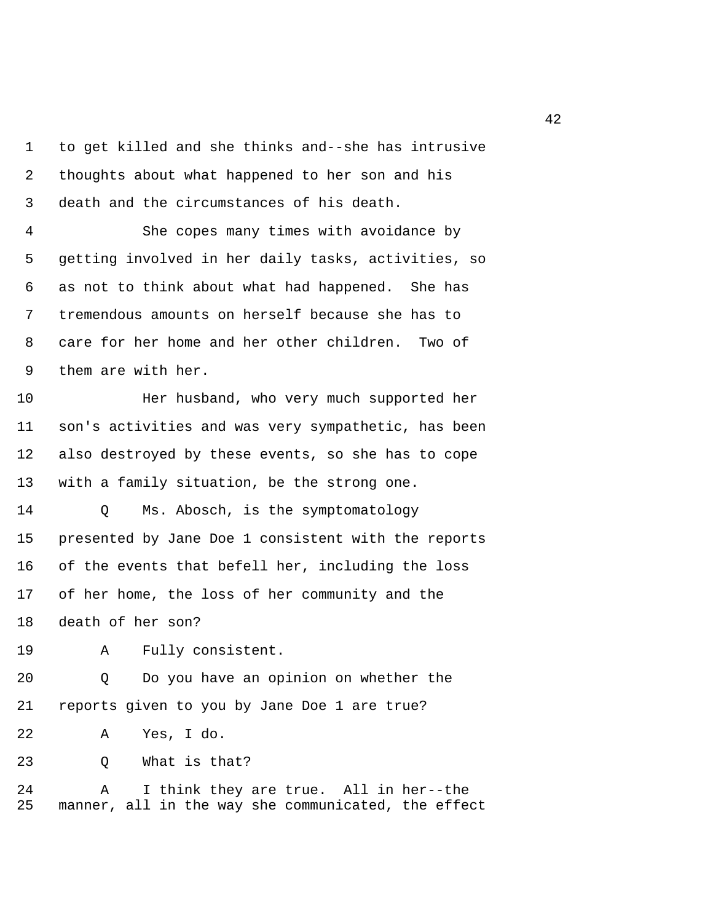1 to get killed and she thinks and--she has intrusive 2 thoughts about what happened to her son and his 3 death and the circumstances of his death.

 4 She copes many times with avoidance by 5 getting involved in her daily tasks, activities, so 6 as not to think about what had happened. She has 7 tremendous amounts on herself because she has to 8 care for her home and her other children. Two of 9 them are with her.

10 Her husband, who very much supported her 11 son's activities and was very sympathetic, has been 12 also destroyed by these events, so she has to cope 13 with a family situation, be the strong one.

14 Q Ms. Abosch, is the symptomatology 15 presented by Jane Doe 1 consistent with the reports 16 of the events that befell her, including the loss 17 of her home, the loss of her community and the 18 death of her son?

19 A Fully consistent.

20 Q Do you have an opinion on whether the 21 reports given to you by Jane Doe 1 are true?

22 A Yes, I do.

23 O What is that?

24 A I think they are true. All in her--the 25 manner, all in the way she communicated, the effect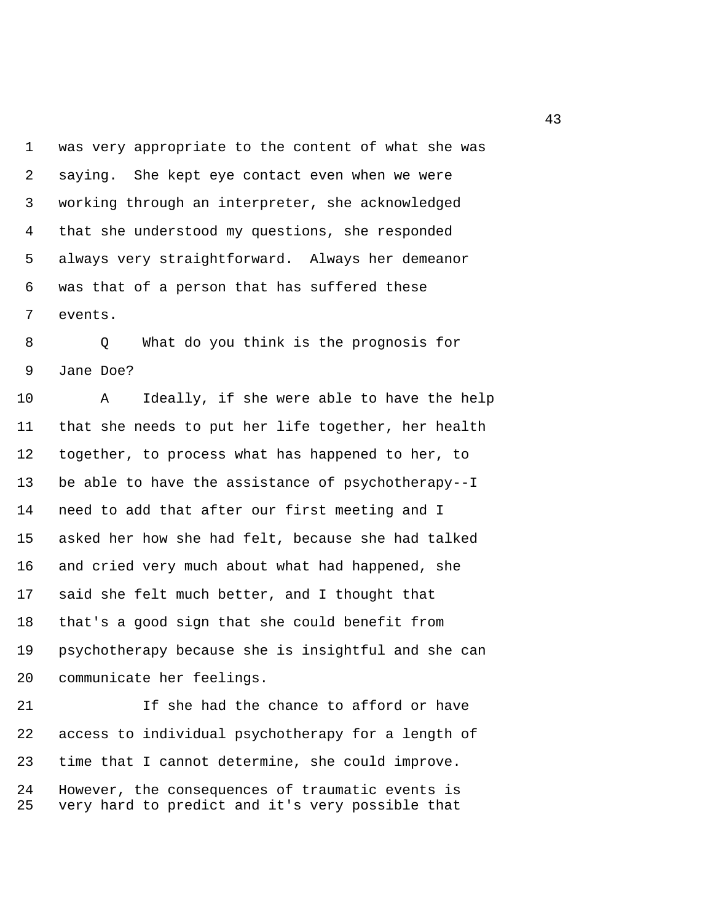1 was very appropriate to the content of what she was 2 saying. She kept eye contact even when we were 3 working through an interpreter, she acknowledged 4 that she understood my questions, she responded 5 always very straightforward. Always her demeanor 6 was that of a person that has suffered these 7 events.

 8 Q What do you think is the prognosis for 9 Jane Doe?

10 A Ideally, if she were able to have the help 11 that she needs to put her life together, her health 12 together, to process what has happened to her, to 13 be able to have the assistance of psychotherapy--I 14 need to add that after our first meeting and I 15 asked her how she had felt, because she had talked 16 and cried very much about what had happened, she 17 said she felt much better, and I thought that 18 that's a good sign that she could benefit from 19 psychotherapy because she is insightful and she can 20 communicate her feelings.

21 If she had the chance to afford or have 22 access to individual psychotherapy for a length of 23 time that I cannot determine, she could improve. 24 However, the consequences of traumatic events is 25 very hard to predict and it's very possible that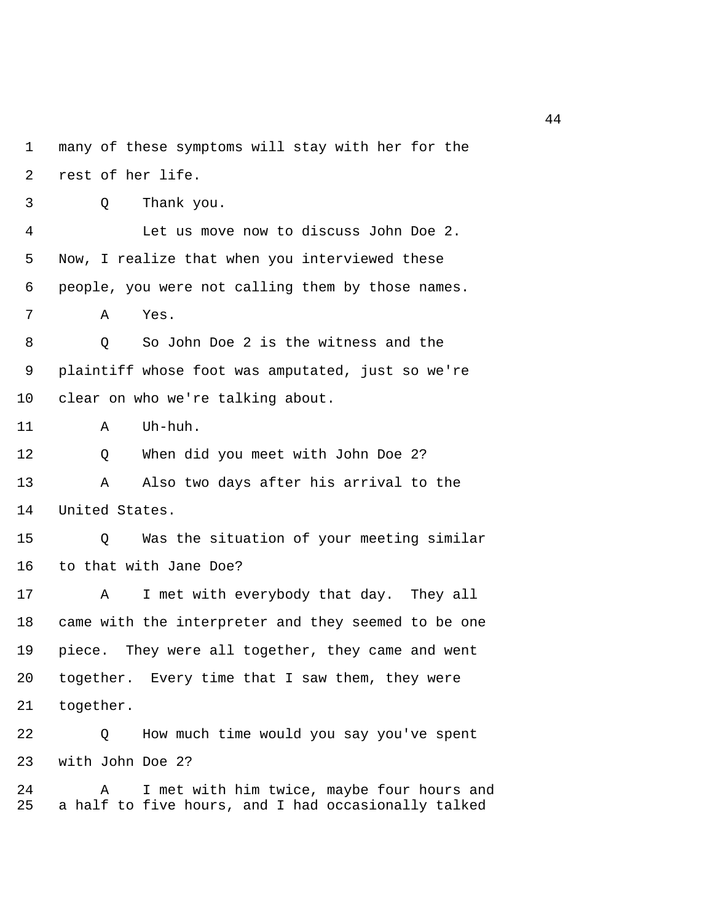1 many of these symptoms will stay with her for the 2 rest of her life. 3 Q Thank you. 4 Let us move now to discuss John Doe 2. 5 Now, I realize that when you interviewed these 6 people, you were not calling them by those names. 7 A Yes. 8 Q So John Doe 2 is the witness and the 9 plaintiff whose foot was amputated, just so we're 10 clear on who we're talking about. 11 A Uh-huh. 12 Q When did you meet with John Doe 2? 13 A Also two days after his arrival to the 14 United States. 15 Q Was the situation of your meeting similar 16 to that with Jane Doe? 17 A I met with everybody that day. They all 18 came with the interpreter and they seemed to be one 19 piece. They were all together, they came and went 20 together. Every time that I saw them, they were 21 together. 22 Q How much time would you say you've spent 23 with John Doe 2? 24 A I met with him twice, maybe four hours and 25 a half to five hours, and I had occasionally talked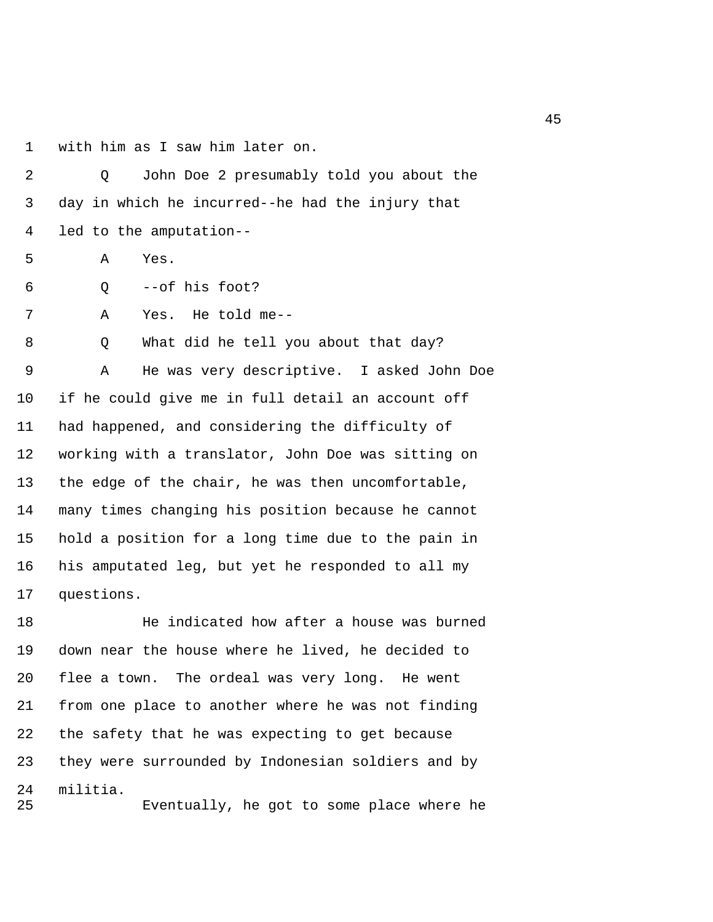1 with him as I saw him later on.

 2 Q John Doe 2 presumably told you about the 3 day in which he incurred--he had the injury that 4 led to the amputation-- 5 A Yes. 6 Q --of his foot? 7 A Yes. He told me-- 8 Q What did he tell you about that day? 9 A He was very descriptive. I asked John Doe 10 if he could give me in full detail an account off 11 had happened, and considering the difficulty of 12 working with a translator, John Doe was sitting on 13 the edge of the chair, he was then uncomfortable, 14 many times changing his position because he cannot 15 hold a position for a long time due to the pain in 16 his amputated leg, but yet he responded to all my 17 questions.

18 He indicated how after a house was burned 19 down near the house where he lived, he decided to 20 flee a town. The ordeal was very long. He went 21 from one place to another where he was not finding 22 the safety that he was expecting to get because 23 they were surrounded by Indonesian soldiers and by 24 militia. 25 Eventually, he got to some place where he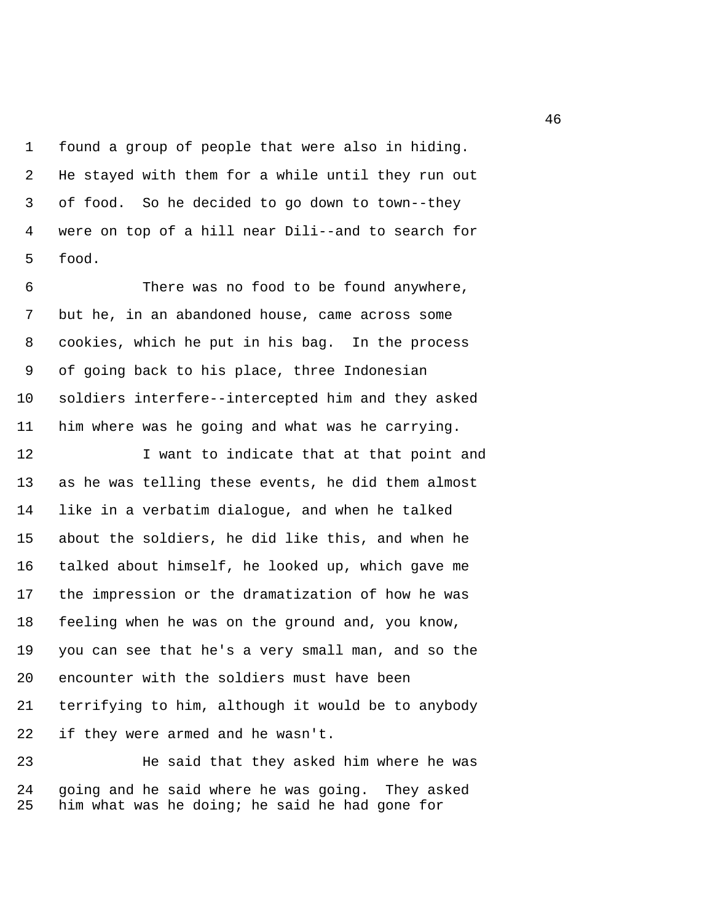1 found a group of people that were also in hiding. 2 He stayed with them for a while until they run out 3 of food. So he decided to go down to town--they 4 were on top of a hill near Dili--and to search for 5 food.

 6 There was no food to be found anywhere, 7 but he, in an abandoned house, came across some 8 cookies, which he put in his bag. In the process 9 of going back to his place, three Indonesian 10 soldiers interfere--intercepted him and they asked 11 him where was he going and what was he carrying.

12 I want to indicate that at that point and 13 as he was telling these events, he did them almost 14 like in a verbatim dialogue, and when he talked 15 about the soldiers, he did like this, and when he 16 talked about himself, he looked up, which gave me 17 the impression or the dramatization of how he was 18 feeling when he was on the ground and, you know, 19 you can see that he's a very small man, and so the 20 encounter with the soldiers must have been 21 terrifying to him, although it would be to anybody 22 if they were armed and he wasn't.

23 He said that they asked him where he was 24 going and he said where he was going. They asked 25 him what was he doing; he said he had gone for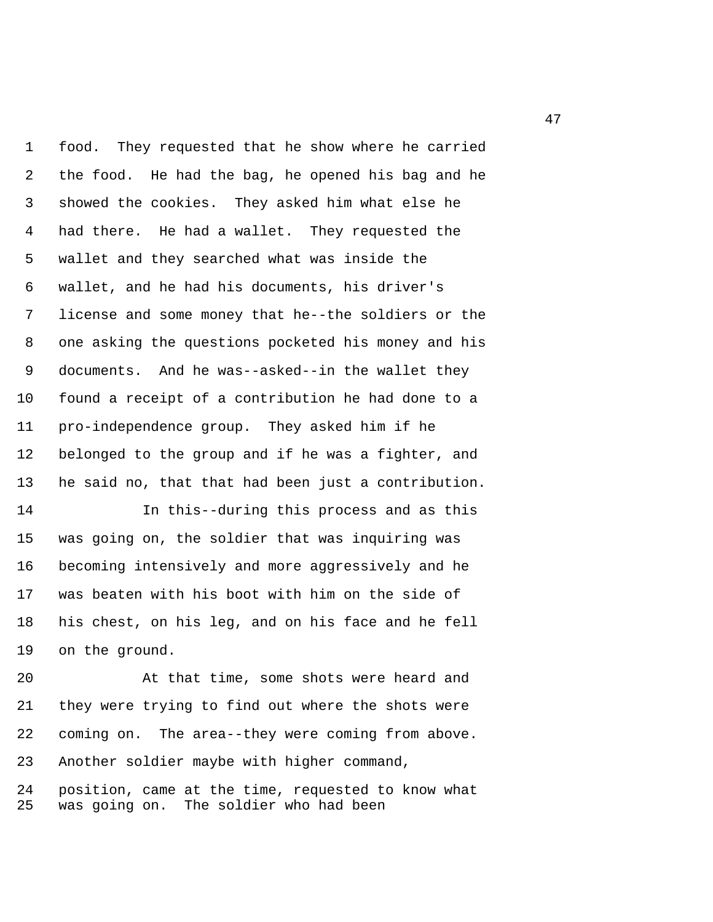1 food. They requested that he show where he carried 2 the food. He had the bag, he opened his bag and he 3 showed the cookies. They asked him what else he 4 had there. He had a wallet. They requested the 5 wallet and they searched what was inside the 6 wallet, and he had his documents, his driver's 7 license and some money that he--the soldiers or the 8 one asking the questions pocketed his money and his 9 documents. And he was--asked--in the wallet they 10 found a receipt of a contribution he had done to a 11 pro-independence group. They asked him if he 12 belonged to the group and if he was a fighter, and 13 he said no, that that had been just a contribution.

14 In this--during this process and as this 15 was going on, the soldier that was inquiring was 16 becoming intensively and more aggressively and he 17 was beaten with his boot with him on the side of 18 his chest, on his leg, and on his face and he fell 19 on the ground.

20 At that time, some shots were heard and 21 they were trying to find out where the shots were 22 coming on. The area--they were coming from above. 23 Another soldier maybe with higher command,

24 position, came at the time, requested to know what 25 was going on. The soldier who had been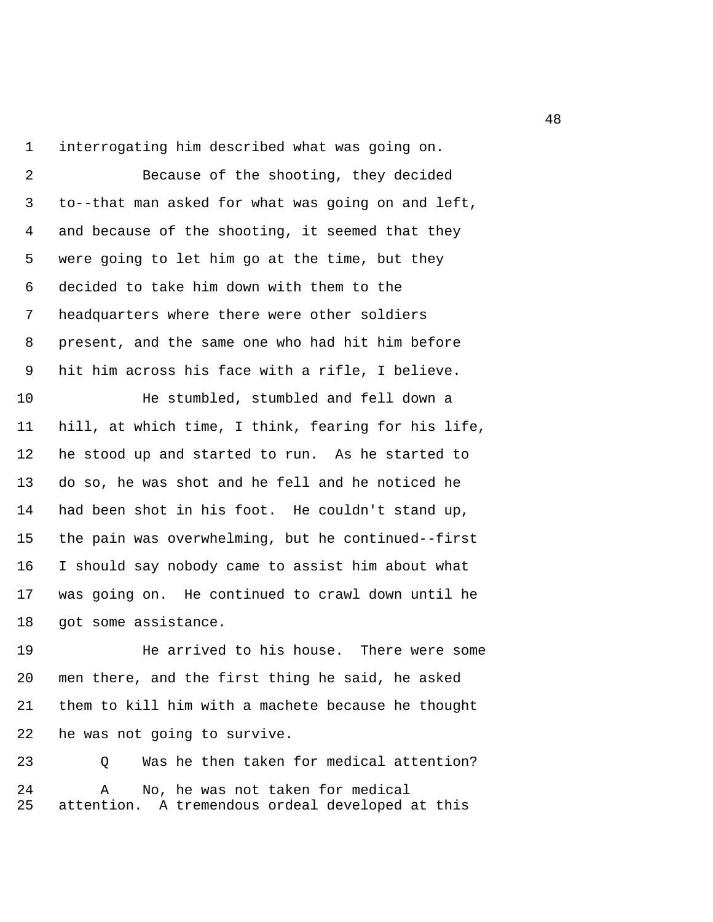1 interrogating him described what was going on.

 2 Because of the shooting, they decided 3 to--that man asked for what was going on and left, 4 and because of the shooting, it seemed that they 5 were going to let him go at the time, but they 6 decided to take him down with them to the 7 headquarters where there were other soldiers 8 present, and the same one who had hit him before 9 hit him across his face with a rifle, I believe.

10 He stumbled, stumbled and fell down a 11 hill, at which time, I think, fearing for his life, 12 he stood up and started to run. As he started to 13 do so, he was shot and he fell and he noticed he 14 had been shot in his foot. He couldn't stand up, 15 the pain was overwhelming, but he continued--first 16 I should say nobody came to assist him about what 17 was going on. He continued to crawl down until he 18 got some assistance.

19 He arrived to his house. There were some 20 men there, and the first thing he said, he asked 21 them to kill him with a machete because he thought 22 he was not going to survive.

23 Q Was he then taken for medical attention? 24 A No, he was not taken for medical 25 attention. A tremendous ordeal developed at this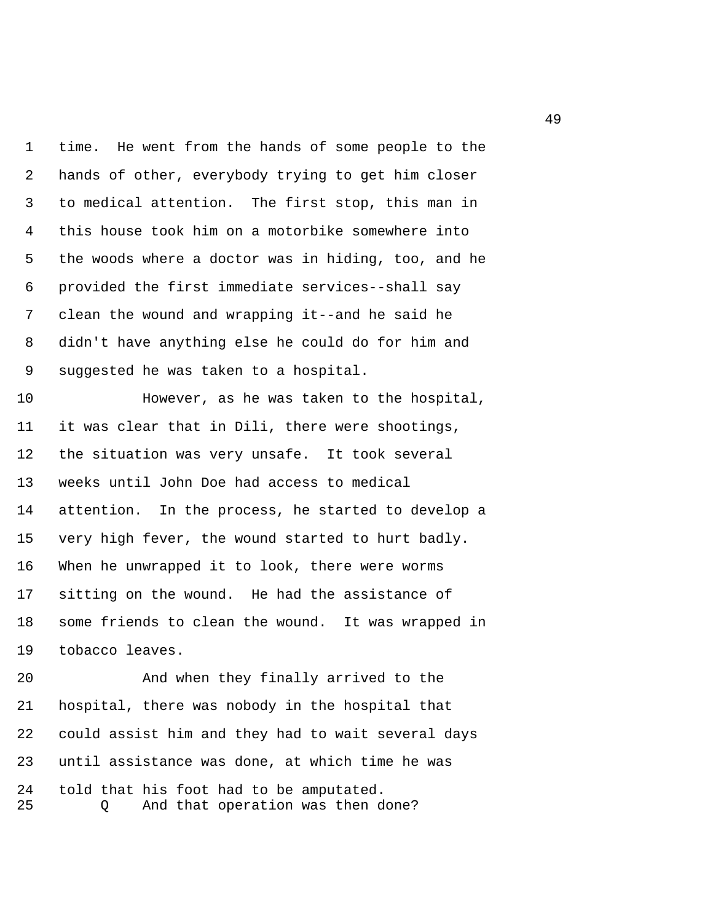1 time. He went from the hands of some people to the 2 hands of other, everybody trying to get him closer 3 to medical attention. The first stop, this man in 4 this house took him on a motorbike somewhere into 5 the woods where a doctor was in hiding, too, and he 6 provided the first immediate services--shall say 7 clean the wound and wrapping it--and he said he 8 didn't have anything else he could do for him and 9 suggested he was taken to a hospital.

10 However, as he was taken to the hospital, 11 it was clear that in Dili, there were shootings, 12 the situation was very unsafe. It took several 13 weeks until John Doe had access to medical 14 attention. In the process, he started to develop a 15 very high fever, the wound started to hurt badly. 16 When he unwrapped it to look, there were worms 17 sitting on the wound. He had the assistance of 18 some friends to clean the wound. It was wrapped in 19 tobacco leaves.

20 And when they finally arrived to the 21 hospital, there was nobody in the hospital that 22 could assist him and they had to wait several days 23 until assistance was done, at which time he was 24 told that his foot had to be amputated. 25 Q And that operation was then done?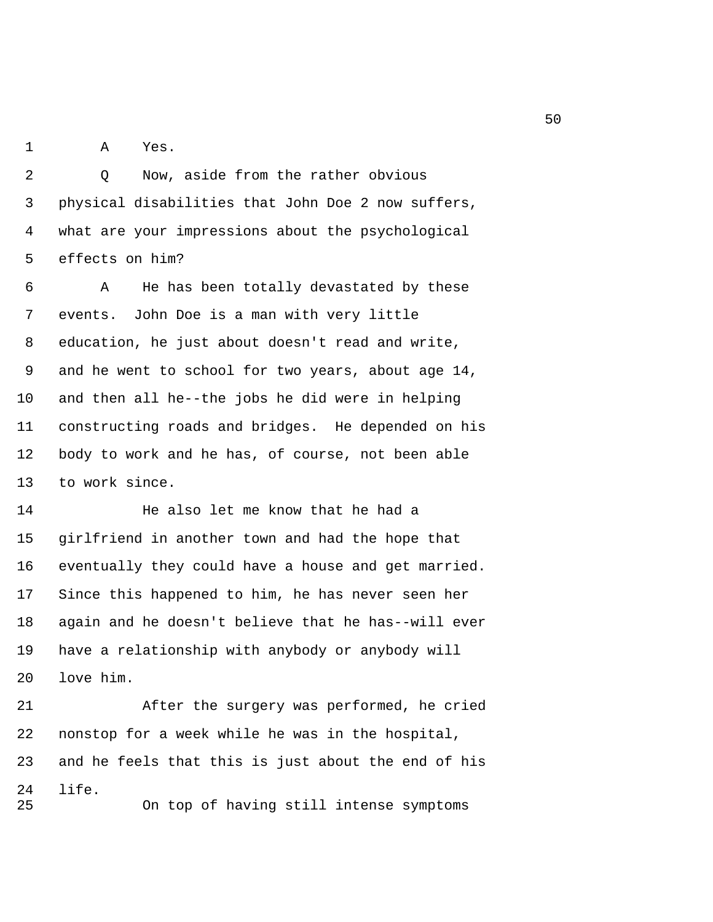1 A Yes.

2 0 Now, aside from the rather obvious 3 physical disabilities that John Doe 2 now suffers, 4 what are your impressions about the psychological 5 effects on him?

 6 A He has been totally devastated by these 7 events. John Doe is a man with very little 8 education, he just about doesn't read and write, 9 and he went to school for two years, about age 14, 10 and then all he--the jobs he did were in helping 11 constructing roads and bridges. He depended on his 12 body to work and he has, of course, not been able 13 to work since.

14 He also let me know that he had a 15 girlfriend in another town and had the hope that 16 eventually they could have a house and get married. 17 Since this happened to him, he has never seen her 18 again and he doesn't believe that he has--will ever 19 have a relationship with anybody or anybody will 20 love him.

21 After the surgery was performed, he cried 22 nonstop for a week while he was in the hospital, 23 and he feels that this is just about the end of his 24 life. 25 On top of having still intense symptoms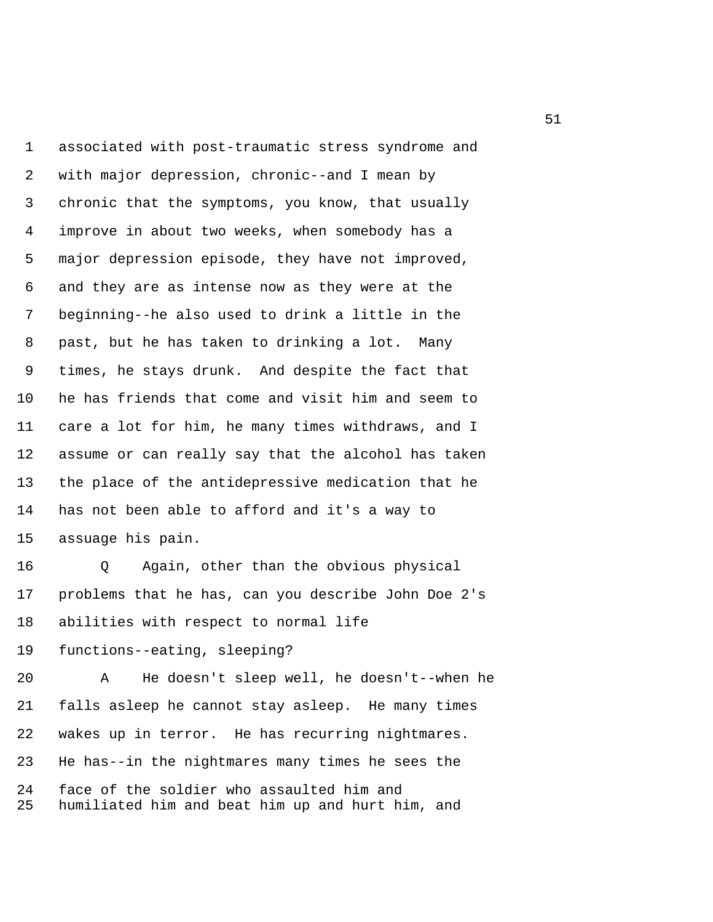1 associated with post-traumatic stress syndrome and 2 with major depression, chronic--and I mean by 3 chronic that the symptoms, you know, that usually 4 improve in about two weeks, when somebody has a 5 major depression episode, they have not improved, 6 and they are as intense now as they were at the 7 beginning--he also used to drink a little in the 8 past, but he has taken to drinking a lot. Many 9 times, he stays drunk. And despite the fact that 10 he has friends that come and visit him and seem to 11 care a lot for him, he many times withdraws, and I 12 assume or can really say that the alcohol has taken 13 the place of the antidepressive medication that he 14 has not been able to afford and it's a way to 15 assuage his pain.

16 Q Again, other than the obvious physical 17 problems that he has, can you describe John Doe 2's 18 abilities with respect to normal life

19 functions--eating, sleeping?

20 A He doesn't sleep well, he doesn't--when he 21 falls asleep he cannot stay asleep. He many times 22 wakes up in terror. He has recurring nightmares. 23 He has--in the nightmares many times he sees the 24 face of the soldier who assaulted him and 25 humiliated him and beat him up and hurt him, and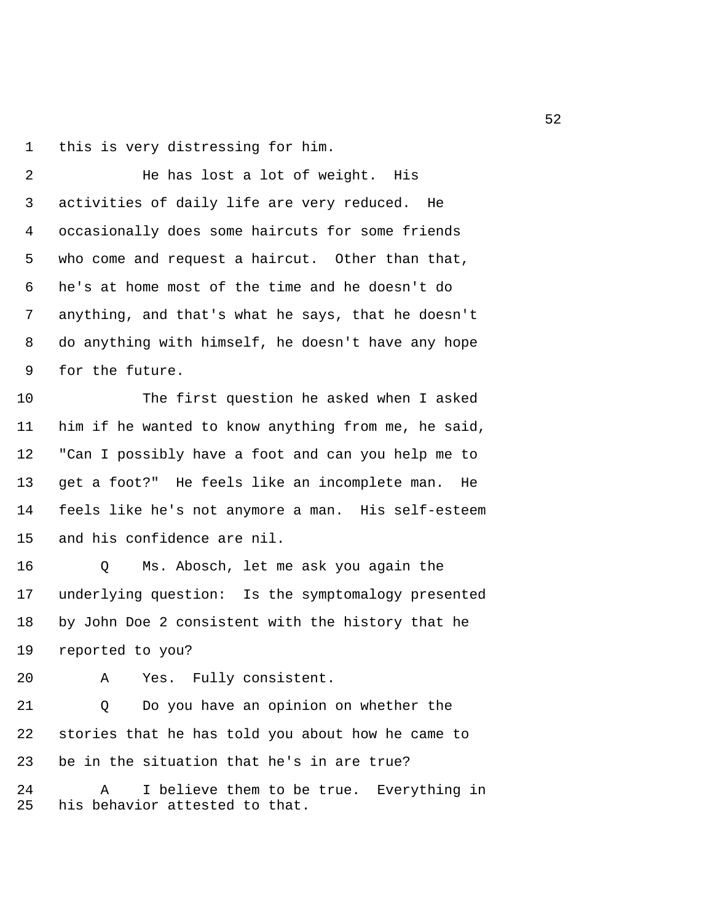1 this is very distressing for him.

 2 He has lost a lot of weight. His 3 activities of daily life are very reduced. He 4 occasionally does some haircuts for some friends 5 who come and request a haircut. Other than that, 6 he's at home most of the time and he doesn't do 7 anything, and that's what he says, that he doesn't 8 do anything with himself, he doesn't have any hope 9 for the future.

10 The first question he asked when I asked 11 him if he wanted to know anything from me, he said, 12 "Can I possibly have a foot and can you help me to 13 get a foot?" He feels like an incomplete man. He 14 feels like he's not anymore a man. His self-esteem 15 and his confidence are nil.

16 Q Ms. Abosch, let me ask you again the 17 underlying question: Is the symptomalogy presented 18 by John Doe 2 consistent with the history that he 19 reported to you?

20 A Yes. Fully consistent.

21 Q Do you have an opinion on whether the 22 stories that he has told you about how he came to 23 be in the situation that he's in are true?

24 A I believe them to be true. Everything in 25 his behavior attested to that.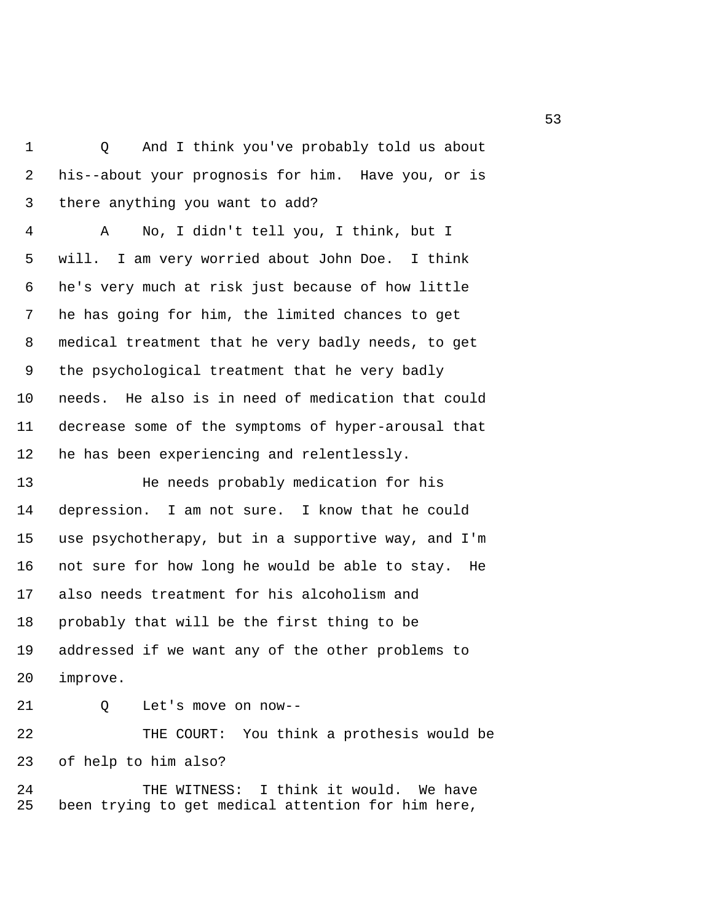1 Q And I think you've probably told us about 2 his--about your prognosis for him. Have you, or is 3 there anything you want to add?

 4 A No, I didn't tell you, I think, but I 5 will. I am very worried about John Doe. I think 6 he's very much at risk just because of how little 7 he has going for him, the limited chances to get 8 medical treatment that he very badly needs, to get 9 the psychological treatment that he very badly 10 needs. He also is in need of medication that could 11 decrease some of the symptoms of hyper-arousal that 12 he has been experiencing and relentlessly.

13 He needs probably medication for his 14 depression. I am not sure. I know that he could 15 use psychotherapy, but in a supportive way, and I'm 16 not sure for how long he would be able to stay. He 17 also needs treatment for his alcoholism and 18 probably that will be the first thing to be 19 addressed if we want any of the other problems to 20 improve.

21 Q Let's move on now--

22 THE COURT: You think a prothesis would be 23 of help to him also?

24 THE WITNESS: I think it would. We have 25 been trying to get medical attention for him here,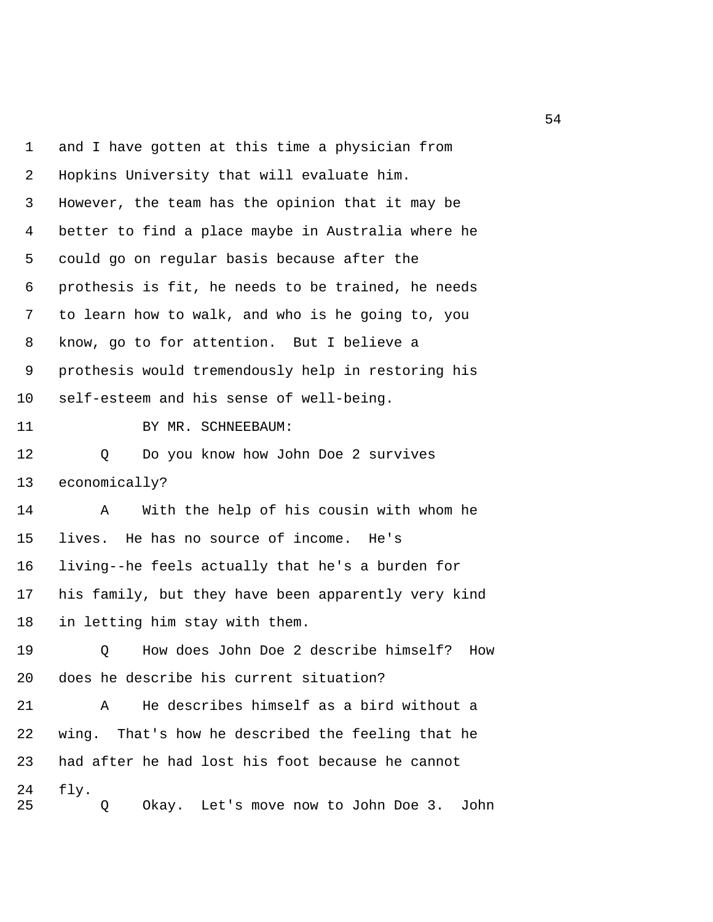1 and I have gotten at this time a physician from 2 Hopkins University that will evaluate him. 3 However, the team has the opinion that it may be 4 better to find a place maybe in Australia where he 5 could go on regular basis because after the 6 prothesis is fit, he needs to be trained, he needs 7 to learn how to walk, and who is he going to, you 8 know, go to for attention. But I believe a 9 prothesis would tremendously help in restoring his 10 self-esteem and his sense of well-being. 11 BY MR. SCHNEEBAUM: 12 Q Do you know how John Doe 2 survives 13 economically? 14 A With the help of his cousin with whom he 15 lives. He has no source of income. He's 16 living--he feels actually that he's a burden for 17 his family, but they have been apparently very kind 18 in letting him stay with them. 19 Q How does John Doe 2 describe himself? How 20 does he describe his current situation? 21 A He describes himself as a bird without a 22 wing. That's how he described the feeling that he 23 had after he had lost his foot because he cannot 24 fly. 25 Q Okay. Let's move now to John Doe 3. John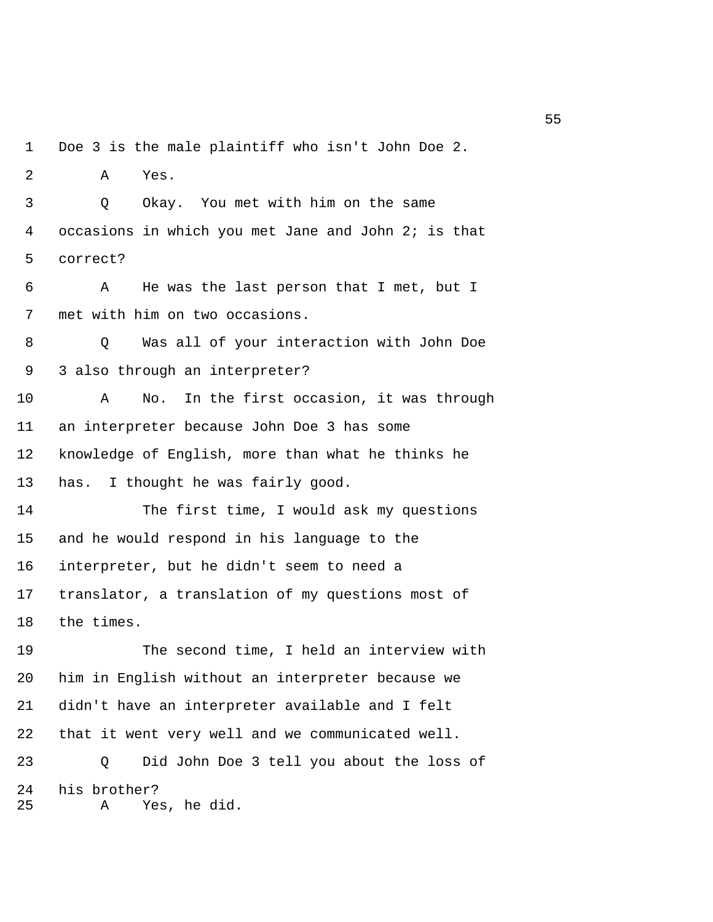1 Doe 3 is the male plaintiff who isn't John Doe 2. 2 A Yes. 3 Q Okay. You met with him on the same 4 occasions in which you met Jane and John 2; is that 5 correct? 6 A He was the last person that I met, but I 7 met with him on two occasions. 8 Q Was all of your interaction with John Doe 9 3 also through an interpreter? 10 A No. In the first occasion, it was through 11 an interpreter because John Doe 3 has some 12 knowledge of English, more than what he thinks he 13 has. I thought he was fairly good. 14 The first time, I would ask my questions 15 and he would respond in his language to the 16 interpreter, but he didn't seem to need a 17 translator, a translation of my questions most of 18 the times. 19 The second time, I held an interview with 20 him in English without an interpreter because we 21 didn't have an interpreter available and I felt 22 that it went very well and we communicated well. 23 Q Did John Doe 3 tell you about the loss of 24 his brother?

25 A Yes, he did.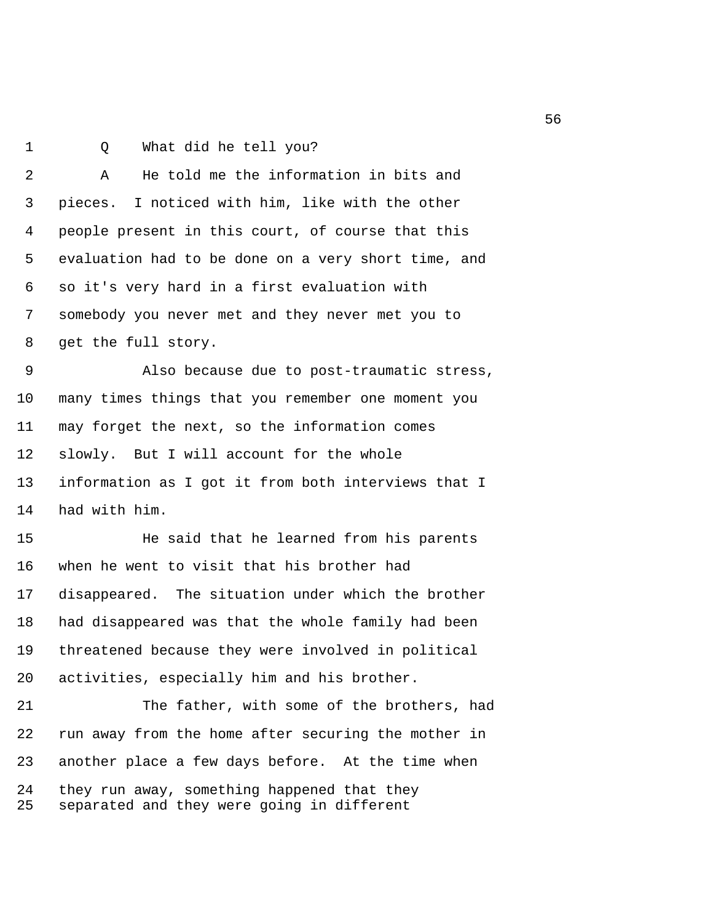1 0 What did he tell you?

 2 A He told me the information in bits and 3 pieces. I noticed with him, like with the other 4 people present in this court, of course that this 5 evaluation had to be done on a very short time, and 6 so it's very hard in a first evaluation with 7 somebody you never met and they never met you to 8 get the full story.

 9 Also because due to post-traumatic stress, 10 many times things that you remember one moment you 11 may forget the next, so the information comes 12 slowly. But I will account for the whole 13 information as I got it from both interviews that I 14 had with him.

15 He said that he learned from his parents 16 when he went to visit that his brother had 17 disappeared. The situation under which the brother 18 had disappeared was that the whole family had been 19 threatened because they were involved in political 20 activities, especially him and his brother.

21 The father, with some of the brothers, had 22 run away from the home after securing the mother in 23 another place a few days before. At the time when 24 they run away, something happened that they 25 separated and they were going in different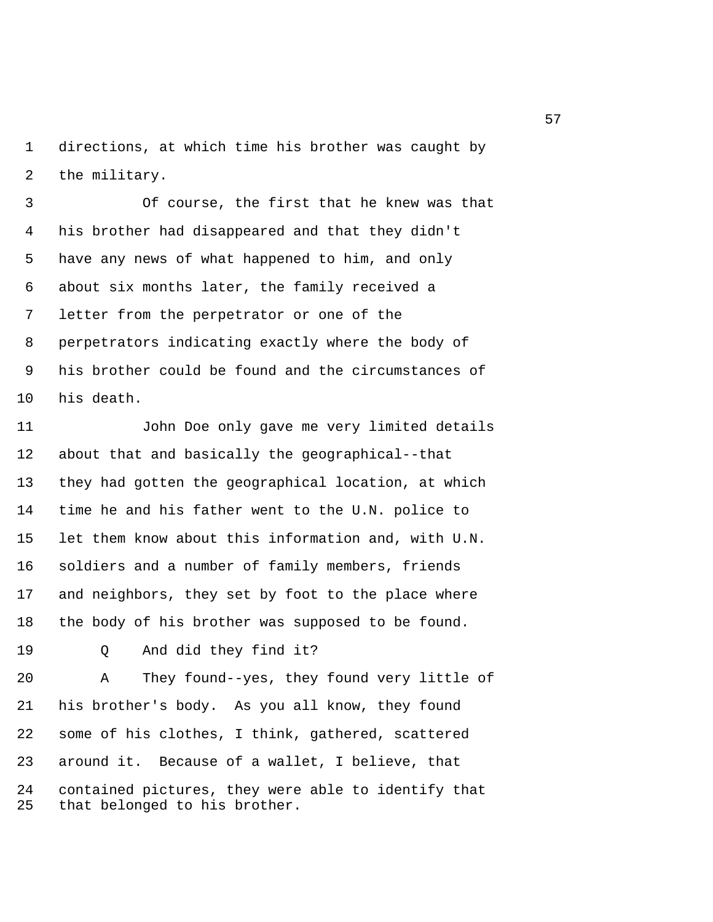1 directions, at which time his brother was caught by 2 the military.

 3 Of course, the first that he knew was that 4 his brother had disappeared and that they didn't 5 have any news of what happened to him, and only 6 about six months later, the family received a 7 letter from the perpetrator or one of the 8 perpetrators indicating exactly where the body of 9 his brother could be found and the circumstances of 10 his death.

11 John Doe only gave me very limited details 12 about that and basically the geographical--that 13 they had gotten the geographical location, at which 14 time he and his father went to the U.N. police to 15 let them know about this information and, with U.N. 16 soldiers and a number of family members, friends 17 and neighbors, they set by foot to the place where 18 the body of his brother was supposed to be found.

19 Q And did they find it?

20 A They found--yes, they found very little of 21 his brother's body. As you all know, they found 22 some of his clothes, I think, gathered, scattered 23 around it. Because of a wallet, I believe, that 24 contained pictures, they were able to identify that 25 that belonged to his brother.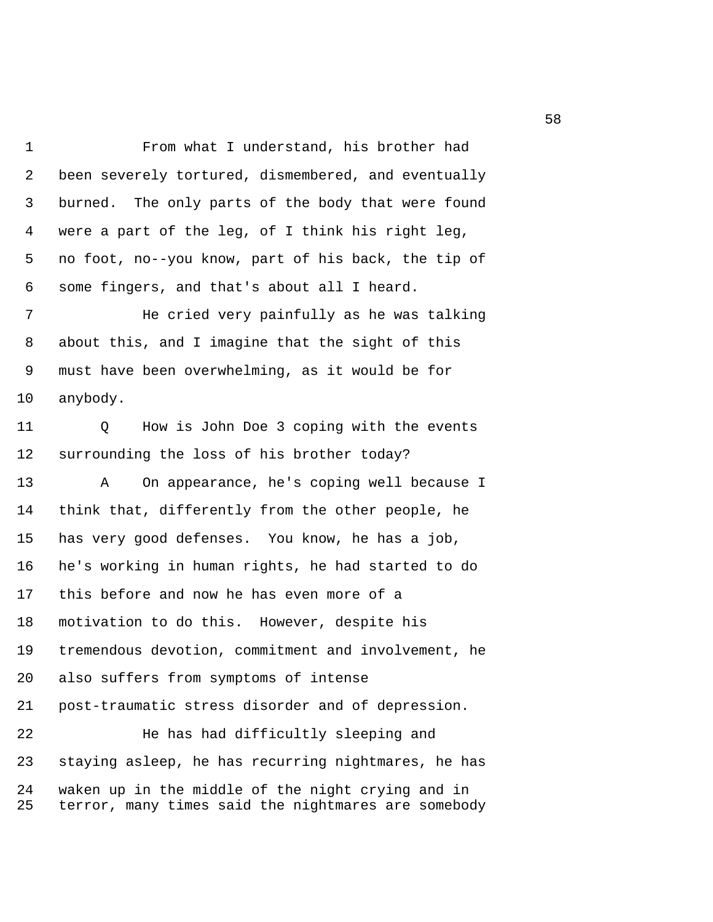1 From what I understand, his brother had 2 been severely tortured, dismembered, and eventually 3 burned. The only parts of the body that were found 4 were a part of the leg, of I think his right leg, 5 no foot, no--you know, part of his back, the tip of 6 some fingers, and that's about all I heard.

7 He cried very painfully as he was talking 8 about this, and I imagine that the sight of this 9 must have been overwhelming, as it would be for 10 anybody.

11 Q How is John Doe 3 coping with the events 12 surrounding the loss of his brother today?

13 A On appearance, he's coping well because I 14 think that, differently from the other people, he 15 has very good defenses. You know, he has a job, 16 he's working in human rights, he had started to do 17 this before and now he has even more of a 18 motivation to do this. However, despite his 19 tremendous devotion, commitment and involvement, he 20 also suffers from symptoms of intense 21 post-traumatic stress disorder and of depression. 22 He has had difficultly sleeping and 23 staying asleep, he has recurring nightmares, he has

24 waken up in the middle of the night crying and in 25 terror, many times said the nightmares are somebody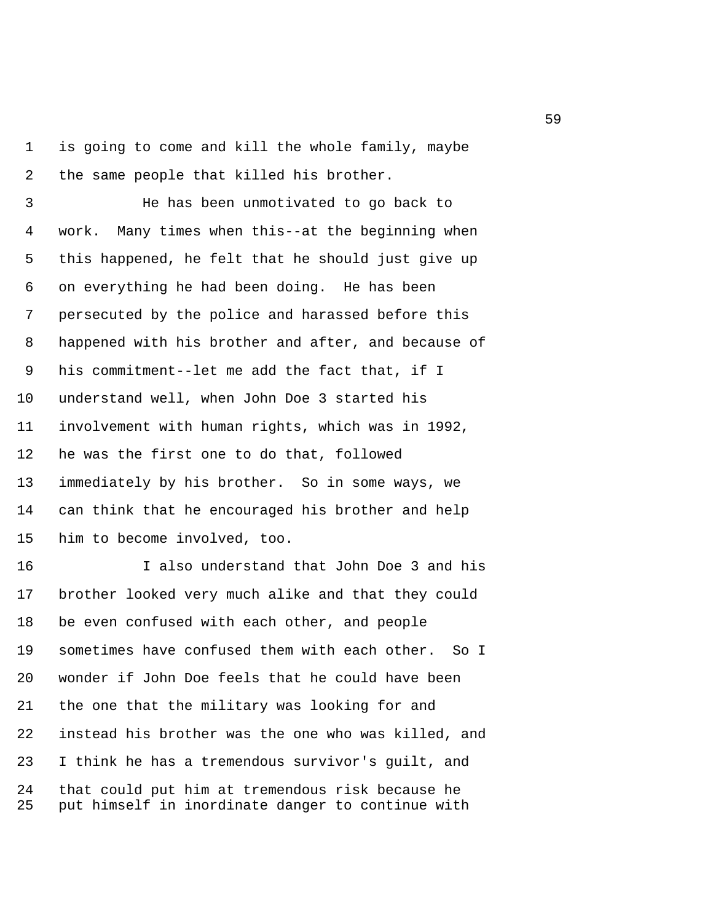1 is going to come and kill the whole family, maybe 2 the same people that killed his brother.

 3 He has been unmotivated to go back to 4 work. Many times when this--at the beginning when 5 this happened, he felt that he should just give up 6 on everything he had been doing. He has been 7 persecuted by the police and harassed before this 8 happened with his brother and after, and because of 9 his commitment--let me add the fact that, if I 10 understand well, when John Doe 3 started his 11 involvement with human rights, which was in 1992, 12 he was the first one to do that, followed 13 immediately by his brother. So in some ways, we 14 can think that he encouraged his brother and help 15 him to become involved, too.

16 I also understand that John Doe 3 and his 17 brother looked very much alike and that they could 18 be even confused with each other, and people 19 sometimes have confused them with each other. So I 20 wonder if John Doe feels that he could have been 21 the one that the military was looking for and 22 instead his brother was the one who was killed, and 23 I think he has a tremendous survivor's guilt, and 24 that could put him at tremendous risk because he 25 put himself in inordinate danger to continue with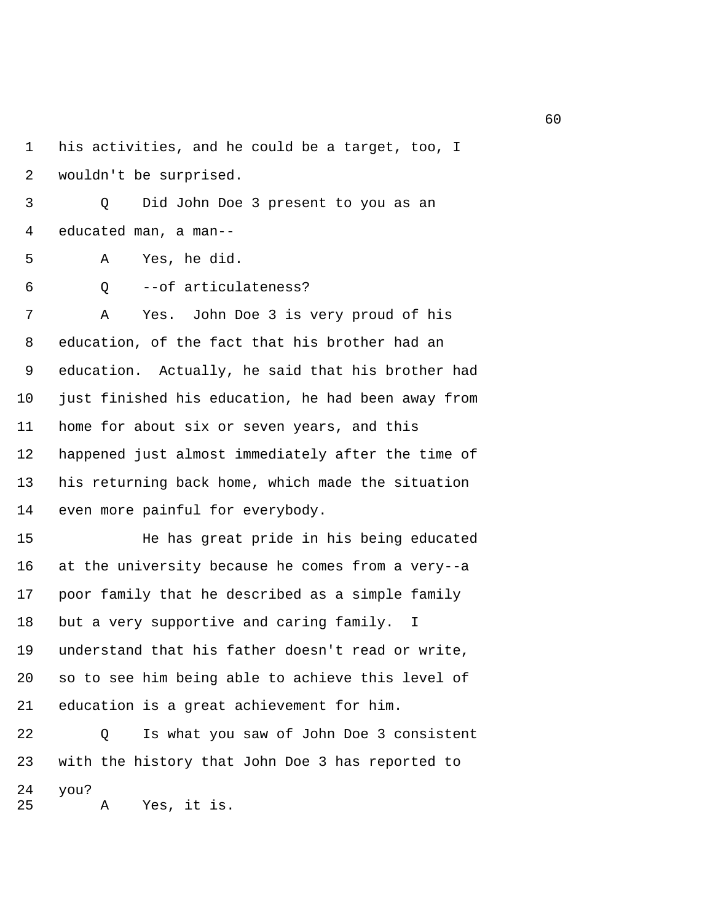1 his activities, and he could be a target, too, I 2 wouldn't be surprised.

 3 Q Did John Doe 3 present to you as an 4 educated man, a man--

5 A Yes, he did.

6 Q --of articulateness?

 7 A Yes. John Doe 3 is very proud of his 8 education, of the fact that his brother had an 9 education. Actually, he said that his brother had 10 just finished his education, he had been away from 11 home for about six or seven years, and this 12 happened just almost immediately after the time of 13 his returning back home, which made the situation 14 even more painful for everybody.

15 He has great pride in his being educated 16 at the university because he comes from a very--a 17 poor family that he described as a simple family 18 but a very supportive and caring family. I 19 understand that his father doesn't read or write, 20 so to see him being able to achieve this level of 21 education is a great achievement for him.

22 Q Is what you saw of John Doe 3 consistent 23 with the history that John Doe 3 has reported to 24 you? 25 A Yes, it is.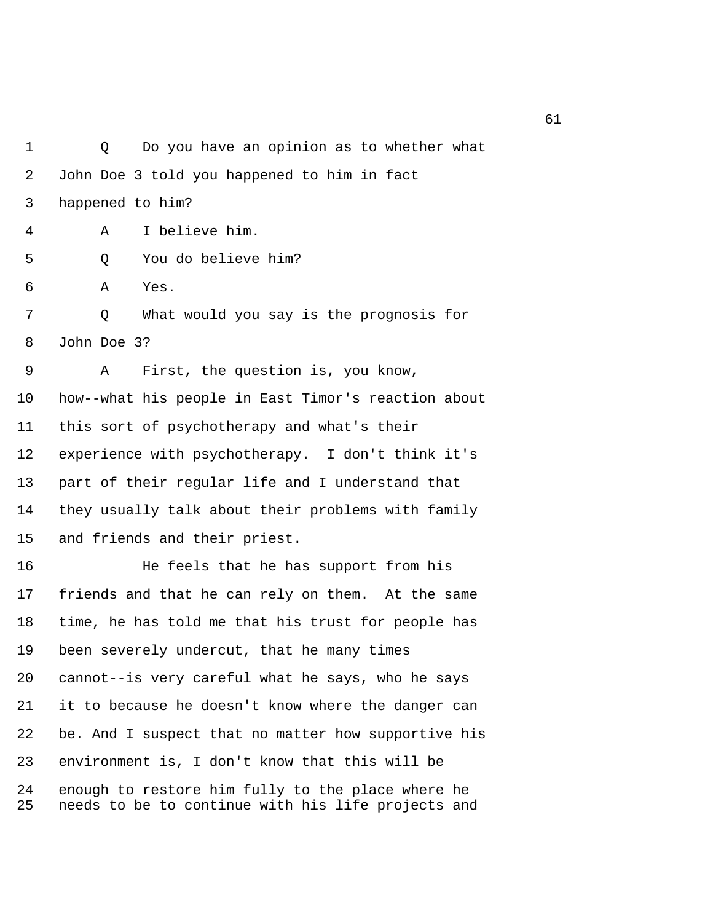1 Q Do you have an opinion as to whether what 2 John Doe 3 told you happened to him in fact 3 happened to him? 4 A I believe him. 5 Q You do believe him? 6 A Yes. 7 Q What would you say is the prognosis for 8 John Doe 3? 9 A First, the question is, you know, 10 how--what his people in East Timor's reaction about 11 this sort of psychotherapy and what's their 12 experience with psychotherapy. I don't think it's 13 part of their regular life and I understand that 14 they usually talk about their problems with family 15 and friends and their priest. 16 He feels that he has support from his 17 friends and that he can rely on them. At the same 18 time, he has told me that his trust for people has 19 been severely undercut, that he many times 20 cannot--is very careful what he says, who he says 21 it to because he doesn't know where the danger can 22 be. And I suspect that no matter how supportive his 23 environment is, I don't know that this will be

24 enough to restore him fully to the place where he 25 needs to be to continue with his life projects and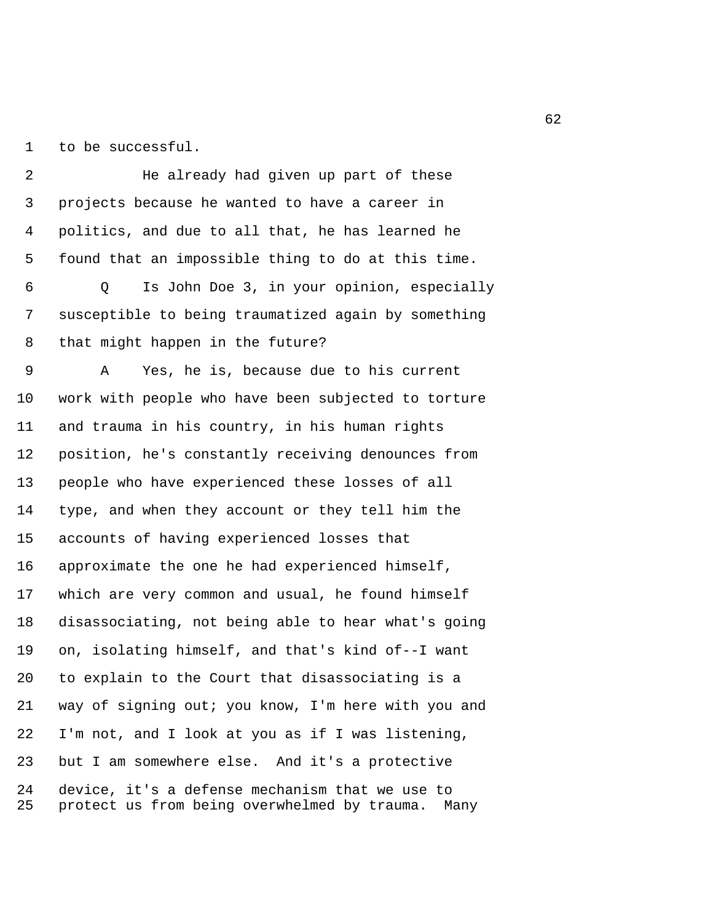1 to be successful.

 2 He already had given up part of these 3 projects because he wanted to have a career in 4 politics, and due to all that, he has learned he 5 found that an impossible thing to do at this time. 6 Q Is John Doe 3, in your opinion, especially 7 susceptible to being traumatized again by something 8 that might happen in the future? 9 A Yes, he is, because due to his current 10 work with people who have been subjected to torture 11 and trauma in his country, in his human rights 12 position, he's constantly receiving denounces from 13 people who have experienced these losses of all 14 type, and when they account or they tell him the 15 accounts of having experienced losses that 16 approximate the one he had experienced himself, 17 which are very common and usual, he found himself 18 disassociating, not being able to hear what's going 19 on, isolating himself, and that's kind of--I want 20 to explain to the Court that disassociating is a 21 way of signing out; you know, I'm here with you and 22 I'm not, and I look at you as if I was listening, 23 but I am somewhere else. And it's a protective 24 device, it's a defense mechanism that we use to 25 protect us from being overwhelmed by trauma. Many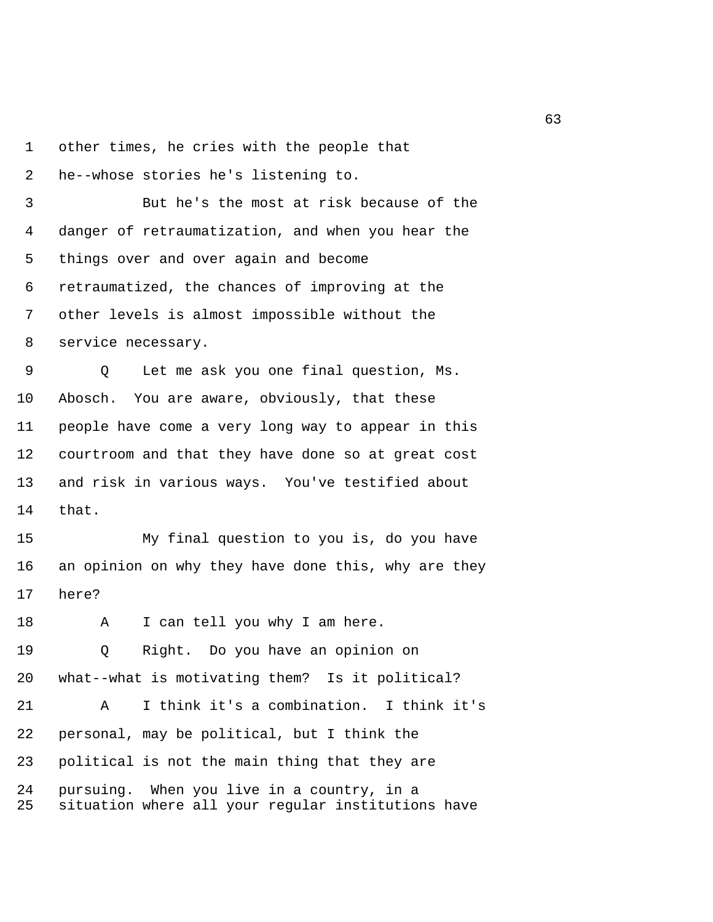1 other times, he cries with the people that

2 he--whose stories he's listening to.

 3 But he's the most at risk because of the 4 danger of retraumatization, and when you hear the 5 things over and over again and become 6 retraumatized, the chances of improving at the 7 other levels is almost impossible without the 8 service necessary.

 9 Q Let me ask you one final question, Ms. 10 Abosch. You are aware, obviously, that these 11 people have come a very long way to appear in this 12 courtroom and that they have done so at great cost 13 and risk in various ways. You've testified about 14 that.

15 My final question to you is, do you have 16 an opinion on why they have done this, why are they 17 here?

18 A I can tell you why I am here.

19 Q Right. Do you have an opinion on 20 what--what is motivating them? Is it political? 21 A I think it's a combination. I think it's 22 personal, may be political, but I think the 23 political is not the main thing that they are 24 pursuing. When you live in a country, in a 25 situation where all your regular institutions have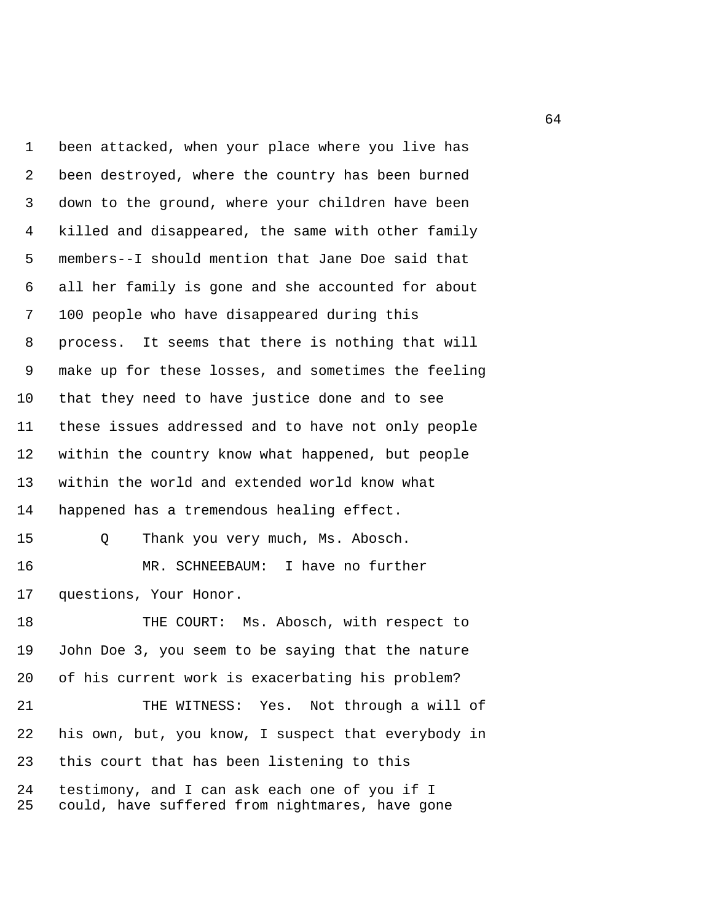1 been attacked, when your place where you live has 2 been destroyed, where the country has been burned 3 down to the ground, where your children have been 4 killed and disappeared, the same with other family 5 members--I should mention that Jane Doe said that 6 all her family is gone and she accounted for about 7 100 people who have disappeared during this 8 process. It seems that there is nothing that will 9 make up for these losses, and sometimes the feeling 10 that they need to have justice done and to see 11 these issues addressed and to have not only people 12 within the country know what happened, but people 13 within the world and extended world know what 14 happened has a tremendous healing effect. 15 Q Thank you very much, Ms. Abosch. 16 MR. SCHNEEBAUM: I have no further 17 questions, Your Honor. 18 THE COURT: Ms. Abosch, with respect to 19 John Doe 3, you seem to be saying that the nature 20 of his current work is exacerbating his problem? 21 THE WITNESS: Yes. Not through a will of 22 his own, but, you know, I suspect that everybody in 23 this court that has been listening to this 24 testimony, and I can ask each one of you if I 25 could, have suffered from nightmares, have gone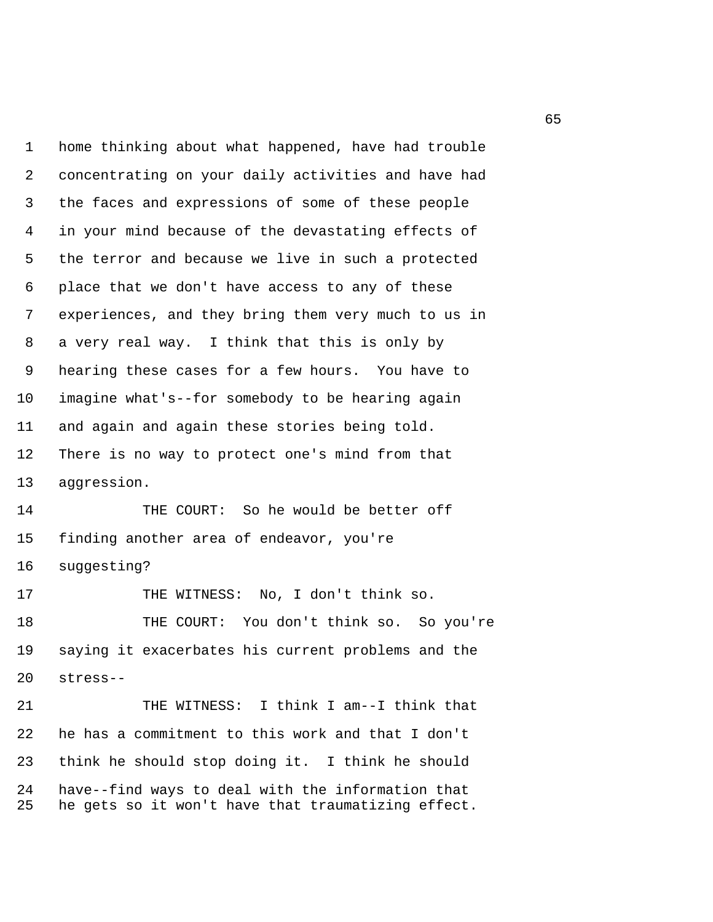1 home thinking about what happened, have had trouble 2 concentrating on your daily activities and have had 3 the faces and expressions of some of these people 4 in your mind because of the devastating effects of 5 the terror and because we live in such a protected 6 place that we don't have access to any of these 7 experiences, and they bring them very much to us in 8 a very real way. I think that this is only by 9 hearing these cases for a few hours. You have to 10 imagine what's--for somebody to be hearing again 11 and again and again these stories being told. 12 There is no way to protect one's mind from that 13 aggression.

14 THE COURT: So he would be better off 15 finding another area of endeavor, you're 16 suggesting?

17 THE WITNESS: No, I don't think so. 18 THE COURT: You don't think so. So you're 19 saying it exacerbates his current problems and the 20 stress--

21 THE WITNESS: I think I am--I think that 22 he has a commitment to this work and that I don't 23 think he should stop doing it. I think he should 24 have--find ways to deal with the information that 25 he gets so it won't have that traumatizing effect.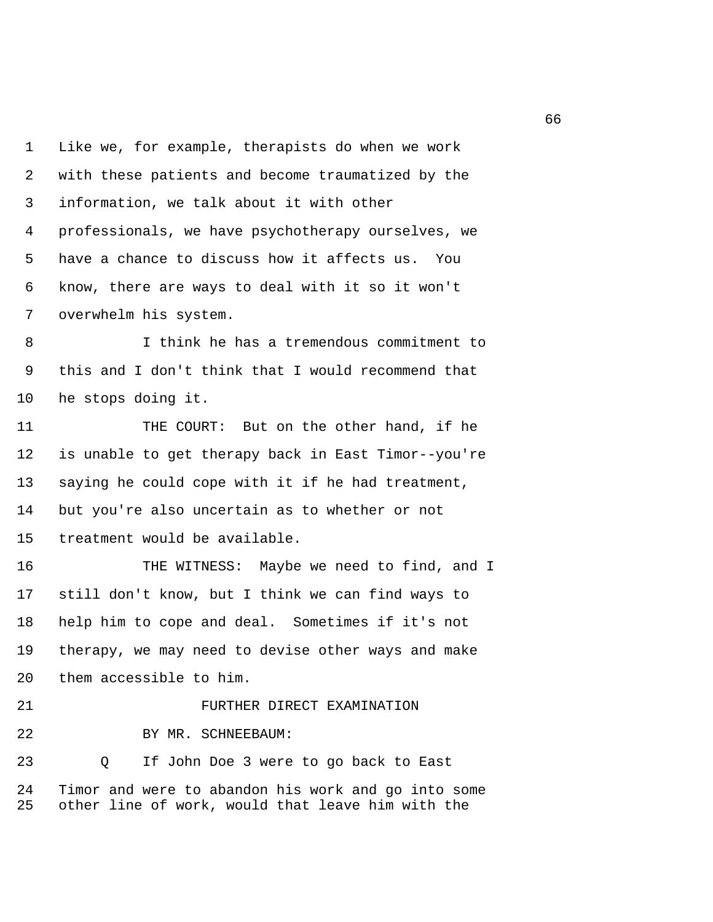1 Like we, for example, therapists do when we work 2 with these patients and become traumatized by the 3 information, we talk about it with other 4 professionals, we have psychotherapy ourselves, we 5 have a chance to discuss how it affects us. You 6 know, there are ways to deal with it so it won't 7 overwhelm his system.

 8 I think he has a tremendous commitment to 9 this and I don't think that I would recommend that 10 he stops doing it.

11 THE COURT: But on the other hand, if he 12 is unable to get therapy back in East Timor--you're 13 saying he could cope with it if he had treatment, 14 but you're also uncertain as to whether or not 15 treatment would be available.

16 THE WITNESS: Maybe we need to find, and I 17 still don't know, but I think we can find ways to 18 help him to cope and deal. Sometimes if it's not 19 therapy, we may need to devise other ways and make 20 them accessible to him.

21 **FURTHER DIRECT EXAMINATION** 22 BY MR. SCHNEEBAUM: 23 Q If John Doe 3 were to go back to East 24 Timor and were to abandon his work and go into some

25 other line of work, would that leave him with the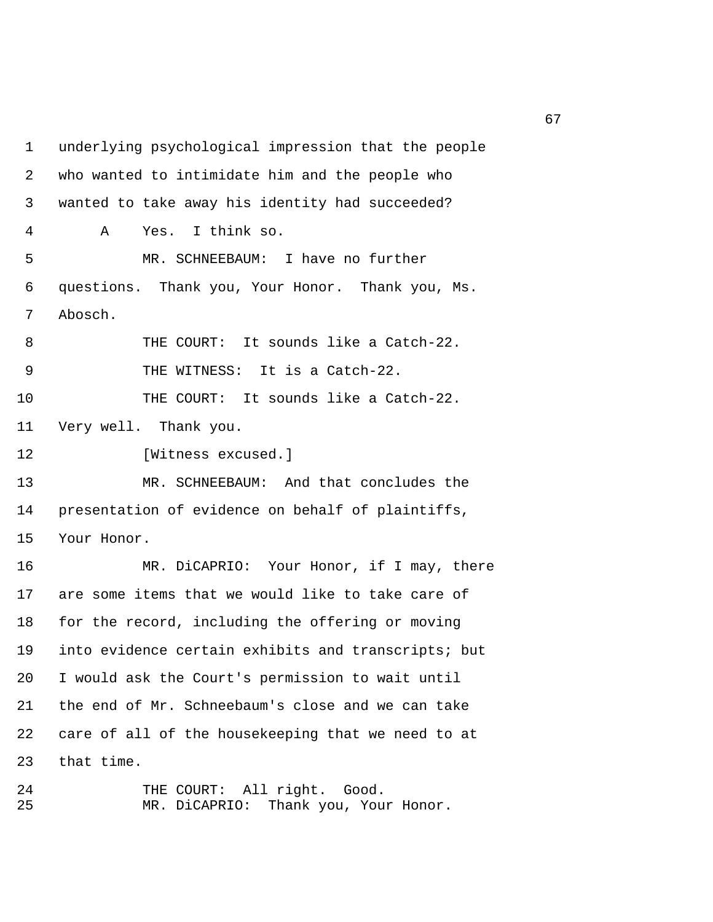1 underlying psychological impression that the people 2 who wanted to intimidate him and the people who 3 wanted to take away his identity had succeeded? 4 A Yes. I think so. 5 MR. SCHNEEBAUM: I have no further 6 questions. Thank you, Your Honor. Thank you, Ms. 7 Abosch. 8 THE COURT: It sounds like a Catch-22. 9 THE WITNESS: It is a Catch-22. 10 THE COURT: It sounds like a Catch-22. 11 Very well. Thank you. 12 [Witness excused.] 13 MR. SCHNEEBAUM: And that concludes the 14 presentation of evidence on behalf of plaintiffs, 15 Your Honor. 16 MR. DiCAPRIO: Your Honor, if I may, there 17 are some items that we would like to take care of 18 for the record, including the offering or moving 19 into evidence certain exhibits and transcripts; but 20 I would ask the Court's permission to wait until 21 the end of Mr. Schneebaum's close and we can take 22 care of all of the housekeeping that we need to at 23 that time.

24 THE COURT: All right. Good. 25 MR. DiCAPRIO: Thank you, Your Honor.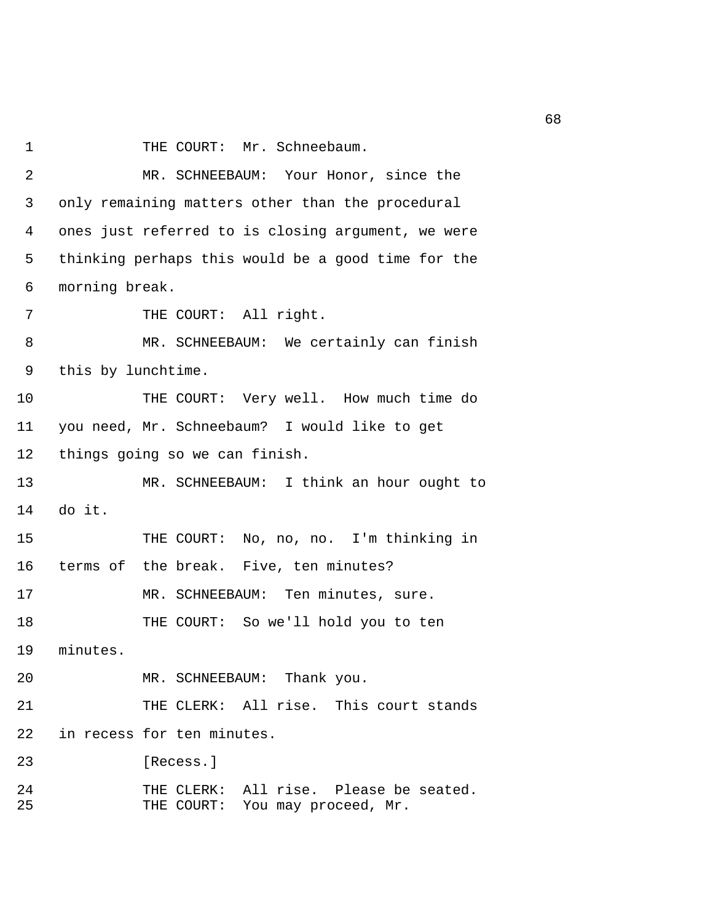1 THE COURT: Mr. Schneebaum.

 2 MR. SCHNEEBAUM: Your Honor, since the 3 only remaining matters other than the procedural 4 ones just referred to is closing argument, we were 5 thinking perhaps this would be a good time for the 6 morning break. 7 THE COURT: All right. 8 MR. SCHNEEBAUM: We certainly can finish 9 this by lunchtime. 10 THE COURT: Very well. How much time do 11 you need, Mr. Schneebaum? I would like to get 12 things going so we can finish. 13 MR. SCHNEEBAUM: I think an hour ought to 14 do it. 15 THE COURT: No, no, no. I'm thinking in 16 terms of the break. Five, ten minutes? 17 MR. SCHNEEBAUM: Ten minutes, sure. 18 THE COURT: So we'll hold you to ten 19 minutes. 20 MR. SCHNEEBAUM: Thank you. 21 THE CLERK: All rise. This court stands 22 in recess for ten minutes. 23 [Recess.] 24 THE CLERK: All rise. Please be seated. 25 THE COURT: You may proceed, Mr.

 $68<sup>th</sup>$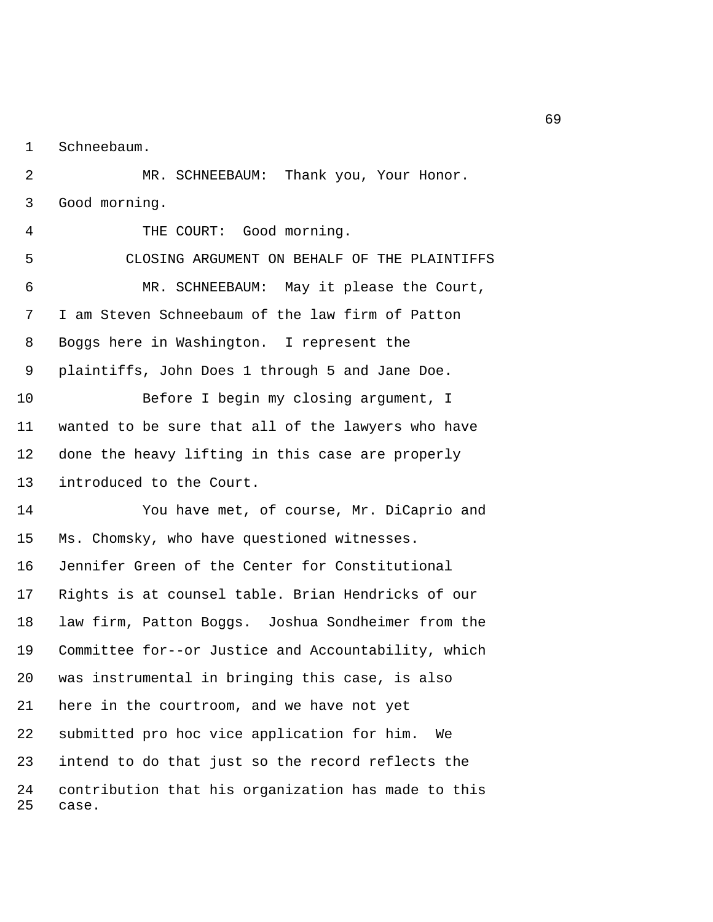1 Schneebaum.

 2 MR. SCHNEEBAUM: Thank you, Your Honor. 3 Good morning.

 4 THE COURT: Good morning. 5 CLOSING ARGUMENT ON BEHALF OF THE PLAINTIFFS 6 MR. SCHNEEBAUM: May it please the Court, 7 I am Steven Schneebaum of the law firm of Patton 8 Boggs here in Washington. I represent the 9 plaintiffs, John Does 1 through 5 and Jane Doe. 10 Before I begin my closing argument, I 11 wanted to be sure that all of the lawyers who have 12 done the heavy lifting in this case are properly 13 introduced to the Court. 14 You have met, of course, Mr. DiCaprio and 15 Ms. Chomsky, who have questioned witnesses. 16 Jennifer Green of the Center for Constitutional 17 Rights is at counsel table. Brian Hendricks of our 18 law firm, Patton Boggs. Joshua Sondheimer from the 19 Committee for--or Justice and Accountability, which 20 was instrumental in bringing this case, is also 21 here in the courtroom, and we have not yet 22 submitted pro hoc vice application for him. We 23 intend to do that just so the record reflects the 24 contribution that his organization has made to this 25 case.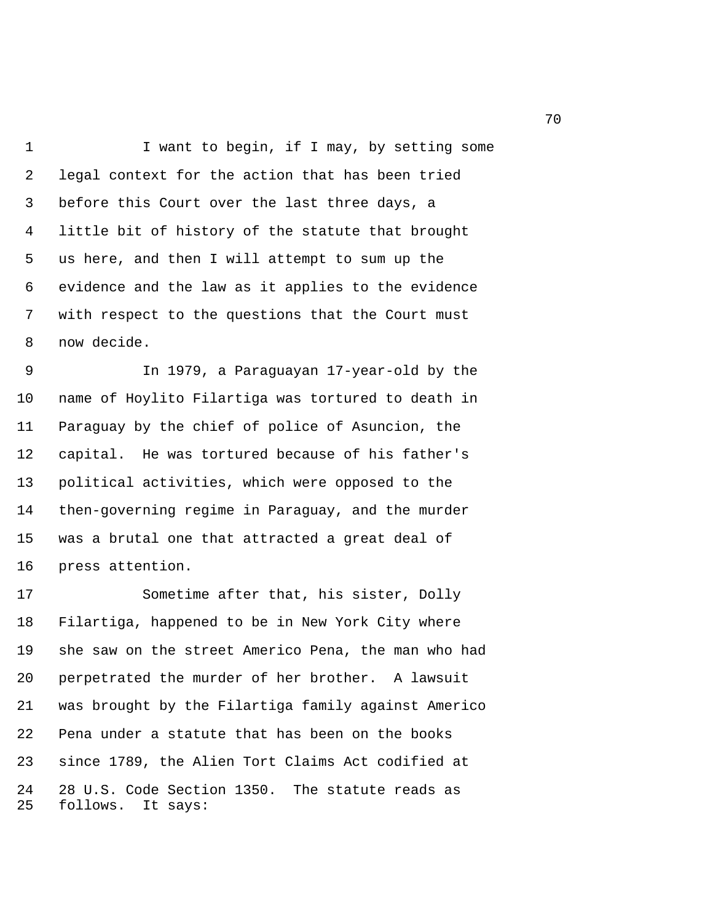1 I want to begin, if I may, by setting some 2 legal context for the action that has been tried 3 before this Court over the last three days, a 4 little bit of history of the statute that brought 5 us here, and then I will attempt to sum up the 6 evidence and the law as it applies to the evidence 7 with respect to the questions that the Court must 8 now decide.

 9 In 1979, a Paraguayan 17-year-old by the 10 name of Hoylito Filartiga was tortured to death in 11 Paraguay by the chief of police of Asuncion, the 12 capital. He was tortured because of his father's 13 political activities, which were opposed to the 14 then-governing regime in Paraguay, and the murder 15 was a brutal one that attracted a great deal of 16 press attention.

17 Sometime after that, his sister, Dolly 18 Filartiga, happened to be in New York City where 19 she saw on the street Americo Pena, the man who had 20 perpetrated the murder of her brother. A lawsuit 21 was brought by the Filartiga family against Americo 22 Pena under a statute that has been on the books 23 since 1789, the Alien Tort Claims Act codified at 24 28 U.S. Code Section 1350. The statute reads as 25 follows. It says: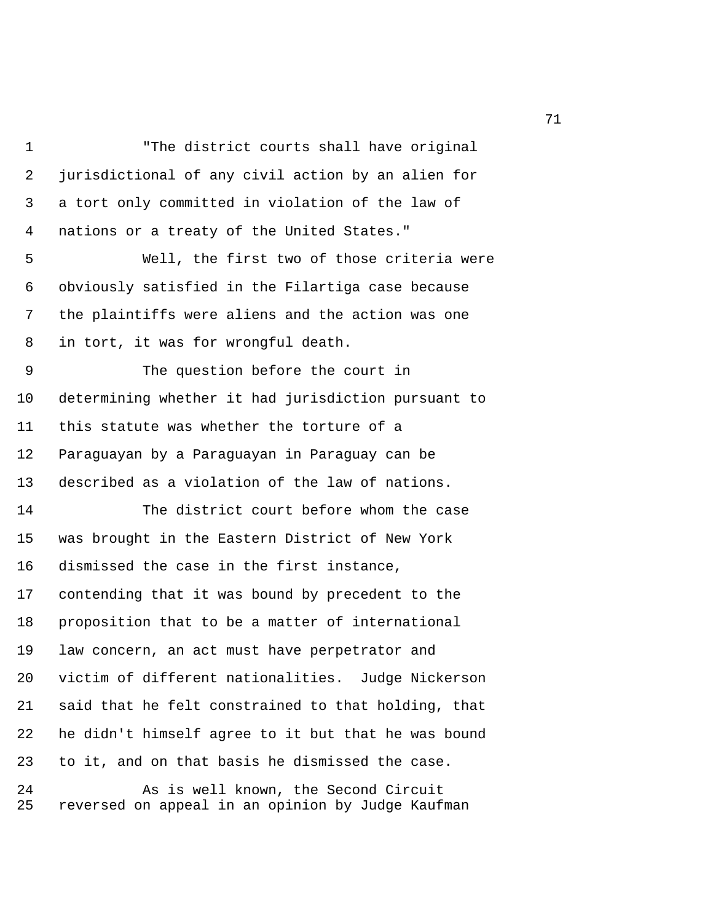1 "The district courts shall have original 2 jurisdictional of any civil action by an alien for 3 a tort only committed in violation of the law of 4 nations or a treaty of the United States." 5 Well, the first two of those criteria were 6 obviously satisfied in the Filartiga case because 7 the plaintiffs were aliens and the action was one 8 in tort, it was for wrongful death. 9 The question before the court in 10 determining whether it had jurisdiction pursuant to 11 this statute was whether the torture of a 12 Paraguayan by a Paraguayan in Paraguay can be 13 described as a violation of the law of nations. 14 The district court before whom the case 15 was brought in the Eastern District of New York 16 dismissed the case in the first instance, 17 contending that it was bound by precedent to the 18 proposition that to be a matter of international 19 law concern, an act must have perpetrator and 20 victim of different nationalities. Judge Nickerson 21 said that he felt constrained to that holding, that 22 he didn't himself agree to it but that he was bound 23 to it, and on that basis he dismissed the case. 24 As is well known, the Second Circuit 25 reversed on appeal in an opinion by Judge Kaufman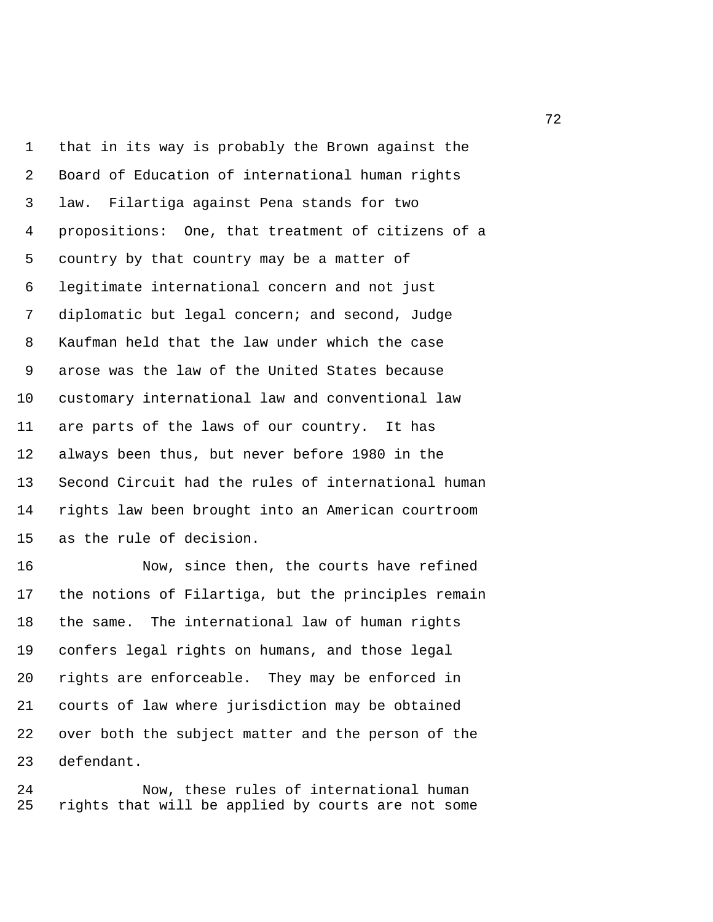1 that in its way is probably the Brown against the 2 Board of Education of international human rights 3 law. Filartiga against Pena stands for two 4 propositions: One, that treatment of citizens of a 5 country by that country may be a matter of 6 legitimate international concern and not just 7 diplomatic but legal concern; and second, Judge 8 Kaufman held that the law under which the case 9 arose was the law of the United States because 10 customary international law and conventional law 11 are parts of the laws of our country. It has 12 always been thus, but never before 1980 in the 13 Second Circuit had the rules of international human 14 rights law been brought into an American courtroom 15 as the rule of decision.

16 Now, since then, the courts have refined 17 the notions of Filartiga, but the principles remain 18 the same. The international law of human rights 19 confers legal rights on humans, and those legal 20 rights are enforceable. They may be enforced in 21 courts of law where jurisdiction may be obtained 22 over both the subject matter and the person of the 23 defendant.

24 Now, these rules of international human 25 rights that will be applied by courts are not some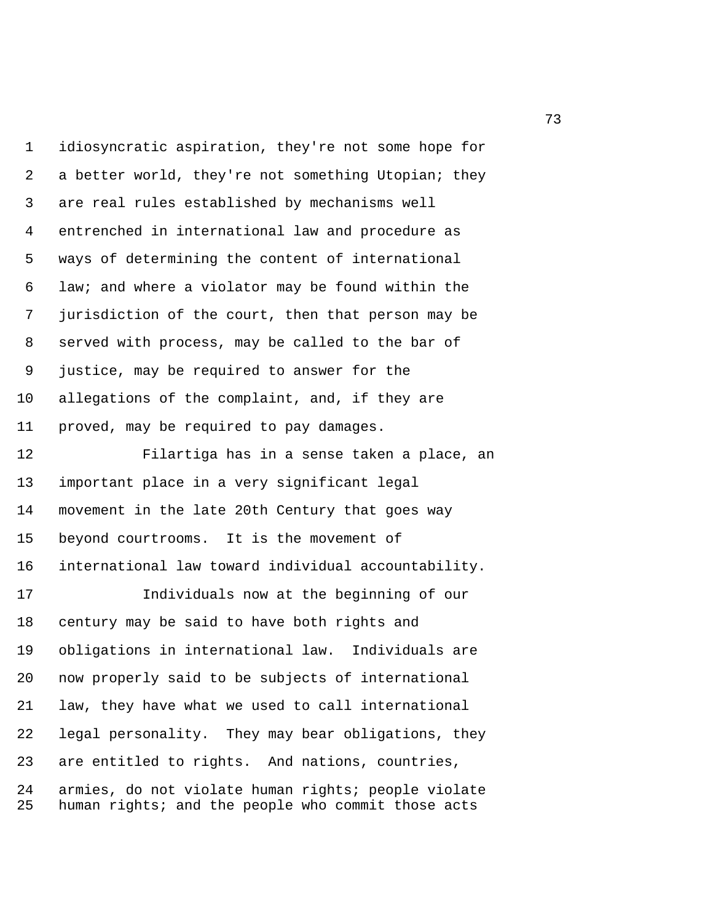1 idiosyncratic aspiration, they're not some hope for 2 a better world, they're not something Utopian; they 3 are real rules established by mechanisms well 4 entrenched in international law and procedure as 5 ways of determining the content of international 6 law; and where a violator may be found within the 7 jurisdiction of the court, then that person may be 8 served with process, may be called to the bar of 9 justice, may be required to answer for the 10 allegations of the complaint, and, if they are 11 proved, may be required to pay damages.

12 Filartiga has in a sense taken a place, an 13 important place in a very significant legal 14 movement in the late 20th Century that goes way 15 beyond courtrooms. It is the movement of 16 international law toward individual accountability.

17 Individuals now at the beginning of our 18 century may be said to have both rights and 19 obligations in international law. Individuals are 20 now properly said to be subjects of international 21 law, they have what we used to call international 22 legal personality. They may bear obligations, they 23 are entitled to rights. And nations, countries, 24 armies, do not violate human rights; people violate 25 human rights; and the people who commit those acts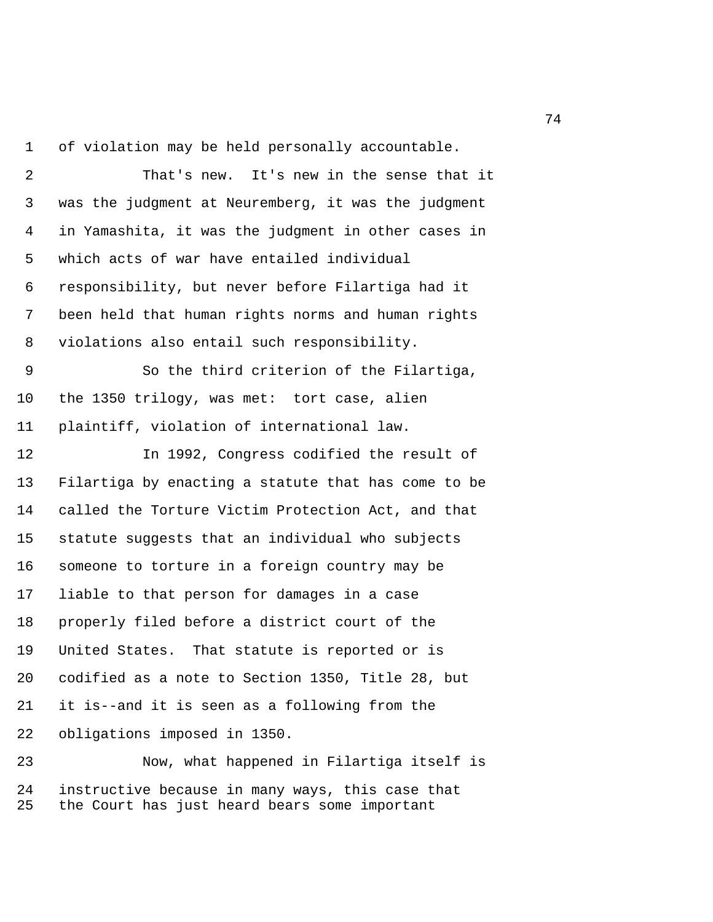1 of violation may be held personally accountable.

 2 That's new. It's new in the sense that it 3 was the judgment at Neuremberg, it was the judgment 4 in Yamashita, it was the judgment in other cases in 5 which acts of war have entailed individual 6 responsibility, but never before Filartiga had it 7 been held that human rights norms and human rights 8 violations also entail such responsibility.

 9 So the third criterion of the Filartiga, 10 the 1350 trilogy, was met: tort case, alien 11 plaintiff, violation of international law.

12 In 1992, Congress codified the result of 13 Filartiga by enacting a statute that has come to be 14 called the Torture Victim Protection Act, and that 15 statute suggests that an individual who subjects 16 someone to torture in a foreign country may be 17 liable to that person for damages in a case 18 properly filed before a district court of the 19 United States. That statute is reported or is 20 codified as a note to Section 1350, Title 28, but 21 it is--and it is seen as a following from the 22 obligations imposed in 1350.

23 Now, what happened in Filartiga itself is 24 instructive because in many ways, this case that 25 the Court has just heard bears some important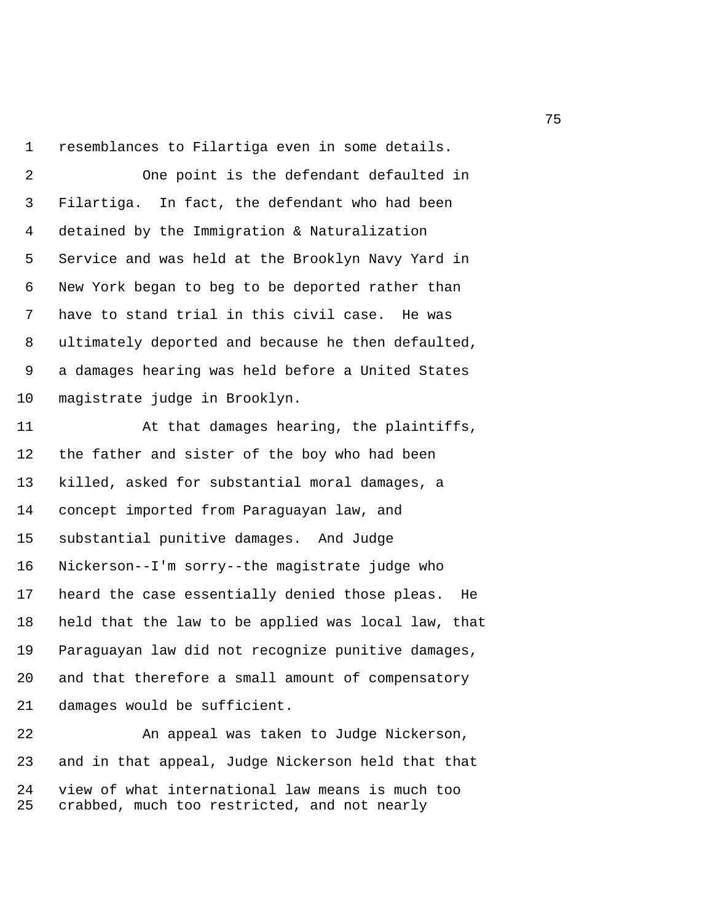1 resemblances to Filartiga even in some details.

 2 One point is the defendant defaulted in 3 Filartiga. In fact, the defendant who had been 4 detained by the Immigration & Naturalization 5 Service and was held at the Brooklyn Navy Yard in 6 New York began to beg to be deported rather than 7 have to stand trial in this civil case. He was 8 ultimately deported and because he then defaulted, 9 a damages hearing was held before a United States 10 magistrate judge in Brooklyn.

11 At that damages hearing, the plaintiffs, 12 the father and sister of the boy who had been 13 killed, asked for substantial moral damages, a 14 concept imported from Paraguayan law, and 15 substantial punitive damages. And Judge 16 Nickerson--I'm sorry--the magistrate judge who 17 heard the case essentially denied those pleas. He 18 held that the law to be applied was local law, that 19 Paraguayan law did not recognize punitive damages, 20 and that therefore a small amount of compensatory 21 damages would be sufficient.

22 An appeal was taken to Judge Nickerson, 23 and in that appeal, Judge Nickerson held that that 24 view of what international law means is much too 25 crabbed, much too restricted, and not nearly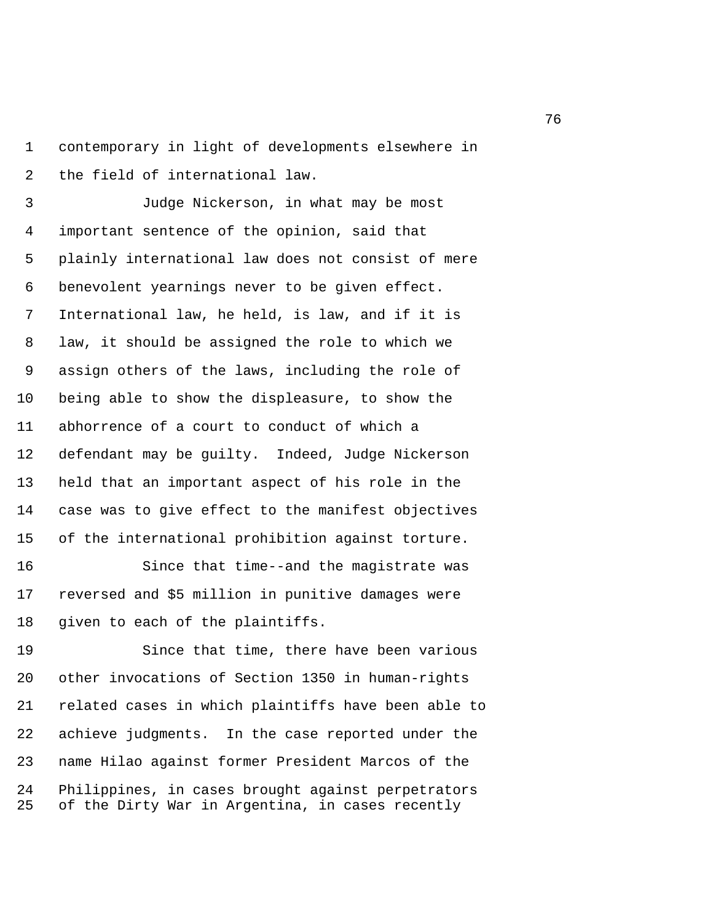1 contemporary in light of developments elsewhere in 2 the field of international law.

 3 Judge Nickerson, in what may be most 4 important sentence of the opinion, said that 5 plainly international law does not consist of mere 6 benevolent yearnings never to be given effect. 7 International law, he held, is law, and if it is 8 law, it should be assigned the role to which we 9 assign others of the laws, including the role of 10 being able to show the displeasure, to show the 11 abhorrence of a court to conduct of which a 12 defendant may be guilty. Indeed, Judge Nickerson 13 held that an important aspect of his role in the 14 case was to give effect to the manifest objectives 15 of the international prohibition against torture.

16 Since that time--and the magistrate was 17 reversed and \$5 million in punitive damages were 18 given to each of the plaintiffs.

19 Since that time, there have been various 20 other invocations of Section 1350 in human-rights 21 related cases in which plaintiffs have been able to 22 achieve judgments. In the case reported under the 23 name Hilao against former President Marcos of the 24 Philippines, in cases brought against perpetrators 25 of the Dirty War in Argentina, in cases recently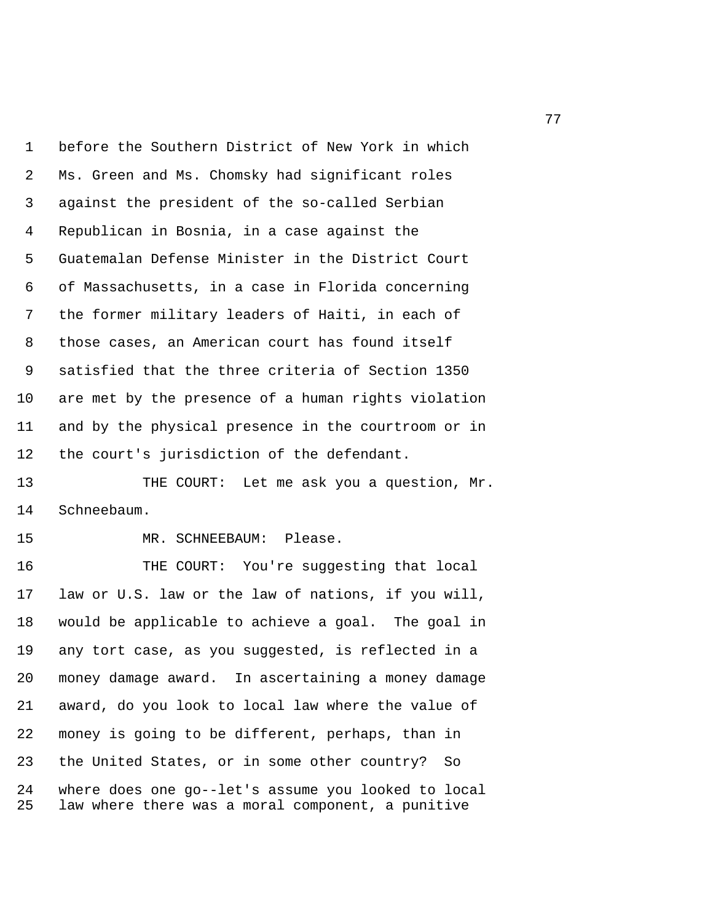1 before the Southern District of New York in which 2 Ms. Green and Ms. Chomsky had significant roles 3 against the president of the so-called Serbian 4 Republican in Bosnia, in a case against the 5 Guatemalan Defense Minister in the District Court 6 of Massachusetts, in a case in Florida concerning 7 the former military leaders of Haiti, in each of 8 those cases, an American court has found itself 9 satisfied that the three criteria of Section 1350 10 are met by the presence of a human rights violation 11 and by the physical presence in the courtroom or in 12 the court's jurisdiction of the defendant.

13 THE COURT: Let me ask you a question, Mr. 14 Schneebaum.

15 MR. SCHNEEBAUM: Please.

16 THE COURT: You're suggesting that local 17 law or U.S. law or the law of nations, if you will, 18 would be applicable to achieve a goal. The goal in 19 any tort case, as you suggested, is reflected in a 20 money damage award. In ascertaining a money damage 21 award, do you look to local law where the value of 22 money is going to be different, perhaps, than in 23 the United States, or in some other country? So 24 where does one go--let's assume you looked to local 25 law where there was a moral component, a punitive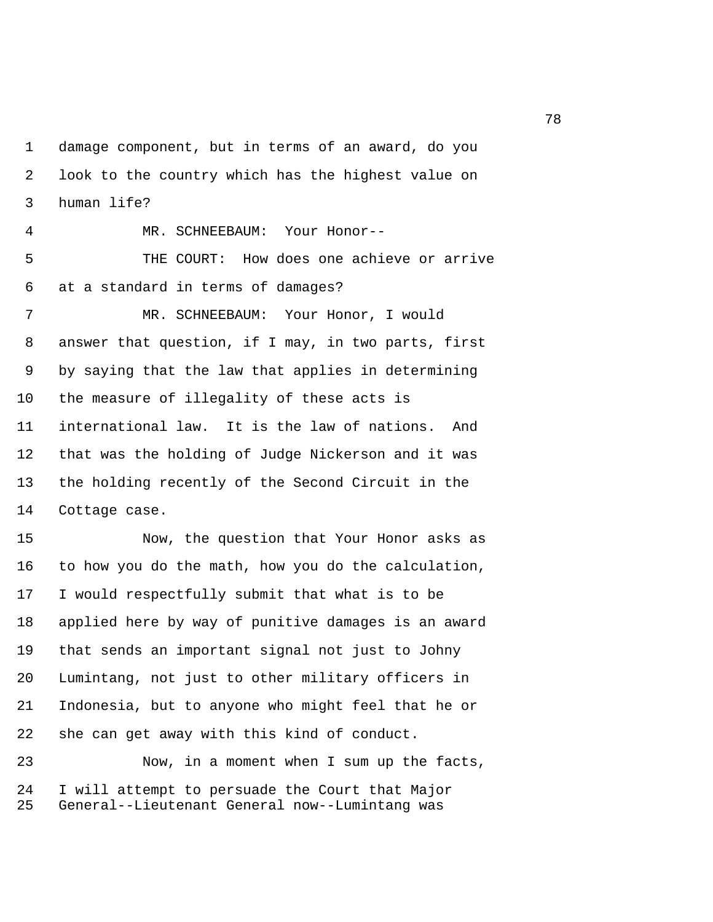1 damage component, but in terms of an award, do you 2 look to the country which has the highest value on 3 human life?

 4 MR. SCHNEEBAUM: Your Honor-- 5 THE COURT: How does one achieve or arrive 6 at a standard in terms of damages? 7 MR. SCHNEEBAUM: Your Honor, I would 8 answer that question, if I may, in two parts, first 9 by saying that the law that applies in determining 10 the measure of illegality of these acts is 11 international law. It is the law of nations. And 12 that was the holding of Judge Nickerson and it was 13 the holding recently of the Second Circuit in the 14 Cottage case.

15 Now, the question that Your Honor asks as 16 to how you do the math, how you do the calculation, 17 I would respectfully submit that what is to be 18 applied here by way of punitive damages is an award 19 that sends an important signal not just to Johny 20 Lumintang, not just to other military officers in 21 Indonesia, but to anyone who might feel that he or 22 she can get away with this kind of conduct.

23 Now, in a moment when I sum up the facts, 24 I will attempt to persuade the Court that Major 25 General--Lieutenant General now--Lumintang was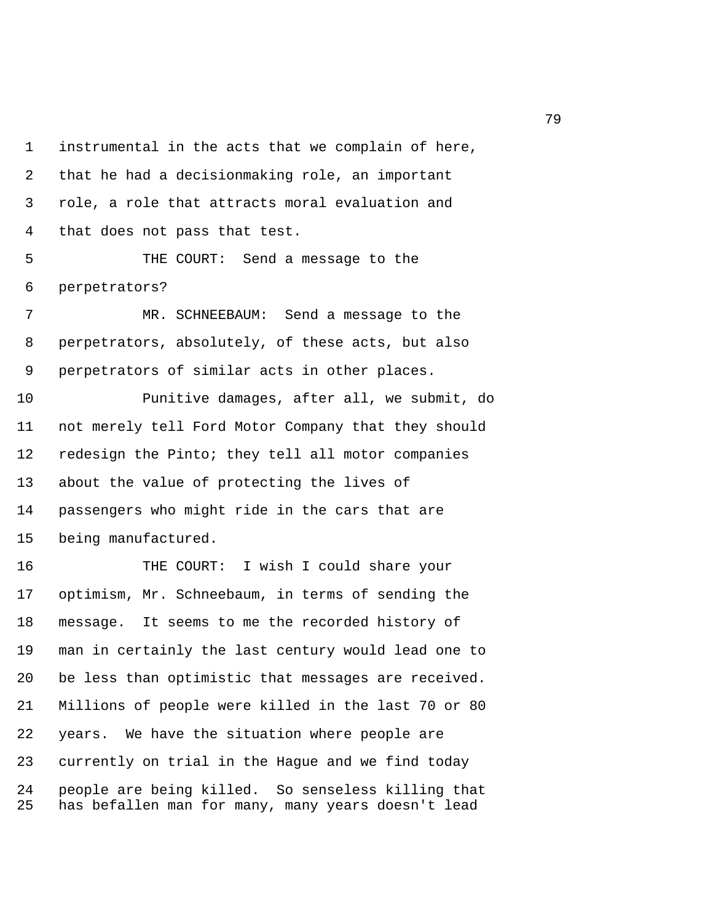1 instrumental in the acts that we complain of here, 2 that he had a decisionmaking role, an important 3 role, a role that attracts moral evaluation and 4 that does not pass that test.

 5 THE COURT: Send a message to the 6 perpetrators?

 7 MR. SCHNEEBAUM: Send a message to the 8 perpetrators, absolutely, of these acts, but also 9 perpetrators of similar acts in other places.

10 Punitive damages, after all, we submit, do 11 not merely tell Ford Motor Company that they should 12 redesign the Pinto; they tell all motor companies 13 about the value of protecting the lives of 14 passengers who might ride in the cars that are 15 being manufactured.

16 THE COURT: I wish I could share your 17 optimism, Mr. Schneebaum, in terms of sending the 18 message. It seems to me the recorded history of 19 man in certainly the last century would lead one to 20 be less than optimistic that messages are received. 21 Millions of people were killed in the last 70 or 80 22 years. We have the situation where people are 23 currently on trial in the Hague and we find today 24 people are being killed. So senseless killing that 25 has befallen man for many, many years doesn't lead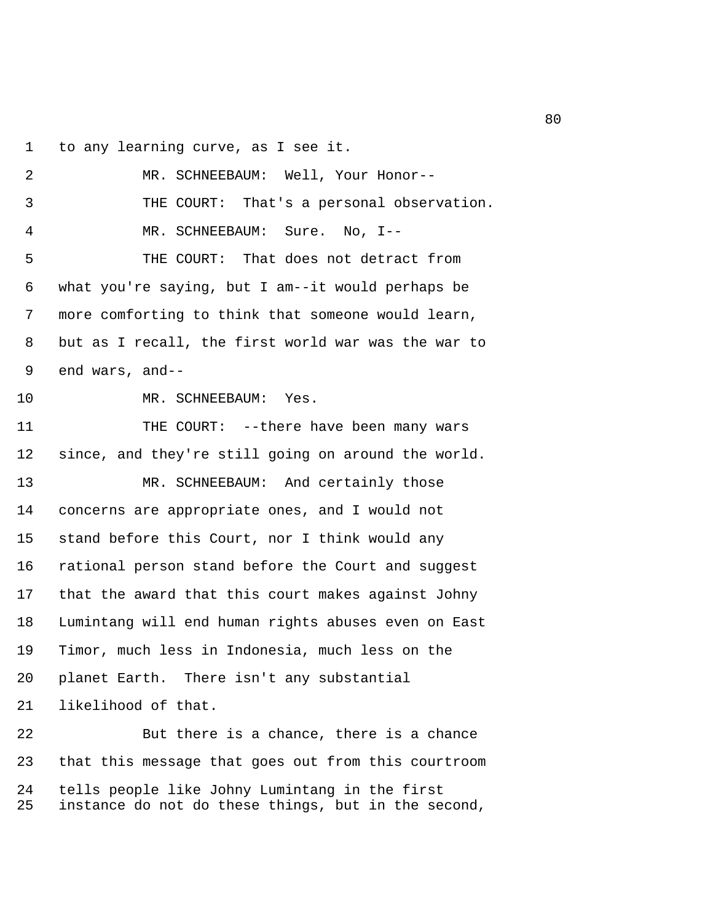1 to any learning curve, as I see it.

 2 MR. SCHNEEBAUM: Well, Your Honor-- 3 THE COURT: That's a personal observation. 4 MR. SCHNEEBAUM: Sure. No, I-- 5 THE COURT: That does not detract from 6 what you're saying, but I am--it would perhaps be 7 more comforting to think that someone would learn, 8 but as I recall, the first world war was the war to 9 end wars, and-- 10 MR. SCHNEEBAUM: Yes. 11 THE COURT: --there have been many wars 12 since, and they're still going on around the world. 13 MR. SCHNEEBAUM: And certainly those 14 concerns are appropriate ones, and I would not 15 stand before this Court, nor I think would any 16 rational person stand before the Court and suggest 17 that the award that this court makes against Johny 18 Lumintang will end human rights abuses even on East 19 Timor, much less in Indonesia, much less on the 20 planet Earth. There isn't any substantial 21 likelihood of that. 22 But there is a chance, there is a chance 23 that this message that goes out from this courtroom 24 tells people like Johny Lumintang in the first

25 instance do not do these things, but in the second,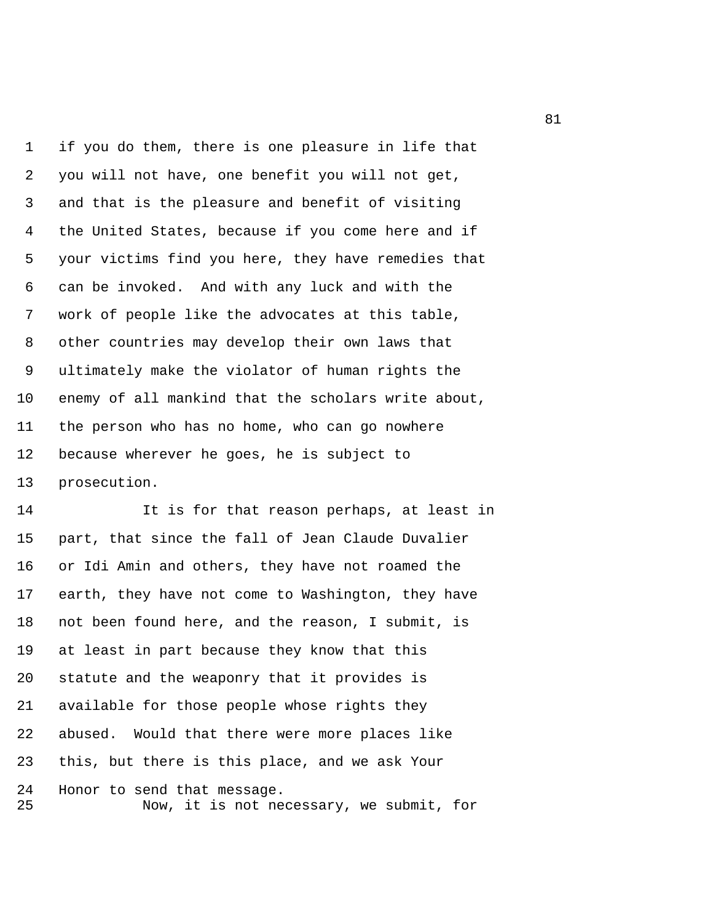1 if you do them, there is one pleasure in life that 2 you will not have, one benefit you will not get, 3 and that is the pleasure and benefit of visiting 4 the United States, because if you come here and if 5 your victims find you here, they have remedies that 6 can be invoked. And with any luck and with the 7 work of people like the advocates at this table, 8 other countries may develop their own laws that 9 ultimately make the violator of human rights the 10 enemy of all mankind that the scholars write about, 11 the person who has no home, who can go nowhere 12 because wherever he goes, he is subject to 13 prosecution.

14 It is for that reason perhaps, at least in 15 part, that since the fall of Jean Claude Duvalier 16 or Idi Amin and others, they have not roamed the 17 earth, they have not come to Washington, they have 18 not been found here, and the reason, I submit, is 19 at least in part because they know that this 20 statute and the weaponry that it provides is 21 available for those people whose rights they 22 abused. Would that there were more places like 23 this, but there is this place, and we ask Your 24 Honor to send that message. 25 Now, it is not necessary, we submit, for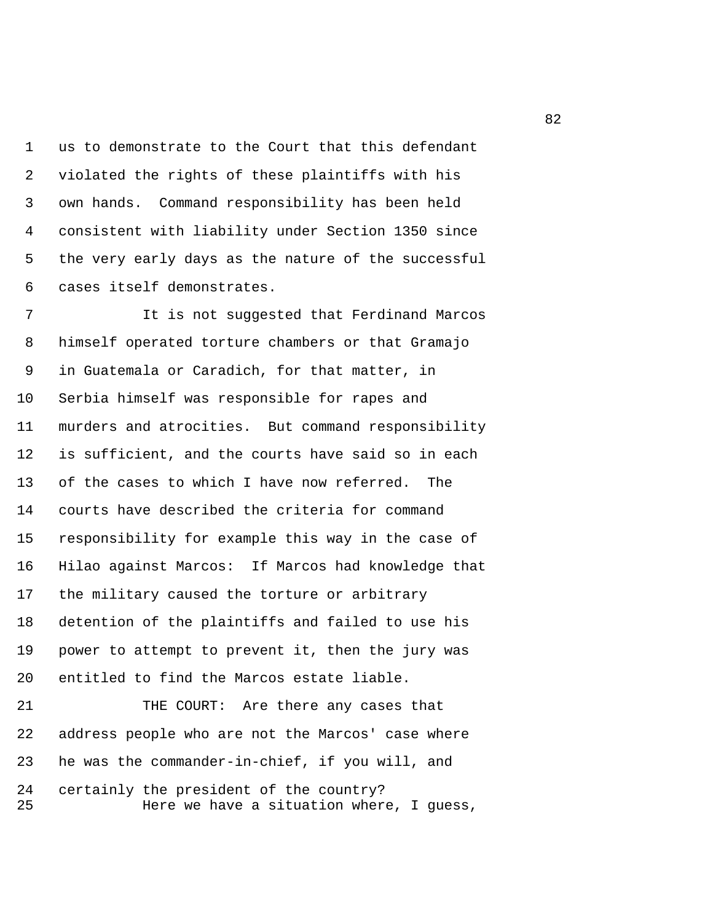1 us to demonstrate to the Court that this defendant 2 violated the rights of these plaintiffs with his 3 own hands. Command responsibility has been held 4 consistent with liability under Section 1350 since 5 the very early days as the nature of the successful 6 cases itself demonstrates.

 7 It is not suggested that Ferdinand Marcos 8 himself operated torture chambers or that Gramajo 9 in Guatemala or Caradich, for that matter, in 10 Serbia himself was responsible for rapes and 11 murders and atrocities. But command responsibility 12 is sufficient, and the courts have said so in each 13 of the cases to which I have now referred. The 14 courts have described the criteria for command 15 responsibility for example this way in the case of 16 Hilao against Marcos: If Marcos had knowledge that 17 the military caused the torture or arbitrary 18 detention of the plaintiffs and failed to use his 19 power to attempt to prevent it, then the jury was 20 entitled to find the Marcos estate liable. 21 THE COURT: Are there any cases that 22 address people who are not the Marcos' case where

24 certainly the president of the country? 25 Here we have a situation where, I guess,

23 he was the commander-in-chief, if you will, and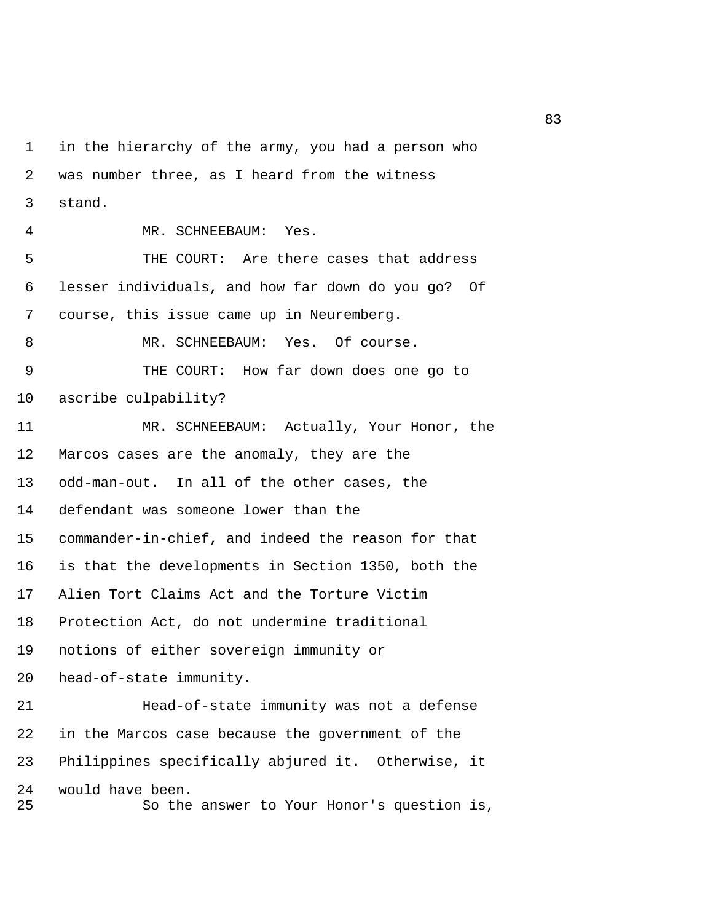1 in the hierarchy of the army, you had a person who 2 was number three, as I heard from the witness 3 stand. 4 MR. SCHNEEBAUM: Yes. 5 THE COURT: Are there cases that address 6 lesser individuals, and how far down do you go? Of 7 course, this issue came up in Neuremberg. 8 MR. SCHNEEBAUM: Yes. Of course. 9 THE COURT: How far down does one go to 10 ascribe culpability? 11 MR. SCHNEEBAUM: Actually, Your Honor, the 12 Marcos cases are the anomaly, they are the 13 odd-man-out. In all of the other cases, the 14 defendant was someone lower than the 15 commander-in-chief, and indeed the reason for that 16 is that the developments in Section 1350, both the 17 Alien Tort Claims Act and the Torture Victim 18 Protection Act, do not undermine traditional 19 notions of either sovereign immunity or 20 head-of-state immunity. 21 Head-of-state immunity was not a defense 22 in the Marcos case because the government of the 23 Philippines specifically abjured it. Otherwise, it 24 would have been. 25 So the answer to Your Honor's question is,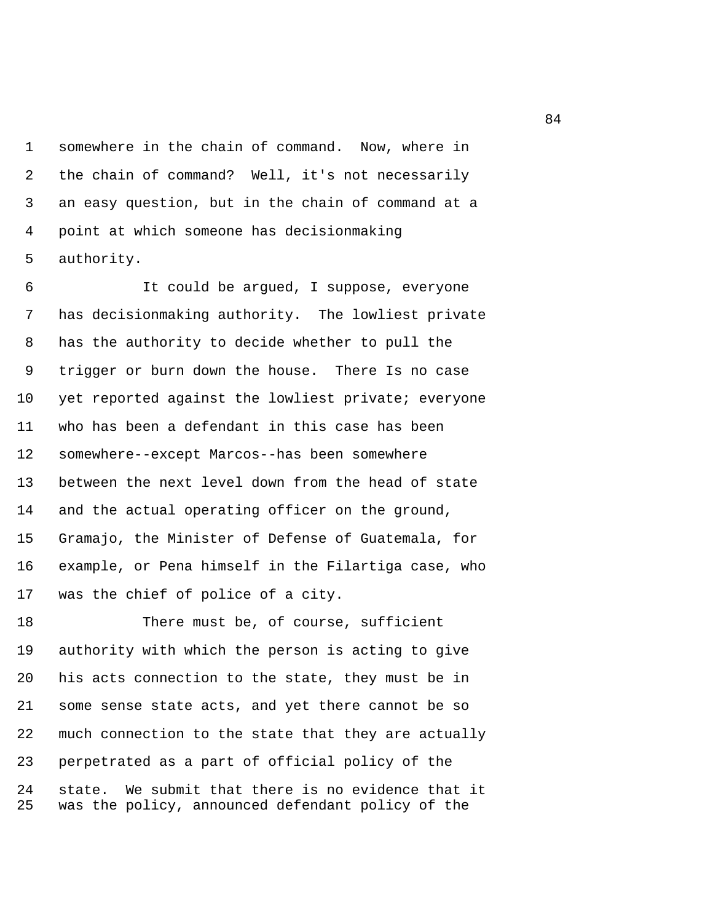1 somewhere in the chain of command. Now, where in 2 the chain of command? Well, it's not necessarily 3 an easy question, but in the chain of command at a 4 point at which someone has decisionmaking 5 authority.

 6 It could be argued, I suppose, everyone 7 has decisionmaking authority. The lowliest private 8 has the authority to decide whether to pull the 9 trigger or burn down the house. There Is no case 10 yet reported against the lowliest private; everyone 11 who has been a defendant in this case has been 12 somewhere--except Marcos--has been somewhere 13 between the next level down from the head of state 14 and the actual operating officer on the ground, 15 Gramajo, the Minister of Defense of Guatemala, for 16 example, or Pena himself in the Filartiga case, who 17 was the chief of police of a city.

18 There must be, of course, sufficient 19 authority with which the person is acting to give 20 his acts connection to the state, they must be in 21 some sense state acts, and yet there cannot be so 22 much connection to the state that they are actually 23 perpetrated as a part of official policy of the 24 state. We submit that there is no evidence that it 25 was the policy, announced defendant policy of the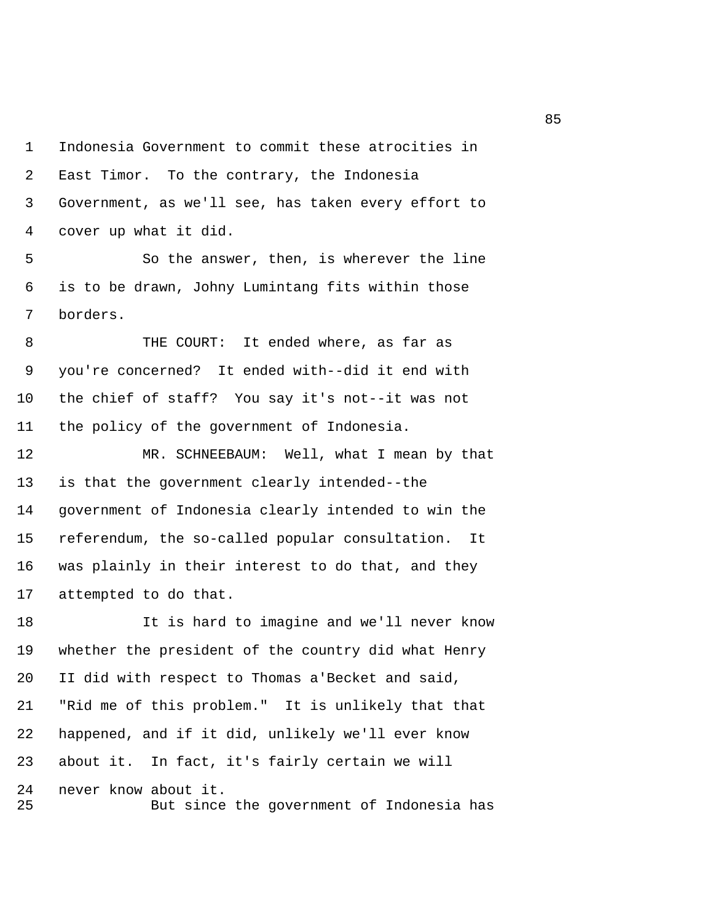1 Indonesia Government to commit these atrocities in 2 East Timor. To the contrary, the Indonesia 3 Government, as we'll see, has taken every effort to 4 cover up what it did.

 5 So the answer, then, is wherever the line 6 is to be drawn, Johny Lumintang fits within those 7 borders.

8 THE COURT: It ended where, as far as 9 you're concerned? It ended with--did it end with 10 the chief of staff? You say it's not--it was not 11 the policy of the government of Indonesia.

12 MR. SCHNEEBAUM: Well, what I mean by that 13 is that the government clearly intended--the 14 government of Indonesia clearly intended to win the 15 referendum, the so-called popular consultation. It 16 was plainly in their interest to do that, and they 17 attempted to do that.

18 It is hard to imagine and we'll never know 19 whether the president of the country did what Henry 20 II did with respect to Thomas a'Becket and said, 21 "Rid me of this problem." It is unlikely that that 22 happened, and if it did, unlikely we'll ever know 23 about it. In fact, it's fairly certain we will 24 never know about it. 25 But since the government of Indonesia has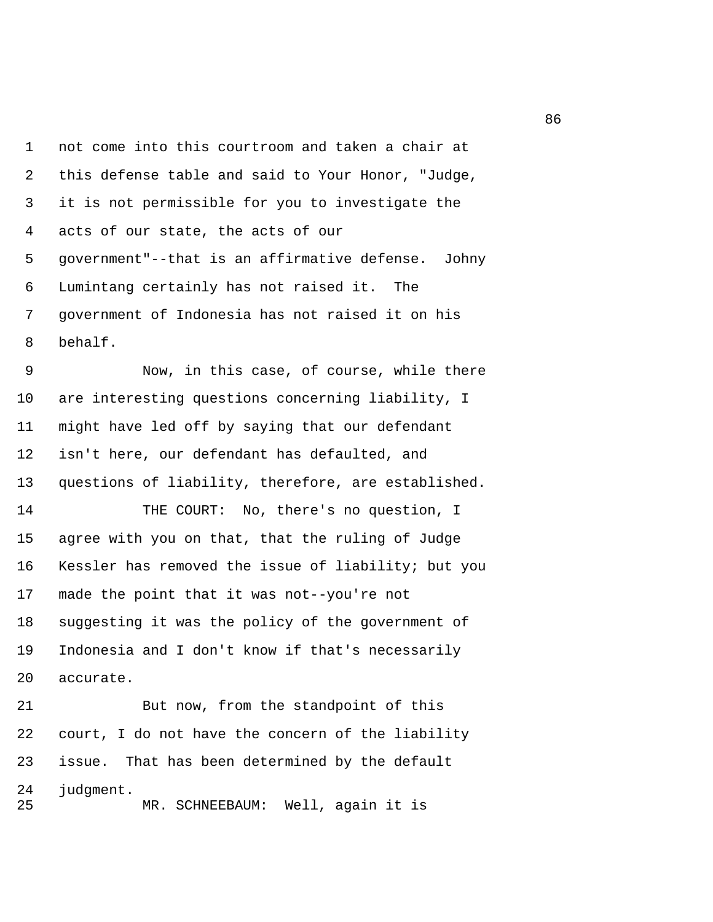1 not come into this courtroom and taken a chair at 2 this defense table and said to Your Honor, "Judge, 3 it is not permissible for you to investigate the 4 acts of our state, the acts of our 5 government"--that is an affirmative defense. Johny 6 Lumintang certainly has not raised it. The 7 government of Indonesia has not raised it on his 8 behalf.

 9 Now, in this case, of course, while there 10 are interesting questions concerning liability, I 11 might have led off by saying that our defendant 12 isn't here, our defendant has defaulted, and 13 questions of liability, therefore, are established.

14 THE COURT: No, there's no question, I 15 agree with you on that, that the ruling of Judge 16 Kessler has removed the issue of liability; but you 17 made the point that it was not--you're not 18 suggesting it was the policy of the government of 19 Indonesia and I don't know if that's necessarily 20 accurate.

21 But now, from the standpoint of this 22 court, I do not have the concern of the liability 23 issue. That has been determined by the default 24 judgment. 25 MR. SCHNEEBAUM: Well, again it is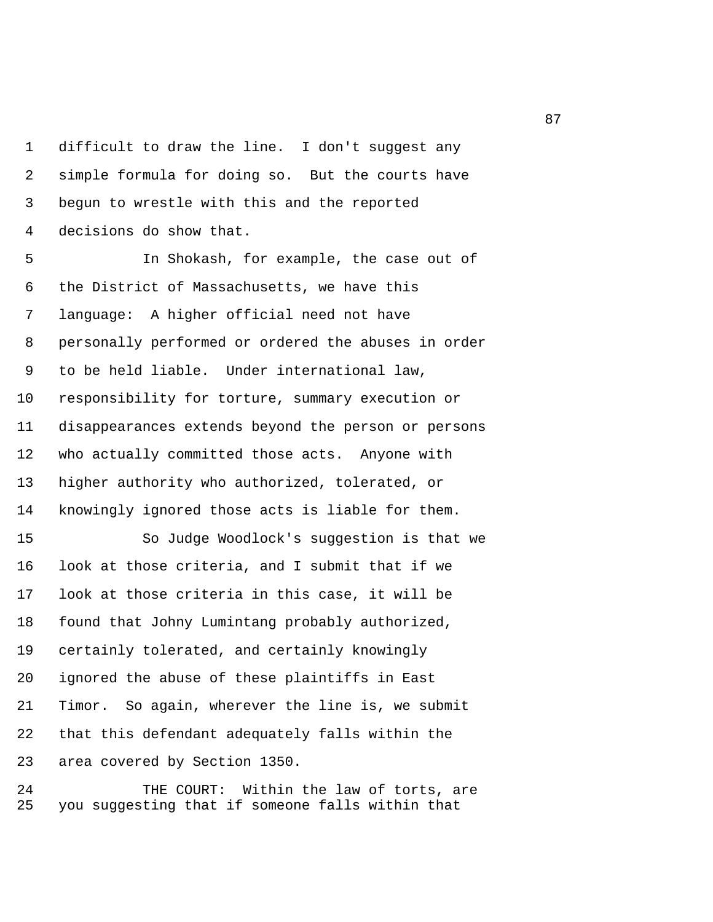1 difficult to draw the line. I don't suggest any 2 simple formula for doing so. But the courts have 3 begun to wrestle with this and the reported 4 decisions do show that.

 5 In Shokash, for example, the case out of 6 the District of Massachusetts, we have this 7 language: A higher official need not have 8 personally performed or ordered the abuses in order 9 to be held liable. Under international law, 10 responsibility for torture, summary execution or 11 disappearances extends beyond the person or persons 12 who actually committed those acts. Anyone with 13 higher authority who authorized, tolerated, or 14 knowingly ignored those acts is liable for them. 15 So Judge Woodlock's suggestion is that we 16 look at those criteria, and I submit that if we 17 look at those criteria in this case, it will be 18 found that Johny Lumintang probably authorized, 19 certainly tolerated, and certainly knowingly 20 ignored the abuse of these plaintiffs in East 21 Timor. So again, wherever the line is, we submit 22 that this defendant adequately falls within the 23 area covered by Section 1350.

24 THE COURT: Within the law of torts, are 25 you suggesting that if someone falls within that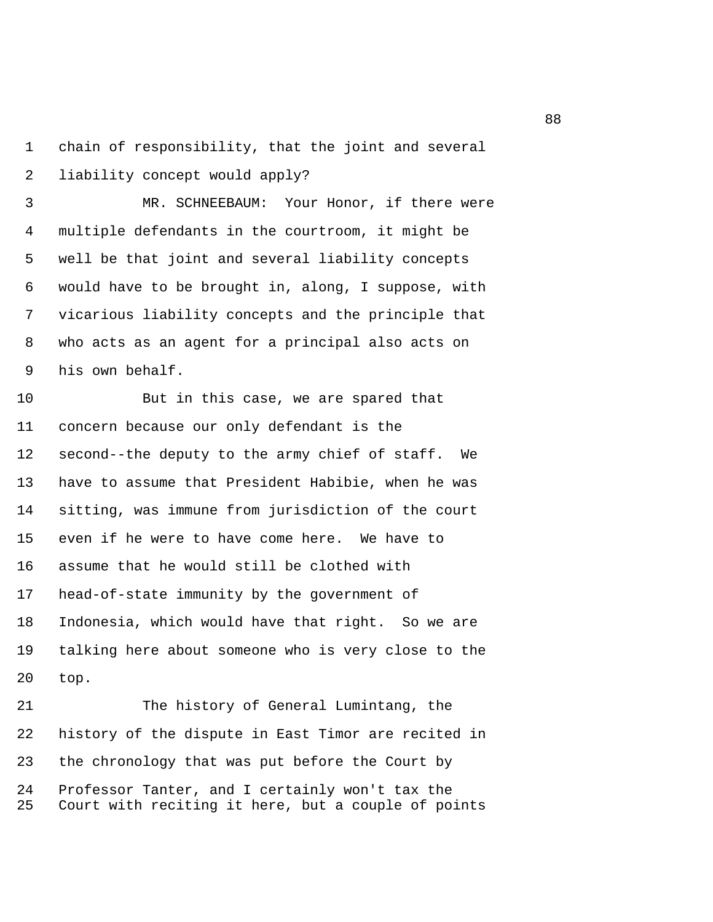1 chain of responsibility, that the joint and several 2 liability concept would apply?

 3 MR. SCHNEEBAUM: Your Honor, if there were 4 multiple defendants in the courtroom, it might be 5 well be that joint and several liability concepts 6 would have to be brought in, along, I suppose, with 7 vicarious liability concepts and the principle that 8 who acts as an agent for a principal also acts on 9 his own behalf.

10 But in this case, we are spared that 11 concern because our only defendant is the 12 second--the deputy to the army chief of staff. We 13 have to assume that President Habibie, when he was 14 sitting, was immune from jurisdiction of the court 15 even if he were to have come here. We have to 16 assume that he would still be clothed with 17 head-of-state immunity by the government of 18 Indonesia, which would have that right. So we are 19 talking here about someone who is very close to the 20 top.

21 The history of General Lumintang, the 22 history of the dispute in East Timor are recited in 23 the chronology that was put before the Court by 24 Professor Tanter, and I certainly won't tax the 25 Court with reciting it here, but a couple of points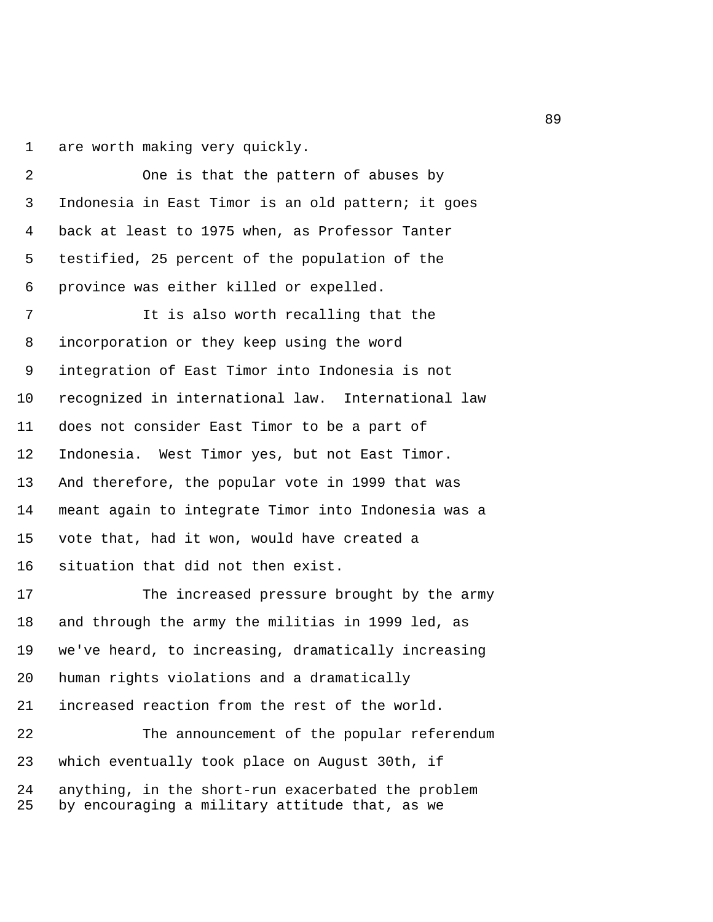1 are worth making very quickly.

 2 One is that the pattern of abuses by 3 Indonesia in East Timor is an old pattern; it goes 4 back at least to 1975 when, as Professor Tanter 5 testified, 25 percent of the population of the 6 province was either killed or expelled.

 7 It is also worth recalling that the 8 incorporation or they keep using the word 9 integration of East Timor into Indonesia is not 10 recognized in international law. International law 11 does not consider East Timor to be a part of 12 Indonesia. West Timor yes, but not East Timor. 13 And therefore, the popular vote in 1999 that was 14 meant again to integrate Timor into Indonesia was a 15 vote that, had it won, would have created a 16 situation that did not then exist.

17 The increased pressure brought by the army 18 and through the army the militias in 1999 led, as 19 we've heard, to increasing, dramatically increasing 20 human rights violations and a dramatically 21 increased reaction from the rest of the world.

22 The announcement of the popular referendum 23 which eventually took place on August 30th, if 24 anything, in the short-run exacerbated the problem 25 by encouraging a military attitude that, as we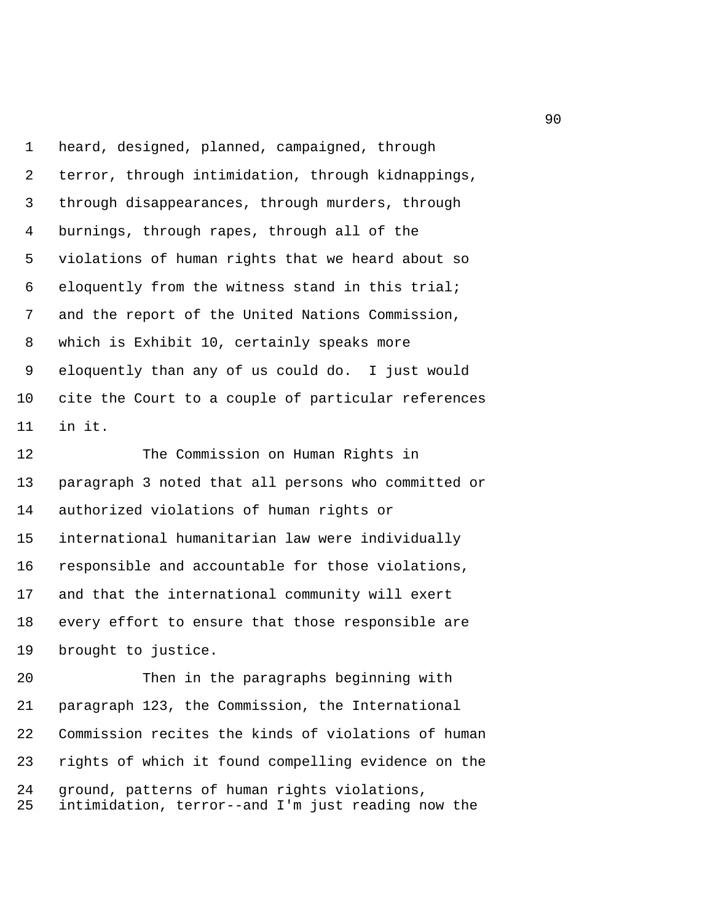1 heard, designed, planned, campaigned, through 2 terror, through intimidation, through kidnappings, 3 through disappearances, through murders, through 4 burnings, through rapes, through all of the 5 violations of human rights that we heard about so 6 eloquently from the witness stand in this trial; 7 and the report of the United Nations Commission, 8 which is Exhibit 10, certainly speaks more 9 eloquently than any of us could do. I just would 10 cite the Court to a couple of particular references 11 in it.

12 The Commission on Human Rights in 13 paragraph 3 noted that all persons who committed or 14 authorized violations of human rights or 15 international humanitarian law were individually 16 responsible and accountable for those violations, 17 and that the international community will exert 18 every effort to ensure that those responsible are 19 brought to justice.

20 Then in the paragraphs beginning with 21 paragraph 123, the Commission, the International 22 Commission recites the kinds of violations of human 23 rights of which it found compelling evidence on the 24 ground, patterns of human rights violations, 25 intimidation, terror--and I'm just reading now the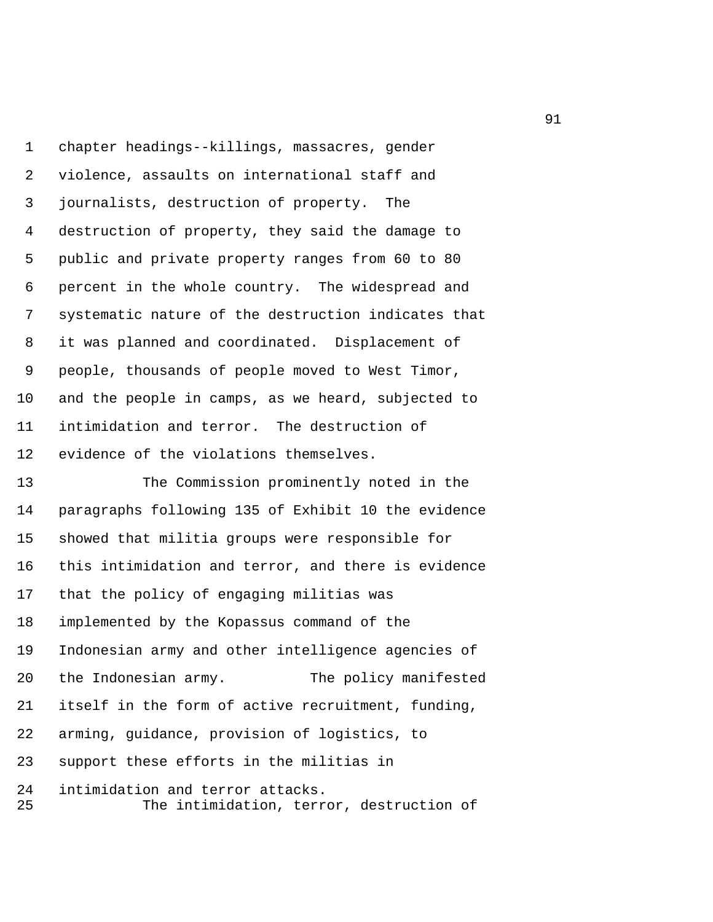1 chapter headings--killings, massacres, gender 2 violence, assaults on international staff and 3 journalists, destruction of property. The 4 destruction of property, they said the damage to 5 public and private property ranges from 60 to 80 6 percent in the whole country. The widespread and 7 systematic nature of the destruction indicates that 8 it was planned and coordinated. Displacement of 9 people, thousands of people moved to West Timor, 10 and the people in camps, as we heard, subjected to 11 intimidation and terror. The destruction of 12 evidence of the violations themselves.

13 The Commission prominently noted in the 14 paragraphs following 135 of Exhibit 10 the evidence 15 showed that militia groups were responsible for 16 this intimidation and terror, and there is evidence 17 that the policy of engaging militias was 18 implemented by the Kopassus command of the 19 Indonesian army and other intelligence agencies of 20 the Indonesian army. The policy manifested 21 itself in the form of active recruitment, funding, 22 arming, guidance, provision of logistics, to 23 support these efforts in the militias in 24 intimidation and terror attacks.

25 The intimidation, terror, destruction of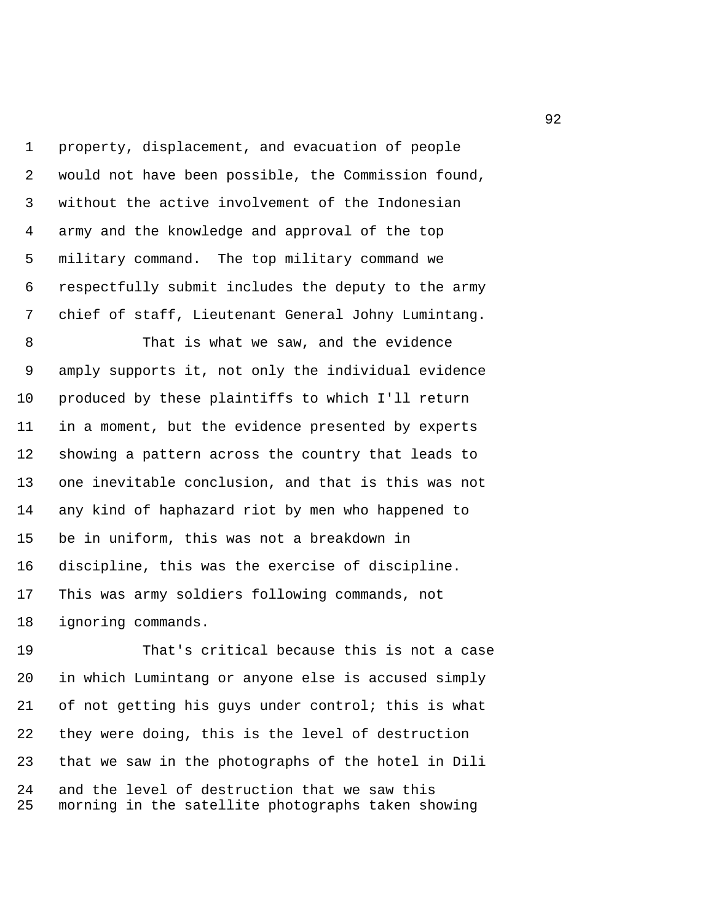1 property, displacement, and evacuation of people 2 would not have been possible, the Commission found, 3 without the active involvement of the Indonesian 4 army and the knowledge and approval of the top 5 military command. The top military command we 6 respectfully submit includes the deputy to the army 7 chief of staff, Lieutenant General Johny Lumintang.

 8 That is what we saw, and the evidence 9 amply supports it, not only the individual evidence 10 produced by these plaintiffs to which I'll return 11 in a moment, but the evidence presented by experts 12 showing a pattern across the country that leads to 13 one inevitable conclusion, and that is this was not 14 any kind of haphazard riot by men who happened to 15 be in uniform, this was not a breakdown in 16 discipline, this was the exercise of discipline. 17 This was army soldiers following commands, not 18 ignoring commands.

19 That's critical because this is not a case 20 in which Lumintang or anyone else is accused simply 21 of not getting his guys under control; this is what 22 they were doing, this is the level of destruction 23 that we saw in the photographs of the hotel in Dili 24 and the level of destruction that we saw this 25 morning in the satellite photographs taken showing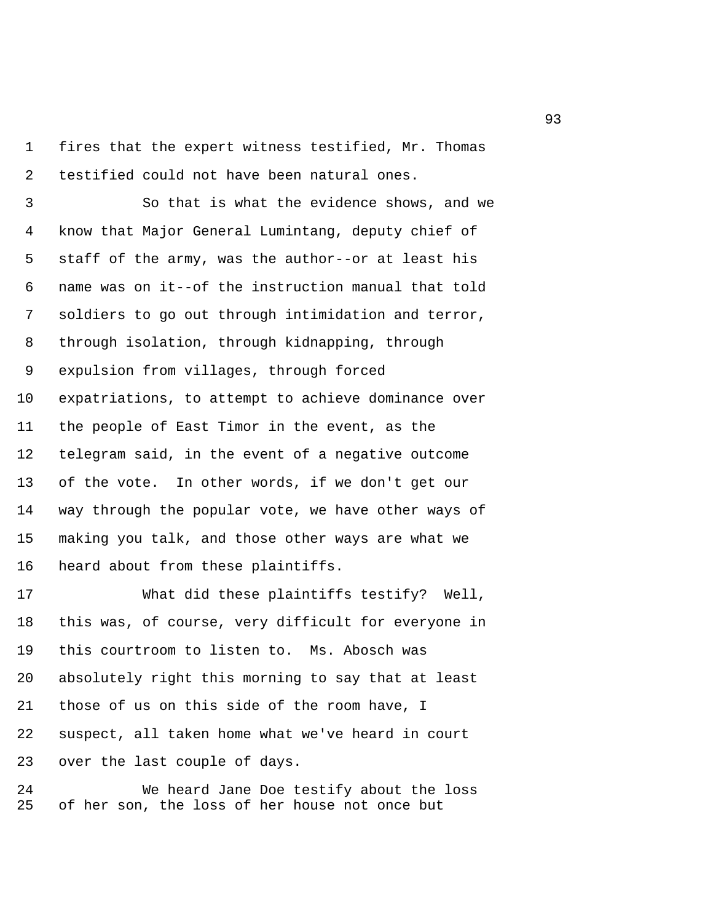1 fires that the expert witness testified, Mr. Thomas 2 testified could not have been natural ones.

 3 So that is what the evidence shows, and we 4 know that Major General Lumintang, deputy chief of 5 staff of the army, was the author--or at least his 6 name was on it--of the instruction manual that told 7 soldiers to go out through intimidation and terror, 8 through isolation, through kidnapping, through 9 expulsion from villages, through forced 10 expatriations, to attempt to achieve dominance over 11 the people of East Timor in the event, as the 12 telegram said, in the event of a negative outcome 13 of the vote. In other words, if we don't get our 14 way through the popular vote, we have other ways of 15 making you talk, and those other ways are what we 16 heard about from these plaintiffs.

17 What did these plaintiffs testify? Well, 18 this was, of course, very difficult for everyone in 19 this courtroom to listen to. Ms. Abosch was 20 absolutely right this morning to say that at least 21 those of us on this side of the room have, I 22 suspect, all taken home what we've heard in court 23 over the last couple of days.

24 We heard Jane Doe testify about the loss 25 of her son, the loss of her house not once but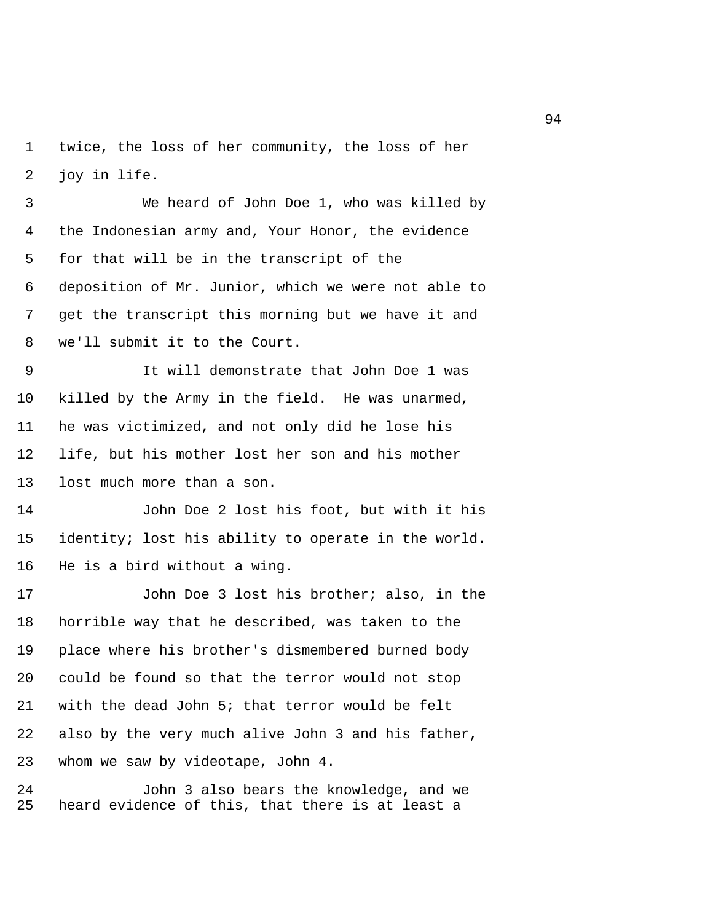1 twice, the loss of her community, the loss of her 2 joy in life.

 3 We heard of John Doe 1, who was killed by 4 the Indonesian army and, Your Honor, the evidence 5 for that will be in the transcript of the 6 deposition of Mr. Junior, which we were not able to 7 get the transcript this morning but we have it and 8 we'll submit it to the Court.

 9 It will demonstrate that John Doe 1 was 10 killed by the Army in the field. He was unarmed, 11 he was victimized, and not only did he lose his 12 life, but his mother lost her son and his mother 13 lost much more than a son.

14 John Doe 2 lost his foot, but with it his 15 identity; lost his ability to operate in the world. 16 He is a bird without a wing.

17 John Doe 3 lost his brother; also, in the 18 horrible way that he described, was taken to the 19 place where his brother's dismembered burned body 20 could be found so that the terror would not stop 21 with the dead John 5; that terror would be felt 22 also by the very much alive John 3 and his father, 23 whom we saw by videotape, John 4.

24 John 3 also bears the knowledge, and we 25 heard evidence of this, that there is at least a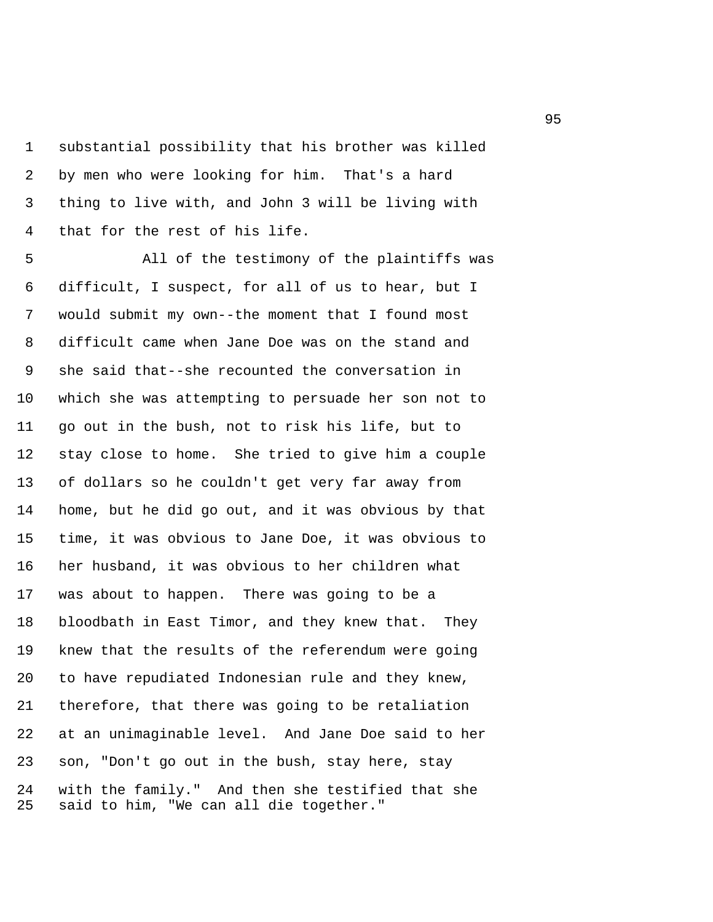1 substantial possibility that his brother was killed 2 by men who were looking for him. That's a hard 3 thing to live with, and John 3 will be living with 4 that for the rest of his life.

 5 All of the testimony of the plaintiffs was 6 difficult, I suspect, for all of us to hear, but I 7 would submit my own--the moment that I found most 8 difficult came when Jane Doe was on the stand and 9 she said that--she recounted the conversation in 10 which she was attempting to persuade her son not to 11 go out in the bush, not to risk his life, but to 12 stay close to home. She tried to give him a couple 13 of dollars so he couldn't get very far away from 14 home, but he did go out, and it was obvious by that 15 time, it was obvious to Jane Doe, it was obvious to 16 her husband, it was obvious to her children what 17 was about to happen. There was going to be a 18 bloodbath in East Timor, and they knew that. They 19 knew that the results of the referendum were going 20 to have repudiated Indonesian rule and they knew, 21 therefore, that there was going to be retaliation 22 at an unimaginable level. And Jane Doe said to her 23 son, "Don't go out in the bush, stay here, stay 24 with the family." And then she testified that she 25 said to him, "We can all die together."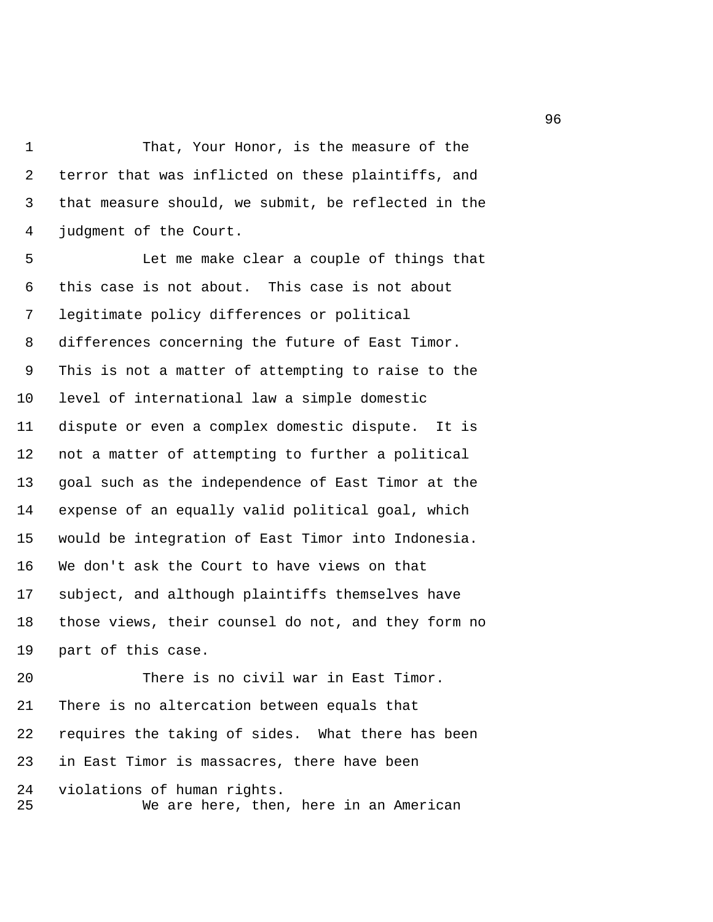1 That, Your Honor, is the measure of the 2 terror that was inflicted on these plaintiffs, and 3 that measure should, we submit, be reflected in the 4 judgment of the Court.

 5 Let me make clear a couple of things that 6 this case is not about. This case is not about 7 legitimate policy differences or political 8 differences concerning the future of East Timor. 9 This is not a matter of attempting to raise to the 10 level of international law a simple domestic 11 dispute or even a complex domestic dispute. It is 12 not a matter of attempting to further a political 13 goal such as the independence of East Timor at the 14 expense of an equally valid political goal, which 15 would be integration of East Timor into Indonesia. 16 We don't ask the Court to have views on that 17 subject, and although plaintiffs themselves have 18 those views, their counsel do not, and they form no 19 part of this case.

20 There is no civil war in East Timor. 21 There is no altercation between equals that 22 requires the taking of sides. What there has been 23 in East Timor is massacres, there have been 24 violations of human rights. 25 We are here, then, here in an American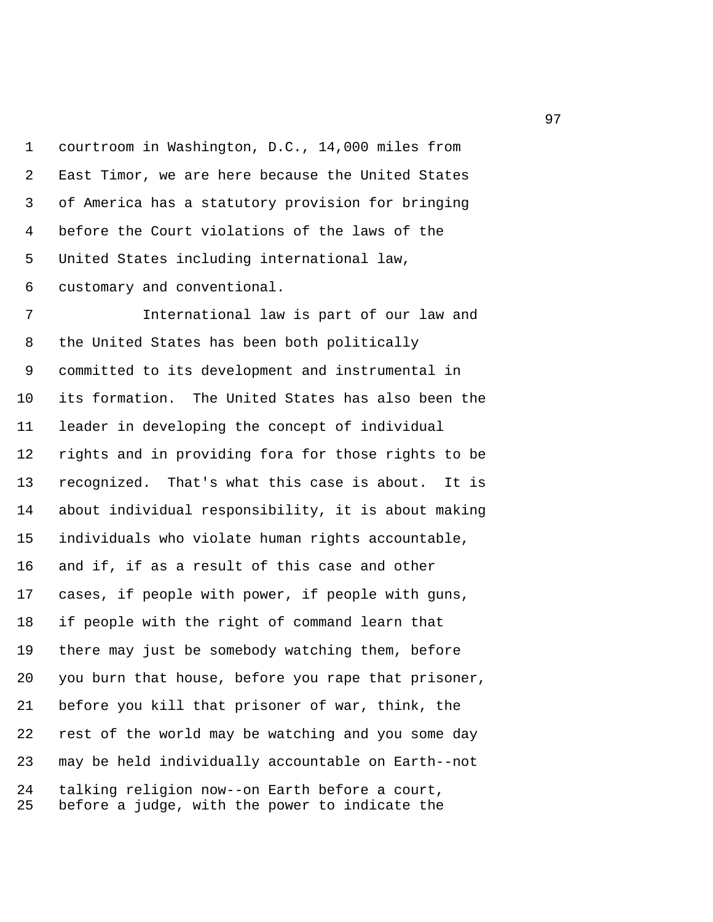1 courtroom in Washington, D.C., 14,000 miles from 2 East Timor, we are here because the United States 3 of America has a statutory provision for bringing 4 before the Court violations of the laws of the 5 United States including international law, 6 customary and conventional.

 7 International law is part of our law and 8 the United States has been both politically 9 committed to its development and instrumental in 10 its formation. The United States has also been the 11 leader in developing the concept of individual 12 rights and in providing fora for those rights to be 13 recognized. That's what this case is about. It is 14 about individual responsibility, it is about making 15 individuals who violate human rights accountable, 16 and if, if as a result of this case and other 17 cases, if people with power, if people with guns, 18 if people with the right of command learn that 19 there may just be somebody watching them, before 20 you burn that house, before you rape that prisoner, 21 before you kill that prisoner of war, think, the 22 rest of the world may be watching and you some day 23 may be held individually accountable on Earth--not 24 talking religion now--on Earth before a court, 25 before a judge, with the power to indicate the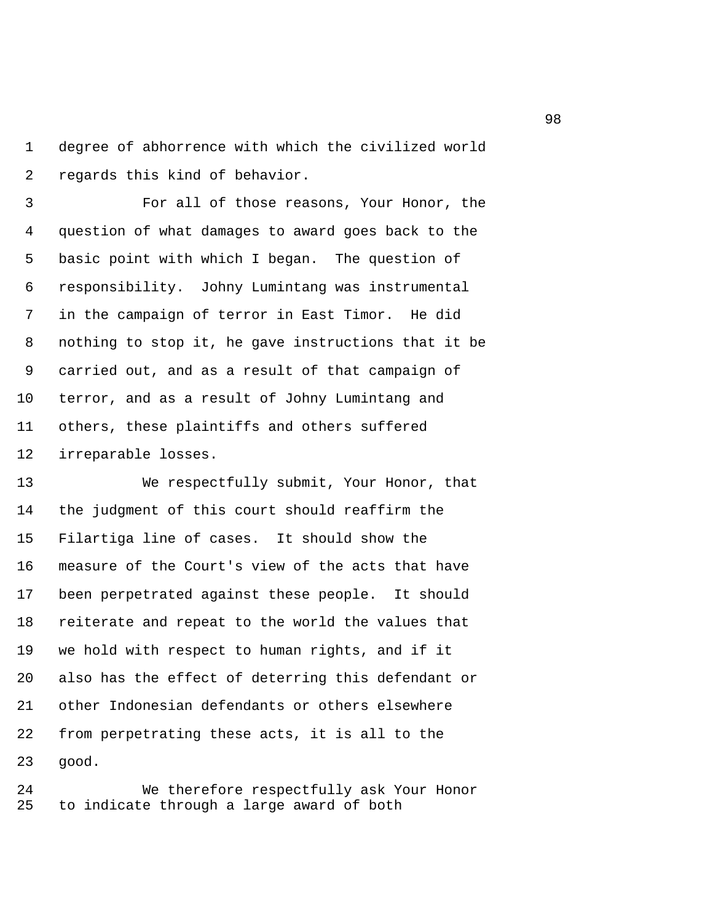1 degree of abhorrence with which the civilized world 2 regards this kind of behavior.

 3 For all of those reasons, Your Honor, the 4 question of what damages to award goes back to the 5 basic point with which I began. The question of 6 responsibility. Johny Lumintang was instrumental 7 in the campaign of terror in East Timor. He did 8 nothing to stop it, he gave instructions that it be 9 carried out, and as a result of that campaign of 10 terror, and as a result of Johny Lumintang and 11 others, these plaintiffs and others suffered 12 irreparable losses.

13 We respectfully submit, Your Honor, that 14 the judgment of this court should reaffirm the 15 Filartiga line of cases. It should show the 16 measure of the Court's view of the acts that have 17 been perpetrated against these people. It should 18 reiterate and repeat to the world the values that 19 we hold with respect to human rights, and if it 20 also has the effect of deterring this defendant or 21 other Indonesian defendants or others elsewhere 22 from perpetrating these acts, it is all to the 23 good.

24 We therefore respectfully ask Your Honor 25 to indicate through a large award of both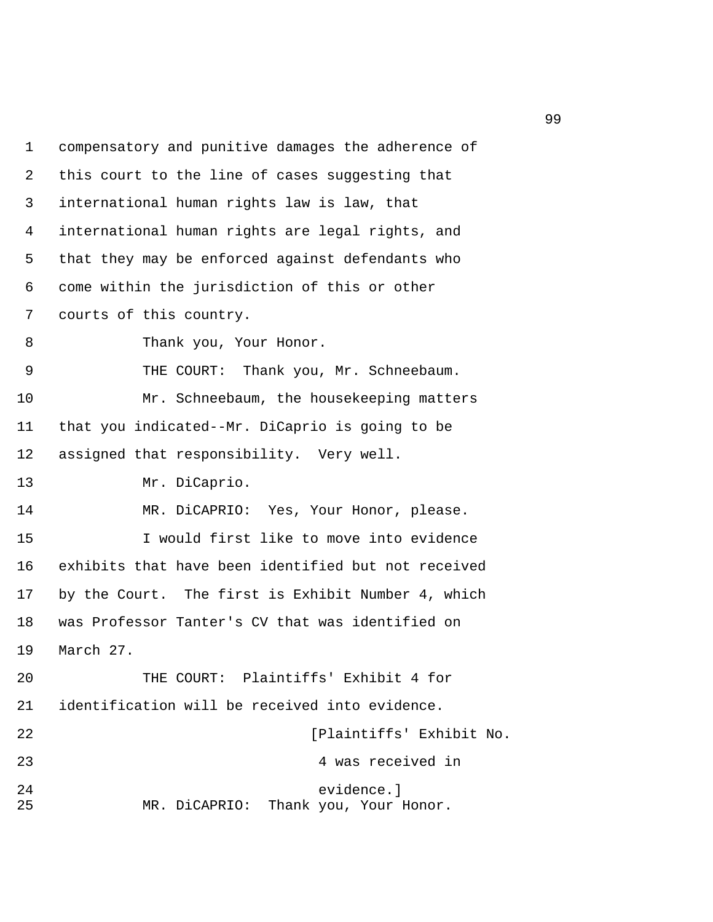1 compensatory and punitive damages the adherence of 2 this court to the line of cases suggesting that 3 international human rights law is law, that 4 international human rights are legal rights, and 5 that they may be enforced against defendants who 6 come within the jurisdiction of this or other 7 courts of this country. 8 Thank you, Your Honor. 9 THE COURT: Thank you, Mr. Schneebaum. 10 Mr. Schneebaum, the housekeeping matters 11 that you indicated--Mr. DiCaprio is going to be 12 assigned that responsibility. Very well. 13 Mr. DiCaprio. 14 MR. DiCAPRIO: Yes, Your Honor, please. 15 I would first like to move into evidence 16 exhibits that have been identified but not received 17 by the Court. The first is Exhibit Number 4, which 18 was Professor Tanter's CV that was identified on 19 March 27. 20 THE COURT: Plaintiffs' Exhibit 4 for 21 identification will be received into evidence. 22 [Plaintiffs' Exhibit No. 23 4 was received in 24 evidence.] 25 MR. DiCAPRIO: Thank you, Your Honor.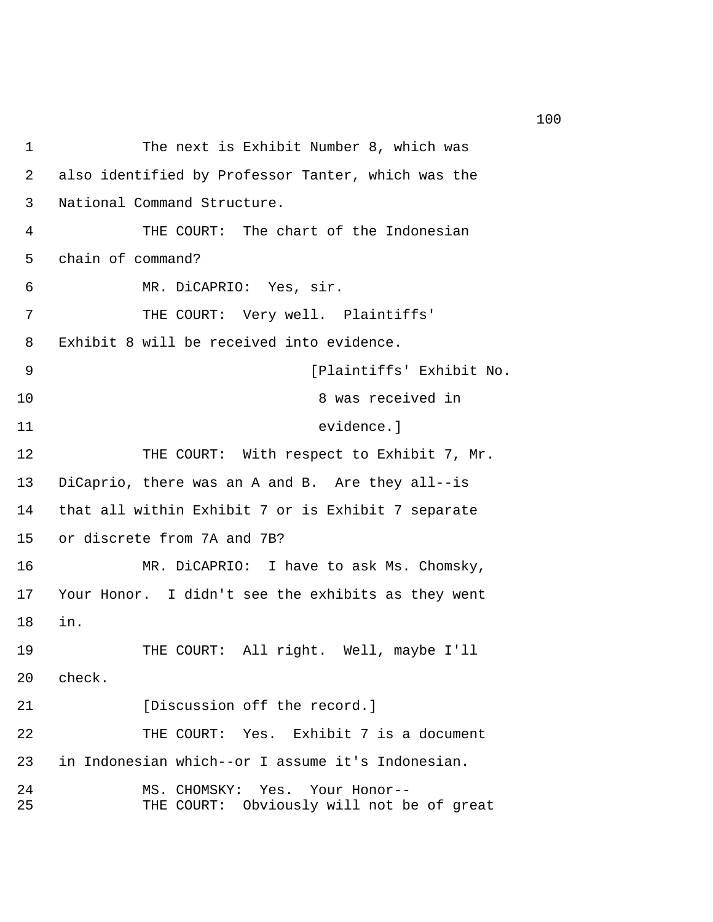```
1 The next is Exhibit Number 8, which was 
 2 also identified by Professor Tanter, which was the 
 3 National Command Structure. 
 4 THE COURT: The chart of the Indonesian 
 5 chain of command? 
 6 MR. DiCAPRIO: Yes, sir. 
7 THE COURT: Very well. Plaintiffs'
 8 Exhibit 8 will be received into evidence. 
 9 [Plaintiffs' Exhibit No. 
10 8 was received in 
11 evidence.] 
12 THE COURT: With respect to Exhibit 7, Mr.
13 DiCaprio, there was an A and B. Are they all--is 
14 that all within Exhibit 7 or is Exhibit 7 separate 
15 or discrete from 7A and 7B? 
16 MR. DiCAPRIO: I have to ask Ms. Chomsky, 
17 Your Honor. I didn't see the exhibits as they went 
18 in. 
19 THE COURT: All right. Well, maybe I'll 
20 check. 
21 IDiscussion off the record.
22 THE COURT: Yes. Exhibit 7 is a document 
23 in Indonesian which--or I assume it's Indonesian. 
24 MS. CHOMSKY: Yes. Your Honor-- 
25 THE COURT: Obviously will not be of great
```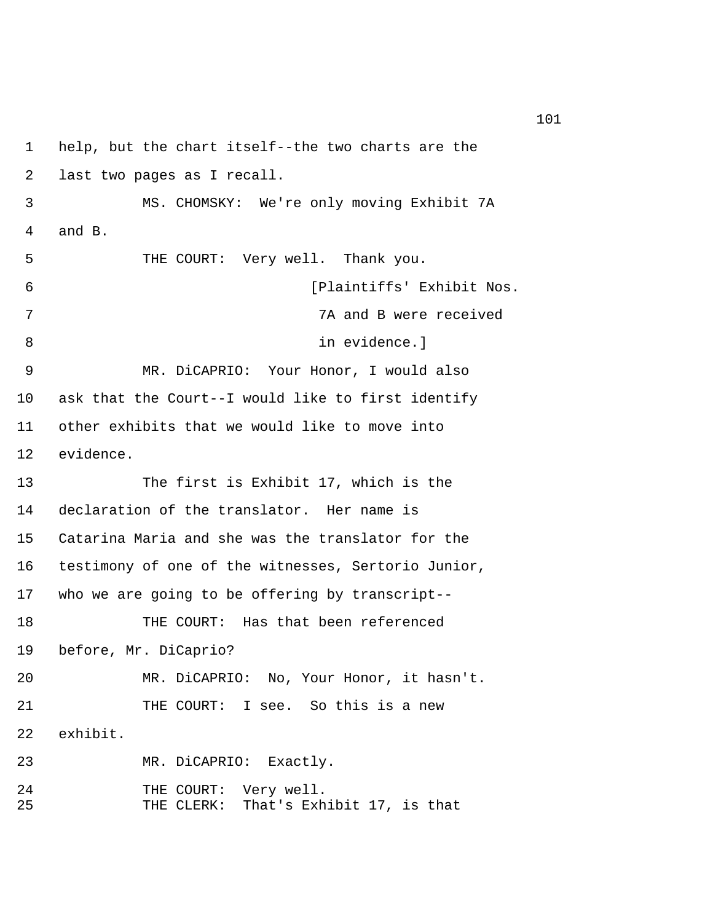```
1 help, but the chart itself--the two charts are the 
 2 last two pages as I recall. 
 3 MS. CHOMSKY: We're only moving Exhibit 7A 
 4 and B. 
 5 THE COURT: Very well. Thank you. 
 6 [Plaintiffs' Exhibit Nos. 
 7 7A and B were received 
8 in evidence.
 9 MR. DiCAPRIO: Your Honor, I would also 
10 ask that the Court--I would like to first identify 
11 other exhibits that we would like to move into 
12 evidence. 
13 The first is Exhibit 17, which is the 
14 declaration of the translator. Her name is 
15 Catarina Maria and she was the translator for the 
16 testimony of one of the witnesses, Sertorio Junior, 
17 who we are going to be offering by transcript-- 
18 THE COURT: Has that been referenced 
19 before, Mr. DiCaprio? 
20 MR. DiCAPRIO: No, Your Honor, it hasn't. 
21 THE COURT: I see. So this is a new
22 exhibit. 
23 MR. DiCAPRIO: Exactly. 
24 THE COURT: Very well. 
25 THE CLERK: That's Exhibit 17, is that
```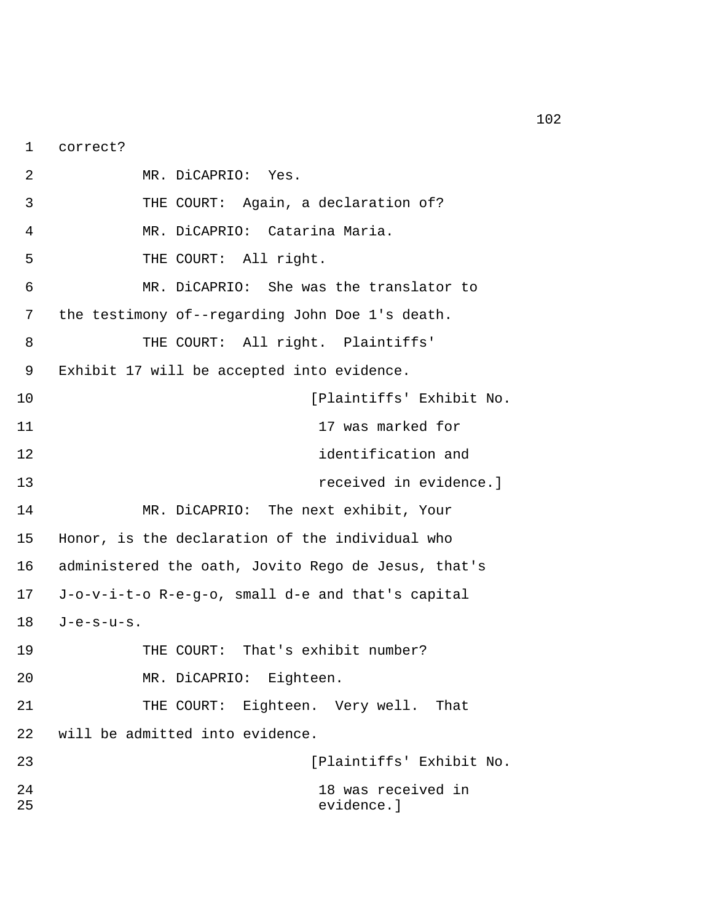1 correct?

 2 MR. DiCAPRIO: Yes. 3 THE COURT: Again, a declaration of? 4 MR. DiCAPRIO: Catarina Maria. 5 THE COURT: All right. 6 MR. DiCAPRIO: She was the translator to 7 the testimony of--regarding John Doe 1's death. 8 THE COURT: All right. Plaintiffs' 9 Exhibit 17 will be accepted into evidence. 10 [Plaintiffs' Exhibit No. 11 17 was marked for 12 identification and 13 received in evidence.] 14 MR. DiCAPRIO: The next exhibit, Your 15 Honor, is the declaration of the individual who 16 administered the oath, Jovito Rego de Jesus, that's 17 J-o-v-i-t-o R-e-g-o, small d-e and that's capital 18 J-e-s-u-s. 19 THE COURT: That's exhibit number? 20 MR. DiCAPRIO: Eighteen. 21 THE COURT: Eighteen. Very well. That 22 will be admitted into evidence. 23 [Plaintiffs' Exhibit No. 24 18 was received in 25 evidence.]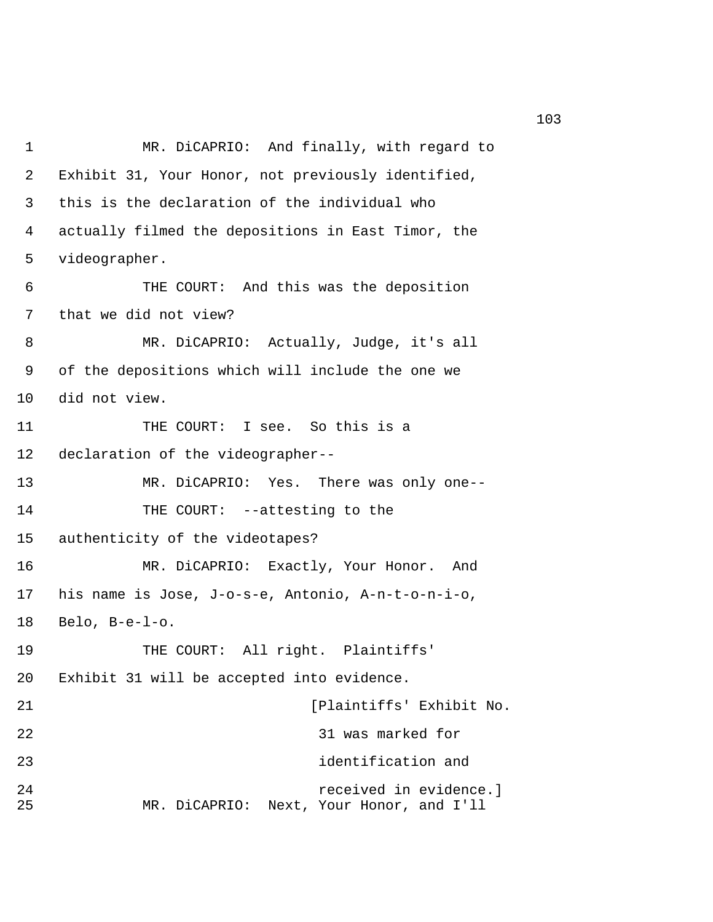1 MR. DiCAPRIO: And finally, with regard to 2 Exhibit 31, Your Honor, not previously identified, 3 this is the declaration of the individual who 4 actually filmed the depositions in East Timor, the 5 videographer. 6 THE COURT: And this was the deposition 7 that we did not view? 8 MR. DiCAPRIO: Actually, Judge, it's all 9 of the depositions which will include the one we 10 did not view. 11 THE COURT: I see. So this is a 12 declaration of the videographer-- 13 MR. DiCAPRIO: Yes. There was only one-- 14 THE COURT: --attesting to the 15 authenticity of the videotapes? 16 MR. DiCAPRIO: Exactly, Your Honor. And 17 his name is Jose, J-o-s-e, Antonio, A-n-t-o-n-i-o, 18 Belo, B-e-l-o. 19 THE COURT: All right. Plaintiffs' 20 Exhibit 31 will be accepted into evidence. 21 [Plaintiffs' Exhibit No. 22 31 was marked for 23 identification and 24 received in evidence.] 25 MR. DiCAPRIO: Next, Your Honor, and I'll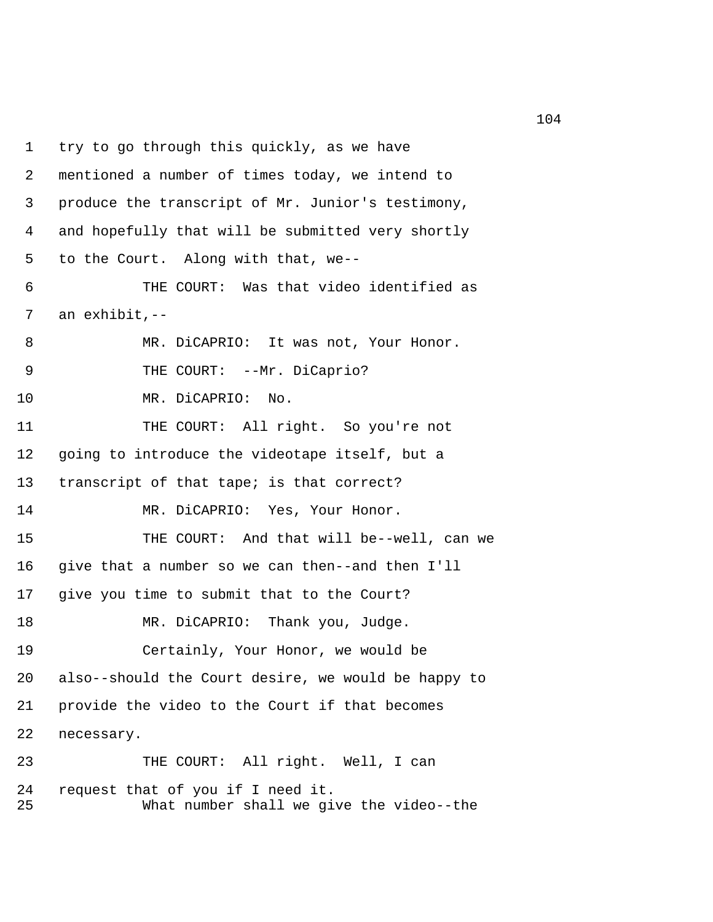1 try to go through this quickly, as we have 2 mentioned a number of times today, we intend to 3 produce the transcript of Mr. Junior's testimony, 4 and hopefully that will be submitted very shortly 5 to the Court. Along with that, we-- 6 THE COURT: Was that video identified as 7 an exhibit,-- 8 MR. DiCAPRIO: It was not, Your Honor. 9 THE COURT: --Mr. DiCaprio? 10 MR. DiCAPRIO: No. 11 THE COURT: All right. So you're not 12 going to introduce the videotape itself, but a 13 transcript of that tape; is that correct? 14 MR. DiCAPRIO: Yes, Your Honor. 15 THE COURT: And that will be--well, can we 16 give that a number so we can then--and then I'll 17 give you time to submit that to the Court? 18 MR. DiCAPRIO: Thank you, Judge. 19 Certainly, Your Honor, we would be 20 also--should the Court desire, we would be happy to 21 provide the video to the Court if that becomes 22 necessary. 23 THE COURT: All right. Well, I can 24 request that of you if I need it. 25 What number shall we give the video--the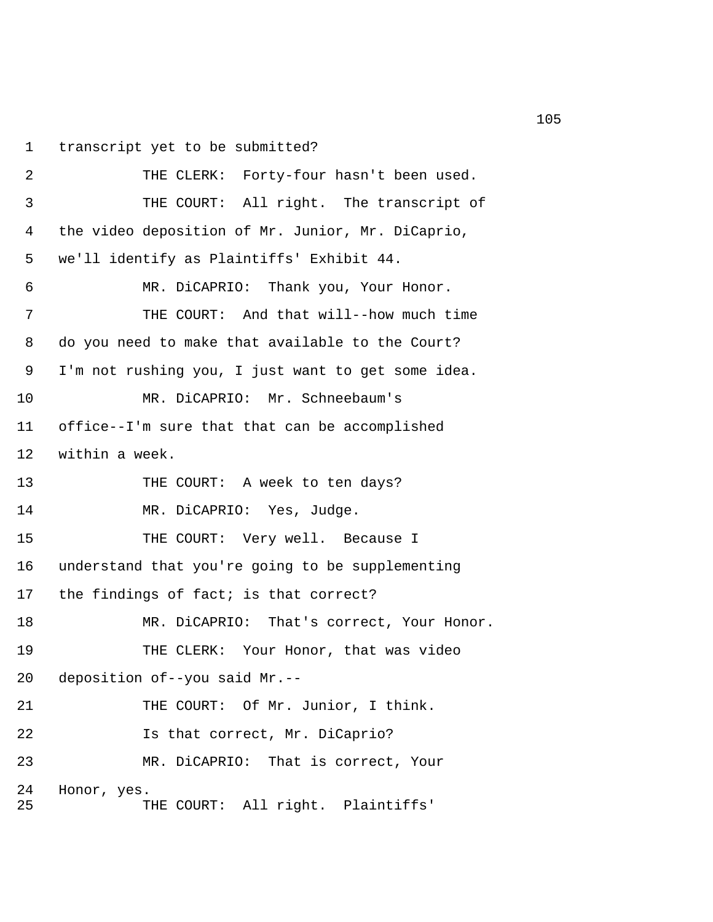1 transcript yet to be submitted?

```
 2 THE CLERK: Forty-four hasn't been used. 
 3 THE COURT: All right. The transcript of 
 4 the video deposition of Mr. Junior, Mr. DiCaprio, 
 5 we'll identify as Plaintiffs' Exhibit 44. 
 6 MR. DiCAPRIO: Thank you, Your Honor. 
 7 THE COURT: And that will--how much time 
 8 do you need to make that available to the Court? 
 9 I'm not rushing you, I just want to get some idea. 
10 MR. DiCAPRIO: Mr. Schneebaum's 
11 office--I'm sure that that can be accomplished 
12 within a week. 
13 THE COURT: A week to ten days?
14 MR. DiCAPRIO: Yes, Judge. 
15 THE COURT: Very well. Because I
16 understand that you're going to be supplementing 
17 the findings of fact; is that correct? 
18 MR. DiCAPRIO: That's correct, Your Honor.
19 THE CLERK: Your Honor, that was video 
20 deposition of--you said Mr.-- 
21 THE COURT: Of Mr. Junior, I think.
22 Is that correct, Mr. DiCaprio? 
23 MR. DiCAPRIO: That is correct, Your 
24 Honor, yes. 
25 THE COURT: All right. Plaintiffs'
```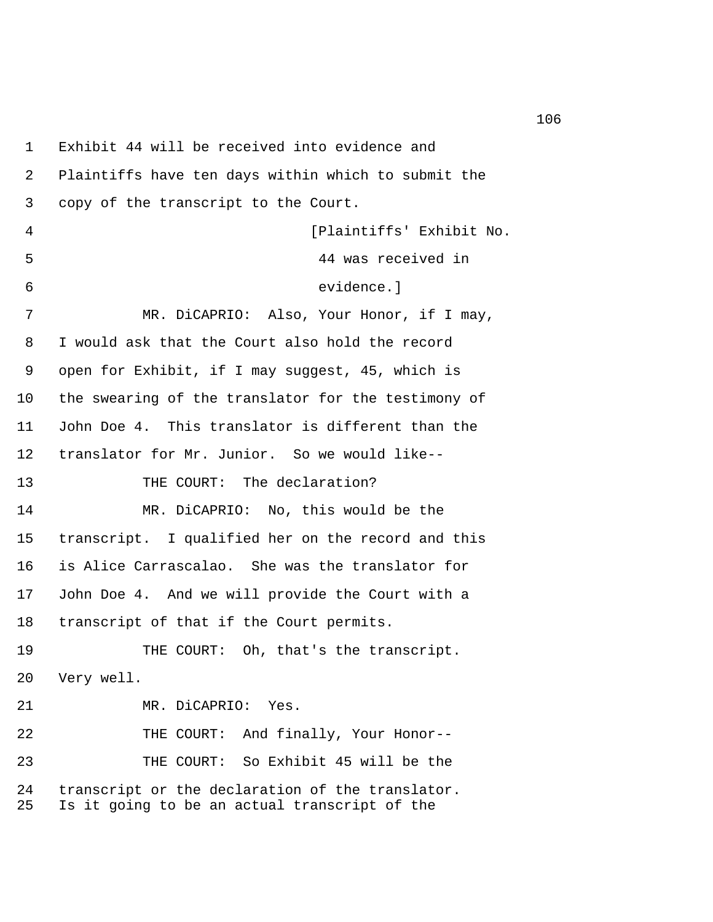1 Exhibit 44 will be received into evidence and 2 Plaintiffs have ten days within which to submit the 3 copy of the transcript to the Court. 4 [Plaintiffs' Exhibit No. 5 44 was received in 6 evidence.] 7 MR. DiCAPRIO: Also, Your Honor, if I may, 8 I would ask that the Court also hold the record 9 open for Exhibit, if I may suggest, 45, which is 10 the swearing of the translator for the testimony of 11 John Doe 4. This translator is different than the 12 translator for Mr. Junior. So we would like-- 13 THE COURT: The declaration? 14 MR. DiCAPRIO: No, this would be the 15 transcript. I qualified her on the record and this 16 is Alice Carrascalao. She was the translator for 17 John Doe 4. And we will provide the Court with a 18 transcript of that if the Court permits. 19 THE COURT: Oh, that's the transcript. 20 Very well. 21 MR. DiCAPRIO: Yes. 22 THE COURT: And finally, Your Honor-- 23 THE COURT: So Exhibit 45 will be the 24 transcript or the declaration of the translator. 25 Is it going to be an actual transcript of the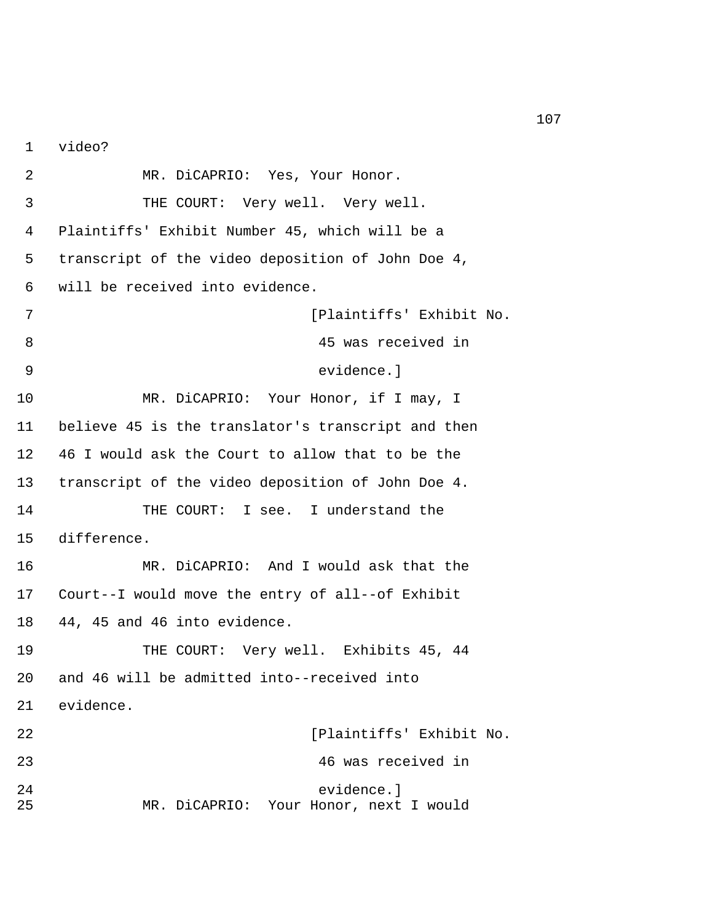1 video?

 2 MR. DiCAPRIO: Yes, Your Honor. 3 THE COURT: Very well. Very well. 4 Plaintiffs' Exhibit Number 45, which will be a 5 transcript of the video deposition of John Doe 4, 6 will be received into evidence. 7 [Plaintiffs' Exhibit No. 8 45 was received in 9 evidence.] 10 MR. DiCAPRIO: Your Honor, if I may, I 11 believe 45 is the translator's transcript and then 12 46 I would ask the Court to allow that to be the 13 transcript of the video deposition of John Doe 4. 14 THE COURT: I see. I understand the 15 difference. 16 MR. DiCAPRIO: And I would ask that the 17 Court--I would move the entry of all--of Exhibit 18 44, 45 and 46 into evidence. 19 THE COURT: Very well. Exhibits 45, 44 20 and 46 will be admitted into--received into 21 evidence. 22 [Plaintiffs' Exhibit No. 23 46 was received in 24 evidence.] 25 MR. DiCAPRIO: Your Honor, next I would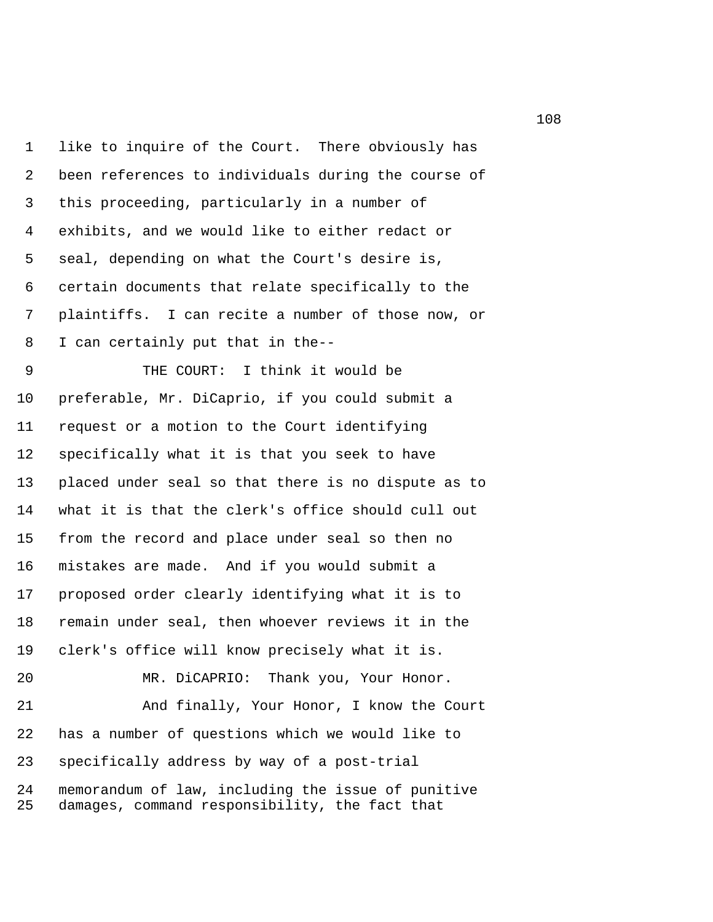1 like to inquire of the Court. There obviously has 2 been references to individuals during the course of 3 this proceeding, particularly in a number of 4 exhibits, and we would like to either redact or 5 seal, depending on what the Court's desire is, 6 certain documents that relate specifically to the 7 plaintiffs. I can recite a number of those now, or 8 I can certainly put that in the-- 9 THE COURT: I think it would be 10 preferable, Mr. DiCaprio, if you could submit a 11 request or a motion to the Court identifying 12 specifically what it is that you seek to have 13 placed under seal so that there is no dispute as to 14 what it is that the clerk's office should cull out 15 from the record and place under seal so then no 16 mistakes are made. And if you would submit a 17 proposed order clearly identifying what it is to 18 remain under seal, then whoever reviews it in the 19 clerk's office will know precisely what it is. 20 MR. DiCAPRIO: Thank you, Your Honor. 21 And finally, Your Honor, I know the Court 22 has a number of questions which we would like to 23 specifically address by way of a post-trial 24 memorandum of law, including the issue of punitive 25 damages, command responsibility, the fact that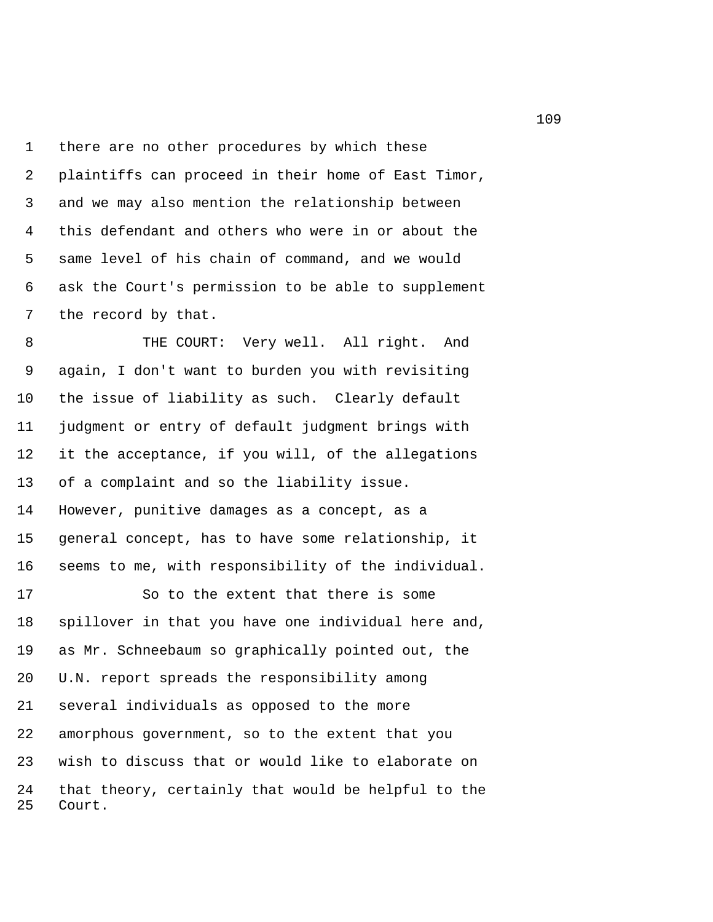1 there are no other procedures by which these 2 plaintiffs can proceed in their home of East Timor, 3 and we may also mention the relationship between 4 this defendant and others who were in or about the 5 same level of his chain of command, and we would 6 ask the Court's permission to be able to supplement 7 the record by that.

8 THE COURT: Very well. All right. And 9 again, I don't want to burden you with revisiting 10 the issue of liability as such. Clearly default 11 judgment or entry of default judgment brings with 12 it the acceptance, if you will, of the allegations 13 of a complaint and so the liability issue. 14 However, punitive damages as a concept, as a 15 general concept, has to have some relationship, it 16 seems to me, with responsibility of the individual.

17 So to the extent that there is some 18 spillover in that you have one individual here and, 19 as Mr. Schneebaum so graphically pointed out, the 20 U.N. report spreads the responsibility among 21 several individuals as opposed to the more 22 amorphous government, so to the extent that you 23 wish to discuss that or would like to elaborate on 24 that theory, certainly that would be helpful to the 25 Court.

109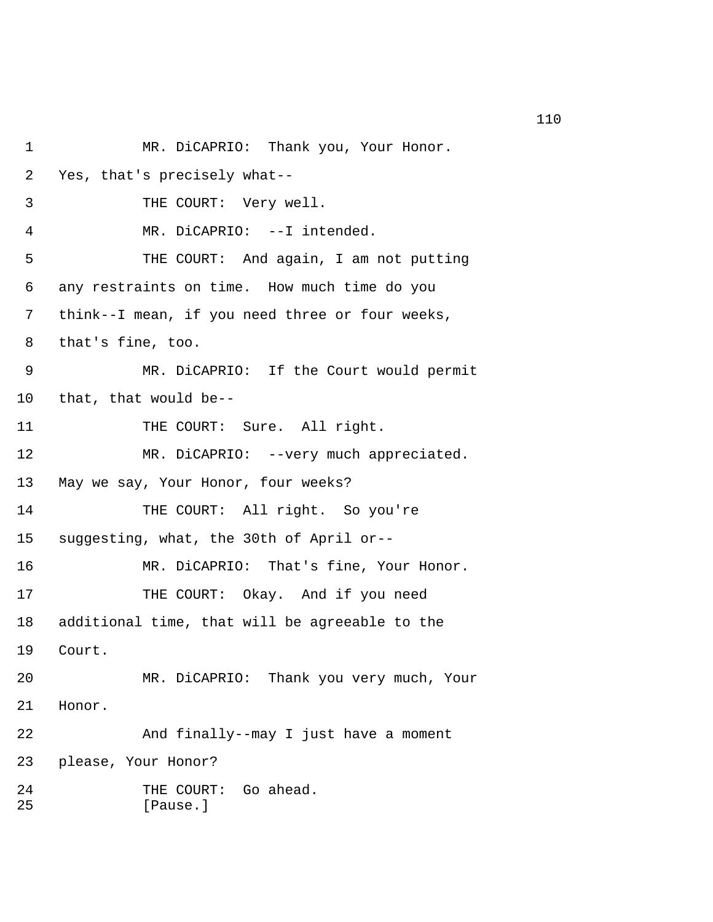```
1 MR. DiCAPRIO: Thank you, Your Honor.
 2 Yes, that's precisely what-- 
 3 THE COURT: Very well. 
 4 MR. DiCAPRIO: --I intended. 
 5 THE COURT: And again, I am not putting 
 6 any restraints on time. How much time do you 
 7 think--I mean, if you need three or four weeks, 
 8 that's fine, too. 
 9 MR. DiCAPRIO: If the Court would permit 
10 that, that would be-- 
11 THE COURT: Sure. All right.
12 MR. DiCAPRIO: --very much appreciated.
13 May we say, Your Honor, four weeks? 
14 THE COURT: All right. So you're 
15 suggesting, what, the 30th of April or-- 
16 MR. DiCAPRIO: That's fine, Your Honor. 
17 THE COURT: Okay. And if you need
18 additional time, that will be agreeable to the 
19 Court. 
20 MR. DiCAPRIO: Thank you very much, Your 
21 Honor. 
22 And finally--may I just have a moment 
23 please, Your Honor? 
24 THE COURT: Go ahead.
25 [Pause.]
```
110